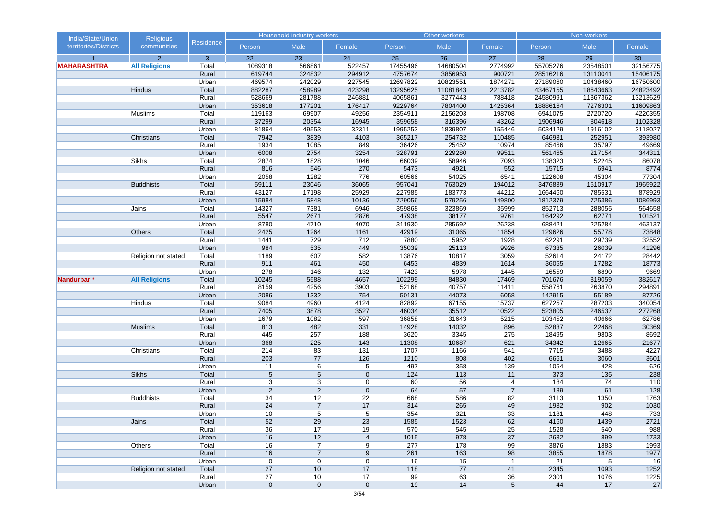| India/State/Union     | <b>Religious</b>     |                  |                     | <b>Household industry workers</b> |                 |                | Other workers  |                 |                  | Non-workers      |                 |
|-----------------------|----------------------|------------------|---------------------|-----------------------------------|-----------------|----------------|----------------|-----------------|------------------|------------------|-----------------|
| territories/Districts | communities          | <b>Residence</b> | Person              | Male                              | Female          | Person         | Male           | Female          | Person           | Male             | Female          |
|                       | $\overline{2}$       | 3                | 22                  | 23                                | 24              | 25             | 26             | 27              | 28               | 29               | 30              |
| <b>MAHARASHTRA</b>    | <b>All Religions</b> | Total            | 1089318             | 566861                            | 522457          | 17455496       | 14680504       | 2774992         | 55705276         | 23548501         | 32156775        |
|                       |                      | Rural            | 619744              | 324832                            | 294912          | 4757674        | 3856953        | 900721          | 28516216         | 13110041         | 15406175        |
|                       |                      | Urban            | 469574              | 242029                            | 227545          | 12697822       | 10823551       | 1874271         | 27189060         | 10438460         | 16750600        |
|                       | Hindus               | Total            | 882287              | 458989                            | 423298          | 13295625       | 11081843       | 2213782         | 43467155         | 18643663         | 24823492        |
|                       |                      | Rural            | 528669              | 281788                            | 246881          | 4065861        | 3277443        | 788418          | 24580991         | 11367362         | 13213629        |
|                       |                      | Urban            | 353618              | 177201                            | 176417          | 9229764        | 7804400        | 1425364         | 18886164         | 7276301          | 11609863        |
|                       | Muslims              | Total            | 119163              | 69907                             | 49256           | 2354911        | 2156203        | 198708          | 6941075          | 2720720          | 4220355         |
|                       |                      | Rural            | 37299               | 20354                             | 16945           | 359658         | 316396         | 43262           | 1906946          | 804618           | 1102328         |
|                       |                      | Urban            | 81864               | 49553                             | 32311           | 1995253        | 1839807        | 155446          | 5034129          | 1916102          | 3118027         |
|                       | Christians           | Total            | 7942                | 3839                              | 4103            | 365217         | 254732         | 110485          | 646931           | 252951           | 393980          |
|                       |                      | Rural            | 1934                | 1085                              | 849             | 36426          | 25452          | 10974           | 85466            | 35797            | 49669           |
|                       |                      | Urban            | 6008                | 2754                              | 3254            | 328791         | 229280         | 99511           | 561465           | 217154           | 344311          |
|                       | <b>Sikhs</b>         | Total            | 2874                | 1828                              | 1046            | 66039          | 58946          | 7093            | 138323           | 52245            | 86078           |
|                       |                      | Rural            | 816                 | 546                               | 270             | 5473           | 4921           | 552             | 15715            | 6941             | 8774            |
|                       |                      | Urban            | 2058                | 1282                              | 776             | 60566          | 54025          | 6541            | 122608           | 45304            | 77304           |
|                       | <b>Buddhists</b>     | Total            | 59111               | 23046                             | 36065           | 957041         | 763029         | 194012          | 3476839          | 1510917          | 1965922         |
|                       |                      | Rural            | 43127               | 17198                             | 25929           | 227985         | 183773         | 44212           | 1664460          | 785531           | 878929          |
|                       |                      | Urban            | 15984               | 5848                              | 10136           | 729056         | 579256         | 149800          | 1812379          | 725386           | 1086993         |
|                       | Jains                | Total            | 14327               | 7381                              | 6946            | 359868         | 323869         | 35999           | 852713           | 288055           | 564658          |
|                       |                      | Rural            | 5547                | 2671                              | 2876            | 47938          | 38177          | 9761            | 164292           | 62771            | 101521          |
|                       |                      | Urban            | 8780                | 4710                              | 4070            | 311930         | 285692         | 26238           | 688421           | 225284           | 463137          |
|                       | Others               | Total            | 2425                | 1264                              | 1161            | 42919          | 31065          | 11854           | 129626           | 55778            | 73848           |
|                       |                      | Rural            | 1441                | 729                               | 712             | 7880           | 5952           | 1928            | 62291            | 29739            | 32552           |
|                       |                      | Urban            | 984                 | 535                               | 449             | 35039          | 25113          | 9926            | 67335            | 26039            | 41296           |
|                       | Religion not stated  | Total            | 1189                | 607                               | 582             | 13876          | 10817          | 3059            | 52614            | 24172            | 28442           |
|                       |                      | Rural            | 911                 | 461                               | 450             | 6453           | 4839           | 1614            | 36055            | 17282            | 18773           |
|                       |                      | Urban            | 278                 | 146                               | $132$           | 7423           | 5978           | 1445            | 16559            | 6890             | 9669            |
| Nandurbar*            | <b>All Religions</b> | Total            | 10245               | 5588                              | 4657            | 102299         | 84830          | 17469           | 701676           | 319059           | 382617          |
|                       |                      | Rural            | 8159                | 4256                              | 3903            | 52168          | 40757          | 11411           | 558761           | 263870           | 294891          |
|                       |                      | Urban            | 2086                | 1332                              | 754             | 50131          | 44073          | 6058            | 142915           | 55189            | 87726           |
|                       | Hindus               | Total<br>Rural   | 9084<br>7405        | 4960<br>3878                      | 4124<br>3527    | 82892<br>46034 | 67155<br>35512 | 15737<br>10522  | 627257<br>523805 | 287203<br>246537 | 340054          |
|                       |                      | Urban            | 1679                | 1082                              | 597             | 36858          | 31643          | 5215            | 103452           | 40666            | 277268<br>62786 |
|                       | <b>Muslims</b>       | Total            | 813                 | 482                               | 331             | 14928          | 14032          | 896             | 52837            | 22468            | 30369           |
|                       |                      | Rural            | 445                 | 257                               | 188             | 3620           | 3345           | 275             | 18495            | 9803             | 8692            |
|                       |                      | Urban            | 368                 | 225                               | 143             | 11308          | 10687          | 621             | 34342            | 12665            | 21677           |
|                       | Christians           | Total            | 214                 | 83                                | 131             | 1707           | 1166           | 541             | 7715             | 3488             | 4227            |
|                       |                      | Rural            | 203                 | 77                                | 126             | 1210           | 808            | 402             | 6661             | 3060             | 3601            |
|                       |                      | Urban            | 11                  | 6                                 | 5               | 497            | 358            | 139             | 1054             | 428              | 626             |
|                       | Sikhs                | Total            | $5\phantom{1}$      | $5\phantom{.0}$                   | $\mathbf 0$     | 124            | 113            | 11              | 373              | 135              | 238             |
|                       |                      | Rural            | 3                   | 3                                 | $\mathbf 0$     | 60             | 56             | 4               | 184              | 74               | 110             |
|                       |                      | Urban            | $\overline{2}$      | $\mathbf{2}$                      | $\mathbf 0$     | 64             | 57             | $\overline{7}$  | 189              | 61               | 128             |
|                       | <b>Buddhists</b>     | Total            | 34                  | 12                                | 22              | 668            | 586            | 82              | 3113             | 1350             | 1763            |
|                       |                      | Rural            | 24                  | $\overline{7}$                    | 17              | 314            | 265            | 49              | 1932             | 902              | 1030            |
|                       |                      | Urban            | 10                  | C.                                | C.              | 354            | 321            | 33              | 1181             | 448              | 733             |
|                       | Jains                | Total            | 52                  | 29                                | 23              | 1585           | 1523           | 62              | 4160             | 1439             | 2721            |
|                       |                      | Rural            | 36                  | 17                                | 19              | 570            | 545            | 25              | 1528             | 540              | 988             |
|                       |                      | Urban            | 16                  | 12                                | $\overline{4}$  | 1015           | 978            | 37              | 2632             | 899              | 1733            |
|                       | Others               | Total            | 16                  | $\overline{7}$                    | 9               | 277            | 178            | 99              | 3876             | 1883             | 1993            |
|                       |                      | Rural            | 16                  | $\overline{7}$                    | 9               | 261            | 163            | 98              | 3855             | 1878             | 1977            |
|                       |                      | Urban            | $\mathbf 0$         | $\mathbf 0$                       | $\mathbf 0$     | 16             | 15             | $\overline{1}$  | 21               | 5                | 16              |
|                       | Religion not stated  | Total            | 27                  | 10                                | 17              | 118            | 77             | 41              | 2345             | 1093             | 1252            |
|                       |                      | Rural            | 27                  | 10                                | $\overline{17}$ | 99             | 63             | 36              | 2301             | 1076             | 1225            |
|                       |                      | Urban            | $\mathsf{O}\xspace$ | $\mathbf 0$                       | $\mathbf 0$     | 19             | 14             | $5\phantom{.0}$ | 44               | 17               | 27              |
|                       |                      |                  |                     |                                   |                 |                |                |                 |                  |                  |                 |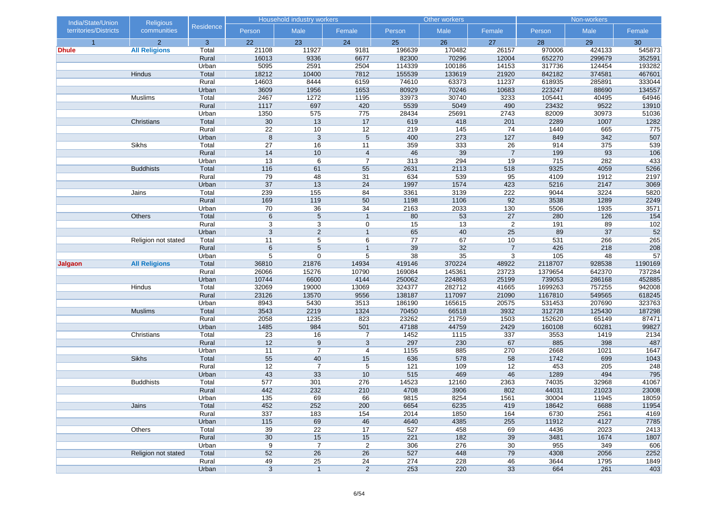| India/State/Union     | <b>Religious</b>     |                  |                 | <b>Household industry workers</b> |                 |                | Other workers  |                |                  | Non-workers    |                |
|-----------------------|----------------------|------------------|-----------------|-----------------------------------|-----------------|----------------|----------------|----------------|------------------|----------------|----------------|
| territories/Districts | communities          | <b>Residence</b> | Person          | Male                              | Female          | Person         | Male           | Female         | Person           | Male           | Female         |
| $\overline{1}$        | $\overline{2}$       | 3                | 22              | 23                                | 24              | 25             | 26             | 27             | 28               | 29             | 30             |
| Dhule                 | <b>All Religions</b> | Total            | 21108           | 11927                             | 9181            | 196639         | 170482         | 26157          | 970006           | 424133         | 545873         |
|                       |                      | Rural            | 16013           | 9336                              | 6677            | 82300          | 70296          | 12004          | 652270           | 299679         | 352591         |
|                       |                      | Urban            | 5095            | 2591                              | 2504            | 114339         | 100186         | 14153          | 317736           | 124454         | 193282         |
|                       | Hindus               | Total            | 18212           | 10400                             | 7812            | 155539         | 133619         | 21920          | 842182           | 374581         | 467601         |
|                       |                      | Rural            | 14603           | 8444                              | 6159            | 74610          | 63373          | 11237          | 618935           | 285891         | 333044         |
|                       |                      | Urban            | 3609            | 1956                              | 1653            | 80929          | 70246          | 10683          | 223247           | 88690          | 134557         |
|                       | Muslims              | Total            | 2467            | 1272                              | 1195            | 33973          | 30740          | 3233           | 105441           | 40495          | 64946          |
|                       |                      | Rural<br>Urban   | 1117            | 697<br>575                        | 420<br>775      | 5539<br>28434  | 5049<br>25691  | 490<br>2743    | 23432<br>82009   | 9522           | 13910<br>51036 |
|                       | Christians           | Total            | 1350<br>30      | 13                                | 17              | 619            | 418            | 201            | 2289             | 30973<br>1007  | 1282           |
|                       |                      | Rural            | $\overline{22}$ | 10                                | $\overline{12}$ | 219            | 145            | 74             | 1440             | 665            | 775            |
|                       |                      | Urban            | $\bf 8$         | $\mathsf 3$                       | $5\phantom{.0}$ | 400            | 273            | 127            | 849              | 342            | 507            |
|                       | Sikhs                | Total            | 27              | 16                                | 11              | 359            | 333            | 26             | 914              | 375            | 539            |
|                       |                      | Rural            | 14              | 10                                | $\overline{4}$  | 46             | 39             | $\overline{7}$ | 199              | 93             | 106            |
|                       |                      | Urban            | 13              | 6                                 | $\overline{7}$  | 313            | 294            | 19             | 715              | 282            | 433            |
|                       | <b>Buddhists</b>     | Total            | 116             | 61                                | 55              | 2631           | 2113           | 518            | 9325             | 4059           | 5266           |
|                       |                      | Rural            | 79              | 48                                | 31              | 634            | 539            | 95             | 4109             | 1912           | 2197           |
|                       |                      | Urban            | 37              | 13                                | 24              | 1997           | 1574           | 423            | 5216             | 2147           | 3069           |
|                       | Jains                | Total            | 239             | 155                               | 84              | 3361           | 3139           | 222            | 9044             | 3224           | 5820           |
|                       |                      | Rural            | 169             | 119                               | 50              | 1198           | 1106           | 92             | 3538             | 1289           | 2249           |
|                       |                      | Urban            | 70              | 36                                | 34              | 2163           | 2033           | 130            | 5506             | 1935           | 3571           |
|                       | Others               | Total            | 6               | $5\phantom{.0}$                   | $\overline{1}$  | 80             | 53             | 27             | 280              | 126            | 154            |
|                       |                      | Rural            | 3               | 3                                 | $\mathbf 0$     | 15             | 13             | $\overline{2}$ | 191              | 89             | 102            |
|                       |                      | Urban            | 3               | $\overline{c}$                    | $\overline{1}$  | 65             | 40             | 25             | 89               | 37             | 52             |
|                       | Religion not stated  | Total            | 11              | 5                                 | 6               | 77             | 67             | 10             | 531              | 266            | 265            |
|                       |                      | Rural            | $\,6\,$         | 5                                 | $\overline{1}$  | 39             | 32             | $\overline{7}$ | 426              | 218            | 208            |
|                       |                      | Urban            | 5               | $\mathbf 0$                       | 5               | 38             | 35             | 3              | 105              | 48             | 57             |
| Jalgaon               | <b>All Religions</b> | Total            | 36810           | 21876                             | 14934           | 419146         | 370224         | 48922          | 2118707          | 928538         | 1190169        |
|                       |                      | Rural            | 26066           | 15276                             | 10790           | 169084         | 145361         | 23723          | 1379654          | 642370         | 737284         |
|                       |                      | Urban            | 10744           | 6600                              | 4144            | 250062         | 224863         | 25199          | 739053           | 286168         | 452885         |
|                       | Hindus               | Total            | 32069           | 19000                             | 13069           | 324377         | 282712         | 41665          | 1699263          | 757255         | 942008         |
|                       |                      | Rural            | 23126           | 13570                             | 9556            | 138187         | 117097         | 21090          | 1167810          | 549565         | 618245         |
|                       |                      | Urban            | 8943            | 5430                              | 3513            | 186190         | 165615         | 20575          | 531453           | 207690         | 323763         |
|                       | <b>Muslims</b>       | Total            | 3543            | 2219                              | 1324            | 70450          | 66518          | 3932           | 312728           | 125430         | 187298         |
|                       |                      | Rural<br>Urban   | 2058<br>1485    | 1235<br>984                       | 823<br>501      | 23262<br>47188 | 21759<br>44759 | 1503<br>2429   | 152620<br>160108 | 65149<br>60281 | 87471<br>99827 |
|                       | Christians           | Total            | 23              | 16                                | 7               | 1452           | 1115           | 337            | 3553             | 1419           | 2134           |
|                       |                      | Rural            | 12              | 9                                 | 3               | 297            | 230            | 67             | 885              | 398            | 487            |
|                       |                      | Urban            | 11              | $\overline{7}$                    | 4               | 1155           | 885            | 270            | 2668             | 1021           | 1647           |
|                       | <b>Sikhs</b>         | Total            | 55              | 40                                | 15              | 636            | 578            | 58             | 1742             | 699            | 1043           |
|                       |                      | Rural            | 12              | $\overline{7}$                    | 5               | 121            | 109            | 12             | 453              | 205            | 248            |
|                       |                      | Urban            | 43              | 33                                | 10              | 515            | 469            | 46             | 1289             | 494            | 795            |
|                       | <b>Buddhists</b>     | Total            | 577             | 301                               | 276             | 14523          | 12160          | 2363           | 74035            | 32968          | 41067          |
|                       |                      | Rural            | 442             | 232                               | 210             | 4708           | 3906           | 802            | 44031            | 21023          | 23008          |
|                       |                      | Urban            | 135             | 69                                | 66              | 9815           | 8254           | 1561           | 30004            | 11945          | 18059          |
|                       | Jains                | Total            | 452             | 252                               | 200             | 6654           | 6235           | 419            | 18642            | 6688           | 11954          |
|                       |                      | Rural            | 337             | 183                               | 154             | 2014           | 1850           | 164            | 6730             | 2561           | 4169           |
|                       |                      | Urban            | 115             | 69                                | 46              | 4640           | 4385           | 255            | 11912            | 4127           | 7785           |
|                       | Others               | Total            | 39              | $\overline{22}$                   | 17              | 527            | 458            | 69             | 4436             | 2023           | 2413           |
|                       |                      | Rural            | 30              | 15                                | 15              | 221            | 182            | 39             | 3481             | 1674           | 1807           |
|                       |                      | Urban            | 9               | $\overline{7}$                    | $\overline{2}$  | 306            | 276            | 30             | 955              | 349            | 606            |
|                       | Religion not stated  | Total            | 52              | 26                                | 26              | 527            | 448            | 79             | 4308             | 2056           | 2252           |
|                       |                      | Rural            | 49              | $25\overline{}$                   | 24              | 274            | 228            | 46             | 3644             | 1795           | 1849           |
|                       |                      | Urban            | 3               | $\overline{1}$                    | $\overline{2}$  | 253            | 220            | 33             | 664              | 261            | 403            |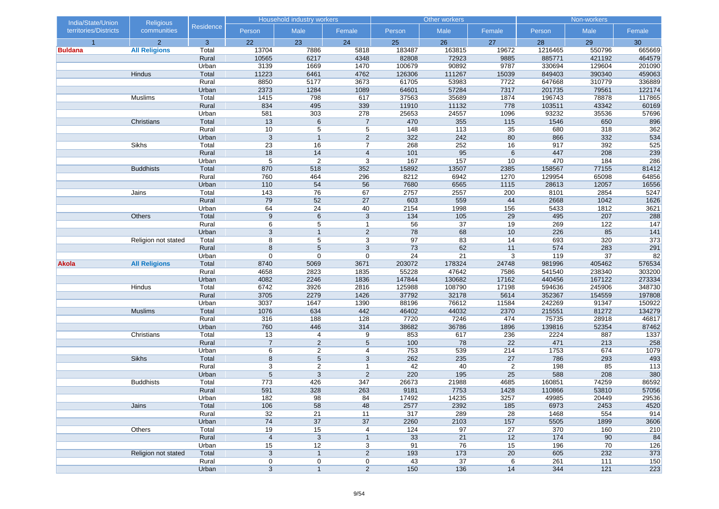| India/State/Union     | <b>Religious</b>     |                |                     | Household industry workers |                                  |                 | Other workers |                |            | Non-workers      |            |
|-----------------------|----------------------|----------------|---------------------|----------------------------|----------------------------------|-----------------|---------------|----------------|------------|------------------|------------|
| territories/Districts | communities          | Residence      | Person              | Male                       | Female                           | Person          | Male          | Female         | Person     | Male             | Female     |
| $\overline{1}$        | $\overline{2}$       | 3              | 22                  | 23                         | 24                               | 25              | 26            | 27             | 28         | 29               | 30         |
| <b>Buldana</b>        | <b>All Religions</b> | Total          | 13704               | 7886                       | 5818                             | 183487          | 163815        | 19672          | 1216465    | 550796           | 665669     |
|                       |                      | Rural          | 10565               | 6217                       | 4348                             | 82808           | 72923         | 9885           | 885771     | 421192           | 464579     |
|                       |                      | Urban          | 3139                | 1669                       | 1470                             | 100679          | 90892         | 9787           | 330694     | 129604           | 201090     |
|                       | Hindus               | Total          | 11223               | 6461                       | 4762                             | 126306          | 111267        | 15039          | 849403     | 390340           | 459063     |
|                       |                      | Rural          | 8850                | 5177                       | 3673                             | 61705           | 53983         | 7722           | 647668     | 310779           | 336889     |
|                       |                      | Urban          | 2373                | 1284                       | 1089                             | 64601           | 57284         | 7317           | 201735     | 79561            | 122174     |
|                       | Muslims              | Total          | 1415                | 798                        | 617                              | 37563           | 35689         | 1874           | 196743     | 78878            | 117865     |
|                       |                      | Rural          | 834                 | 495                        | 339                              | 11910           | 11132         | 778            | 103511     | 43342            | 60169      |
|                       |                      | Urban          | 581                 | 303                        | 278                              | 25653           | 24557         | 1096           | 93232      | 35536            | 57696      |
|                       | Christians           | Total          | 13                  | 6                          | $\overline{7}$                   | 470             | 355           | 115            | 1546       | 650              | 896        |
|                       |                      | Rural          | 10                  | 5                          | 5                                | 148             | 113           | 35             | 680        | 318              | 362        |
|                       | Sikhs                | Urban          | 3<br>23             | $\overline{1}$<br>16       | $\overline{2}$<br>$\overline{7}$ | 322<br>268      | 242           | 80<br>16       | 866<br>917 | 332<br>392       | 534<br>525 |
|                       |                      | Total<br>Rural | 18                  | 14                         | $\overline{4}$                   | 101             | 252<br>95     | 6              | 447        | 208              | 239        |
|                       |                      | Urban          | 5                   | $\overline{2}$             | 3                                | 167             | 157           | 10             | 470        | 184              | 286        |
|                       | <b>Buddhists</b>     | Total          | 870                 | 518                        | 352                              | 15892           | 13507         | 2385           | 158567     | 77155            | 81412      |
|                       |                      | Rural          | 760                 | 464                        | 296                              | 8212            | 6942          | 1270           | 129954     | 65098            | 64856      |
|                       |                      | Urban          | 110                 | 54                         | 56                               | 7680            | 6565          | 1115           | 28613      | 12057            | 16556      |
|                       | Jains                | Total          | 143                 | 76                         | 67                               | 2757            | 2557          | 200            | 8101       | 2854             | 5247       |
|                       |                      | Rural          | 79                  | 52                         | 27                               | 603             | 559           | 44             | 2668       | 1042             | 1626       |
|                       |                      | Urban          | 64                  | 24                         | 40                               | 2154            | 1998          | 156            | 5433       | 1812             | 3621       |
|                       | Others               | Total          | $9\,$               | 6                          | 3                                | 134             | 105           | 29             | 495        | 207              | 288        |
|                       |                      | Rural          | 6                   | 5                          | $\overline{1}$                   | $\overline{56}$ | 37            | 19             | 269        | 122              | 147        |
|                       |                      | Urban          | 3                   | $\mathbf{1}$               | $\overline{2}$                   | 78              | 68            | 10             | 226        | 85               | 141        |
|                       | Religion not stated  | Total          | 8                   | 5                          | 3                                | 97              | 83            | 14             | 693        | 320              | 373        |
|                       |                      | Rural          | 8                   | 5                          | 3                                | 73              | 62            | 11             | 574        | 283              | 291        |
|                       |                      | Urban          | $\mathbf 0$         | 0                          | $\boldsymbol{0}$                 | 24              | 21            | 3              | 119        | 37               | 82         |
| Akola                 | <b>All Religions</b> | Total          | 8740                | 5069                       | 3671                             | 203072          | 178324        | 24748          | 981996     | 405462           | 576534     |
|                       |                      | Rural          | 4658                | 2823                       | 1835                             | 55228           | 47642         | 7586           | 541540     | 238340           | 303200     |
|                       |                      | Urban          | 4082                | 2246                       | 1836                             | 147844          | 130682        | 17162          | 440456     | 167122           | 273334     |
|                       | Hindus               | Total          | 6742                | 3926                       | 2816                             | 125988          | 108790        | 17198          | 594636     | 245906           | 348730     |
|                       |                      | Rural          | 3705                | 2279                       | 1426                             | 37792           | 32178         | 5614           | 352367     | 154559           | 197808     |
|                       |                      | Urban          | 3037                | 1647                       | 1390                             | 88196           | 76612         | 11584          | 242269     | 91347            | 150922     |
|                       | <b>Muslims</b>       | Total          | 1076                | 634                        | 442                              | 46402           | 44032         | 2370           | 215551     | 81272            | 134279     |
|                       |                      | Rural          | 316                 | 188                        | 128                              | 7720            | 7246          | 474            | 75735      | 28918            | 46817      |
|                       |                      | Urban          | 760                 | 446                        | 314                              | 38682           | 36786         | 1896           | 139816     | 52354            | 87462      |
|                       | Christians           | Total          | 13                  | 4                          | 9                                | 853             | 617           | 236            | 2224       | 887              | 1337       |
|                       |                      | Rural          | $\overline{7}$      | $\overline{2}$             | $\sqrt{5}$                       | 100             | 78            | 22             | 471        | 213              | 258        |
|                       |                      | Urban          | 6                   | $\sqrt{2}$                 | 4                                | 753             | 539           | 214            | 1753       | 674              | 1079       |
|                       | <b>Sikhs</b>         | Total          | 8                   | $\sqrt{5}$                 | 3                                | 262             | 235           | 27             | 786        | 293              | 493        |
|                       |                      | Rural          | 3                   | $\overline{c}$             | $\mathbf{1}$                     | 42              | 40            | $\overline{2}$ | 198        | 85               | 113        |
|                       |                      | Urban          | 5                   | 3                          | 2                                | 220             | 195           | 25             | 588        | 208              | 380        |
|                       | <b>Buddhists</b>     | Total          | 773                 | 426                        | 347                              | 26673           | 21988         | 4685           | 160851     | 74259            | 86592      |
|                       |                      | Rural          | 591                 | 328                        | 263                              | 9181            | 7753          | 1428           | 110866     | 53810            | 57056      |
|                       |                      | Urban          | 182                 | 98                         | 84                               | 17492           | 14235         | 3257           | 49985      | 20449            | 29536      |
|                       | Jains                | Total          | 106                 | 58                         | 48                               | 2577            | 2392          | 185            | 6973       | 2453             | 4520       |
|                       |                      | Rural          | 32                  | 21                         | 11                               | 317             | 289           | 28             | 1468       | 554              | 914        |
|                       |                      | Urban          | 74                  | 37                         | 37                               | 2260            | 2103          | 157            | 5505       | 1899             | 3606       |
|                       | Others               | Total          | 19                  | 15                         | 4                                | 124             | 97            | 27             | 370        | 160              | 210        |
|                       |                      | Rural          | $\overline{4}$      | 3                          | $\mathbf{1}$                     | 33<br>91        | 21<br>76      | 12             | 174<br>196 | 90<br>70         | 84<br>126  |
|                       |                      | Urban          | 15                  | 12<br>$\overline{1}$       | 3<br>$\overline{2}$              | 193             | 173           | 15<br>20       | 605        | 232              | 373        |
|                       | Religion not stated  | Total<br>Rural | 3                   |                            |                                  | 43              | 37            |                | 261        | $\overline{111}$ | 150        |
|                       |                      | Urban          | 0<br>$\overline{3}$ | 0<br>$\overline{1}$        | 0<br>$\overline{2}$              | 150             | 136           | 6              | 344        | 121              |            |
|                       |                      |                |                     |                            |                                  |                 |               | 14             |            |                  | 223        |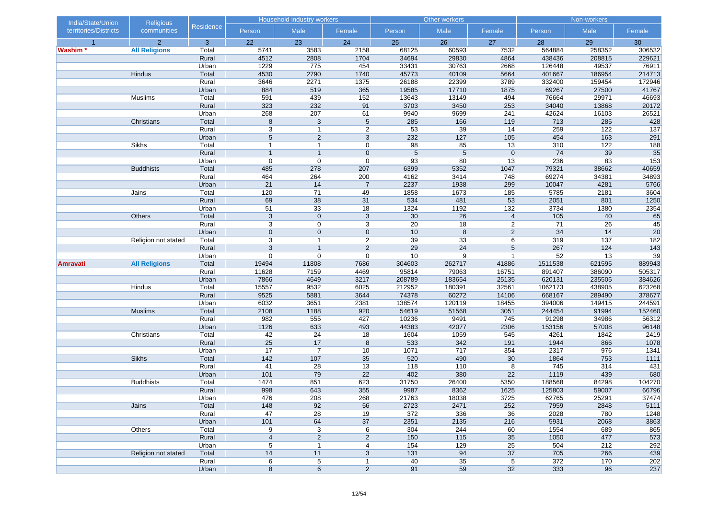| India/State/Union     | <b>Religious</b>     |                |                | Household industry workers |                       |                 | Other workers  |                  |                | Non-workers  |                         |
|-----------------------|----------------------|----------------|----------------|----------------------------|-----------------------|-----------------|----------------|------------------|----------------|--------------|-------------------------|
| territories/Districts | communities          | Residence      | Person         | Male                       | Female                | Person          | Male           | Female           | Person         | Male         | Female                  |
|                       | 2                    | 3              | 22             | 23                         | 24                    | 25              | 26             | 27               | 28             | 29           | 30                      |
| Washim*               | <b>All Religions</b> | Total          | 5741           | 3583                       | 2158                  | 68125           | 60593          | 7532             | 564884         | 258352       | 306532                  |
|                       |                      | Rural          | 4512           | 2808                       | 1704                  | 34694           | 29830          | 4864             | 438436         | 208815       | 229621                  |
|                       |                      | Urban          | 1229           | 775                        | 454                   | 33431           | 30763          | 2668             | 126448         | 49537        | 76911                   |
|                       | <b>Hindus</b>        | Total          | 4530           | 2790                       | 1740                  | 45773           | 40109          | 5664             | 401667         | 186954       | 214713                  |
|                       |                      | Rural          | 3646           | 2271                       | 1375                  | 26188           | 22399          | 3789             | 332400         | 159454       | 172946                  |
|                       |                      | Urban          | 884            | 519                        | 365                   | 19585           | 17710          | 1875             | 69267          | 27500        | 41767                   |
|                       | Muslims              | Total          | 591            | 439                        | 152                   | 13643           | 13149          | 494              | 76664          | 29971        | 46693                   |
|                       |                      | Rural          | 323            | 232                        | 91                    | 3703            | 3450<br>9699   | 253<br>241       | 34040<br>42624 | 13868        | 20172<br>26521          |
|                       | Christians           | Urban<br>Total | 268            | 207<br>3                   | 61<br>$5\phantom{.0}$ | 9940<br>285     | 166            | 119              | 713            | 16103<br>285 |                         |
|                       |                      | Rural          | $\bf 8$<br>3   | $\overline{1}$             | $\overline{2}$        | $\overline{53}$ | 39             | 14               | 259            | 122          | 428<br>$\overline{137}$ |
|                       |                      | Urban          | $\sqrt{5}$     | $\overline{2}$             | 3                     | 232             | 127            | 105              | 454            | 163          | 291                     |
|                       | Sikhs                | Total          | $\overline{1}$ | $\overline{1}$             | 0                     | 98              | 85             | 13               | 310            | 122          | 188                     |
|                       |                      | Rural          | $\overline{1}$ | $\overline{1}$             | $\mathbf 0$           | $5\phantom{.0}$ | $\overline{5}$ | $\mathbf 0$      | 74             | 39           | 35                      |
|                       |                      | Urban          | 0              | $\mathbf 0$                | $\boldsymbol{0}$      | 93              | 80             | 13               | 236            | 83           | $\overline{153}$        |
|                       | <b>Buddhists</b>     | Total          | 485            | 278                        | 207                   | 6399            | 5352           | 1047             | 79321          | 38662        | 40659                   |
|                       |                      | Rural          | 464            | 264                        | 200                   | 4162            | 3414           | 748              | 69274          | 34381        | 34893                   |
|                       |                      | Urban          | 21             | 14                         | $\overline{7}$        | 2237            | 1938           | 299              | 10047          | 4281         | 5766                    |
|                       | Jains                | Total          | 120            | 71                         | 49                    | 1858            | 1673           | 185              | 5785           | 2181         | 3604                    |
|                       |                      | Rural          | 69             | 38                         | 31                    | 534             | 481            | 53               | 2051           | 801          | 1250                    |
|                       |                      | Urban          | 51             | 33                         | $\overline{18}$       | 1324            | 1192           | $\overline{132}$ | 3734           | 1380         | 2354                    |
|                       | Others               | Total          | $\mathbf{3}$   | $\mathbf 0$                | $\mathbf{3}$          | 30              | 26             | $\overline{4}$   | 105            | 40           | 65                      |
|                       |                      | Rural          | 3              | $\mathbf 0$                | 3                     | 20              | 18             | $\overline{c}$   | 71             | 26           | 45                      |
|                       |                      | Urban          | $\mathbf 0$    | $\mathbf 0$                | $\mathbf 0$           | 10              | $\,8\,$        | $\overline{2}$   | 34             | 14           | 20                      |
|                       | Religion not stated  | Total          | 3              | $\mathbf{1}$               | $\overline{2}$        | 39              | 33             | 6                | 319            | 137          | 182                     |
|                       |                      | Rural          | $\overline{3}$ | $\overline{1}$             | $\overline{2}$        | 29              | 24             | 5                | 267            | 124          | 143                     |
|                       |                      | Urban          | 0              | $\mathbf 0$                | $\mathbf 0$           | $10$            | 9              | $\mathbf{1}$     | 52             | 13           | 39                      |
| Amravati              | <b>All Religions</b> | Total          | 19494          | 11808                      | 7686                  | 304603          | 262717         | 41886            | 1511538        | 621595       | 889943                  |
|                       |                      | Rural          | 11628          | 7159                       | 4469                  | 95814           | 79063          | 16751            | 891407         | 386090       | 505317                  |
|                       |                      | Urban          | 7866           | 4649                       | 3217                  | 208789          | 183654         | 25135            | 620131         | 235505       | 384626                  |
|                       | Hindus               | Total          | 15557          | 9532                       | 6025                  | 212952          | 180391         | 32561            | 1062173        | 438905       | 623268                  |
|                       |                      | Rural          | 9525           | 5881                       | 3644                  | 74378           | 60272          | 14106            | 668167         | 289490       | 378677                  |
|                       |                      | Urban          | 6032           | 3651                       | 2381                  | 138574          | 120119         | 18455            | 394006         | 149415       | 244591                  |
|                       | <b>Muslims</b>       | Total          | 2108           | 1188                       | 920                   | 54619           | 51568          | 3051             | 244454         | 91994        | 152460                  |
|                       |                      | Rural          | 982            | 555                        | 427                   | 10236           | 9491           | 745              | 91298          | 34986        | 56312                   |
|                       |                      | Urban          | 1126           | 633                        | 493                   | 44383           | 42077          | 2306             | 153156         | 57008        | 96148                   |
|                       | Christians           | Total          | 42             | 24                         | 18                    | 1604            | 1059           | 545              | 4261           | 1842         | 2419                    |
|                       |                      | Rural          | 25             | 17<br>$\overline{7}$       | 8                     | 533             | 342            | 191              | 1944           | 866          | 1078                    |
|                       | Sikhs                | Urban<br>Total | 17<br>$142$    | 107                        | $10$<br>35            | 1071<br>520     | 717<br>490     | 354<br>30        | 2317<br>1864   | 976<br>753   | 1341<br>1111            |
|                       |                      | Rural          | 41             | 28                         | 13                    | 118             | 110            | 8                | 745            | 314          | 431                     |
|                       |                      | Urban          | 101            | 79                         | 22                    | 402             | 380            | 22               | 1119           | 439          | 680                     |
|                       | <b>Buddhists</b>     | Total          | 1474           | 851                        | 623                   | 31750           | 26400          | 5350             | 188568         | 84298        | 104270                  |
|                       |                      | Rural          | 998            | 643                        | 355                   | 9987            | 8362           | 1625             | 125803         | 59007        | 66796                   |
|                       |                      | Urban          | 476            | 208                        | 268                   | 21763           | 18038          | 3725             | 62765          | 25291        | 37474                   |
|                       | Jains                | Total          | 148            | 92                         | 56                    | 2723            | 2471           | 252              | 7959           | 2848         | 5111                    |
|                       |                      | Rural          | 47             | 28                         | 19                    | 372             | 336            | 36               | 2028           | 780          | 1248                    |
|                       |                      | Urban          | 101            | 64                         | 37                    | 2351            | 2135           | 216              | 5931           | 2068         | 3863                    |
|                       | Others               | Total          | 9              | 3                          | 6                     | 304             | 244            | 60               | 1554           | 689          | 865                     |
|                       |                      | Rural          | $\overline{4}$ | $\overline{2}$             | 2                     | 150             | 115            | 35               | 1050           | 477          | 573                     |
|                       |                      | Urban          | 5              | $\mathbf{1}$               | 4                     | 154             | 129            | 25               | 504            | 212          | 292                     |
|                       | Religion not stated  | Total          | 14             | 11                         | 3                     | 131             | 94             | 37               | 705            | 266          | 439                     |
|                       |                      | Rural          | 6              | $\overline{5}$             | $\mathbf{1}$          | 40              | 35             | 5                | 372            | 170          | 202                     |
|                       |                      | Urban          | $\bf 8$        | $6\overline{6}$            | $\overline{2}$        | 91              | 59             | 32               | 333            | 96           | 237                     |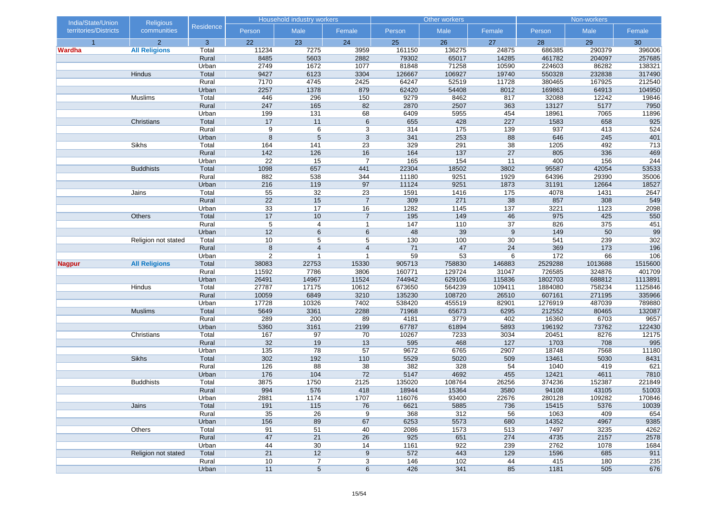| India/State/Union     | <b>Religious</b>     |           |                | Household industry workers |                |        | Other workers |        |         | Non-workers |         |
|-----------------------|----------------------|-----------|----------------|----------------------------|----------------|--------|---------------|--------|---------|-------------|---------|
| territories/Districts | communities          | Residence | Person         | Male                       | Female         | Person | Male          | Female | Person  | Male        | Female  |
| $\overline{1}$        | 2 <sup>1</sup>       | 3         | 22             | 23                         | 24             | 25     | 26            | 27     | 28      | 29          | 30      |
| <b>Wardha</b>         | <b>All Religions</b> | Total     | 11234          | 7275                       | 3959           | 161150 | 136275        | 24875  | 686385  | 290379      | 396006  |
|                       |                      | Rural     | 8485           | 5603                       | 2882           | 79302  | 65017         | 14285  | 461782  | 204097      | 257685  |
|                       |                      | Urban     | 2749           | 1672                       | 1077           | 81848  | 71258         | 10590  | 224603  | 86282       | 138321  |
|                       | Hindus               | Total     | 9427           | 6123                       | 3304           | 126667 | 106927        | 19740  | 550328  | 232838      | 317490  |
|                       |                      | Rural     | 7170           | 4745                       | 2425           | 64247  | 52519         | 11728  | 380465  | 167925      | 212540  |
|                       |                      | Urban     | 2257           | 1378                       | 879            | 62420  | 54408         | 8012   | 169863  | 64913       | 104950  |
|                       | Muslims              | Total     | 446            | 296                        | 150            | 9279   | 8462          | 817    | 32088   | 12242       | 19846   |
|                       |                      | Rural     | 247            | 165                        | 82             | 2870   | 2507          | 363    | 13127   | 5177        | 7950    |
|                       |                      | Urban     | 199            | 131                        | 68             | 6409   | 5955          | 454    | 18961   | 7065        | 11896   |
|                       | Christians           | Total     | 17             | 11                         | 6              | 655    | 428           | 227    | 1583    | 658         | 925     |
|                       |                      | Rural     | 9              | 6                          | 3              | 314    | 175           | 139    | 937     | 413         | 524     |
|                       |                      | Urban     | 8              | $\overline{5}$             | $\overline{3}$ | 341    | 253           | 88     | 646     | 245         | 401     |
|                       | Sikhs                | Total     | 164            | 141                        | 23             | 329    | 291           | 38     | 1205    | 492         | 713     |
|                       |                      | Rural     | 142            | 126                        | 16             | 164    | $137$         | 27     | 805     | 336         | 469     |
|                       |                      | Urban     | 22             | 15                         | $\overline{7}$ | 165    | 154           | 11     | 400     | 156         | 244     |
|                       | <b>Buddhists</b>     | Total     | 1098           | 657                        | 441            | 22304  | 18502         | 3802   | 95587   | 42054       | 53533   |
|                       |                      | Rural     | 882            | 538                        | 344            | 11180  | 9251          | 1929   | 64396   | 29390       | 35006   |
|                       |                      | Urban     | 216            | 119                        | 97             | 11124  | 9251          | 1873   | 31191   | 12664       | 18527   |
|                       | Jains                | Total     | 55             | 32                         | 23             | 1591   | 1416          | 175    | 4078    | 1431        | 2647    |
|                       |                      | Rural     | 22             | 15                         | $\overline{7}$ | 309    | 271           | 38     | 857     | 308         | 549     |
|                       |                      | Urban     | 33             | 17                         | 16             | 1282   | 1145          | 137    | 3221    | 1123        | 2098    |
|                       | Others               | Total     | 17             | 10                         | $\overline{7}$ | 195    | 149           | 46     | 975     | 425         | 550     |
|                       |                      | Rural     | 5              | $\overline{4}$             | $\mathbf{1}$   | 147    | 110           | 37     | 826     | 375         | 451     |
|                       |                      | Urban     | 12             | $6\phantom{1}$             | $\,6\,$        | 48     | 39            | 9      | 149     | 50          | 99      |
|                       | Religion not stated  | Total     | 10             | 5                          | 5              | 130    | 100           | 30     | 541     | 239         | 302     |
|                       |                      | Rural     | $\bf 8$        | $\overline{4}$             | $\overline{4}$ | 71     | 47            | 24     | 369     | 173         | 196     |
|                       |                      | Urban     | $\overline{2}$ | $\overline{1}$             | $\overline{1}$ | 59     | 53            | 6      | 172     | 66          | 106     |
| <b>Nagpur</b>         | <b>All Religions</b> | Total     | 38083          | 22753                      | 15330          | 905713 | 758830        | 146883 | 2529288 | 1013688     | 1515600 |
|                       |                      | Rural     | 11592          | 7786                       | 3806           | 160771 | 129724        | 31047  | 726585  | 324876      | 401709  |
|                       |                      | Urban     | 26491          | 14967                      | 11524          | 744942 | 629106        | 115836 | 1802703 | 688812      | 1113891 |
|                       | Hindus               | Total     | 27787          | 17175                      | 10612          | 673650 | 564239        | 109411 | 1884080 | 758234      | 1125846 |
|                       |                      | Rural     | 10059          | 6849                       | 3210           | 135230 | 108720        | 26510  | 607161  | 271195      | 335966  |
|                       |                      | Urban     | 17728          | 10326                      | 7402           | 538420 | 455519        | 82901  | 1276919 | 487039      | 789880  |
|                       | <b>Muslims</b>       | Total     | 5649           | 3361                       | 2288           | 71968  | 65673         | 6295   | 212552  | 80465       | 132087  |
|                       |                      | Rural     | 289            | 200                        | 89             | 4181   | 3779          | 402    | 16360   | 6703        | 9657    |
|                       |                      | Urban     | 5360           | 3161                       | 2199           | 67787  | 61894         | 5893   | 196192  | 73762       | 122430  |
|                       | Christians           | Total     | 167            | 97                         | 70             | 10267  | 7233          | 3034   | 20451   | 8276        | 12175   |
|                       |                      | Rural     | 32             | 19                         | 13             | 595    | 468           | 127    | 1703    | 708         | 995     |
|                       |                      | Urban     | 135            | 78                         | 57             | 9672   | 6765          | 2907   | 18748   | 7568        | 11180   |
|                       | <b>Sikhs</b>         | Total     | 302            | 192                        | 110            | 5529   | 5020          | 509    | 13461   | 5030        | 8431    |
|                       |                      | Rural     | 126            | 88                         | 38             | 382    | 328           | 54     | 1040    | 419         | 621     |
|                       |                      | Urban     | 176            | 104                        | 72             | 5147   | 4692          | 455    | 12421   | 4611        | 7810    |
|                       | <b>Buddhists</b>     | Total     | 3875<br>994    | 1750                       | 2125           | 135020 | 108764        | 26256  | 374236  | 152387      | 221849  |
|                       |                      | Rural     |                | 576                        | 418            | 18944  | 15364         | 3580   | 94108   | 43105       | 51003   |
|                       |                      | Urban     | 2881           | 1174                       | 1707           | 116076 | 93400         | 22676  | 280128  | 109282      | 170846  |
|                       | Jains                | Total     | 191            | 115                        | 76             | 6621   | 5885          | 736    | 15415   | 5376        | 10039   |
|                       |                      | Rural     | 35             | 26                         | 9              | 368    | 312           | 56     | 1063    | 409         | 654     |
|                       |                      | Urban     | 156            | 89                         | 67             | 6253   | 5573          | 680    | 14352   | 4967        | 9385    |
|                       | Others               | Total     | 91             | 51                         | 40             | 2086   | 1573          | 513    | 7497    | 3235        | 4262    |
|                       |                      | Rural     | 47             | 21                         | 26             | 925    | 651           | 274    | 4735    | 2157        | 2578    |
|                       |                      | Urban     | 44             | 30                         | 14             | 1161   | 922           | 239    | 2762    | 1078        | 1684    |
|                       | Religion not stated  | Total     | 21             | 12                         | 9              | 572    | 443           | 129    | 1596    | 685         | 911     |
|                       |                      | Rural     | 10             | $\overline{7}$             | 3              | 146    | 102           | 44     | 415     | 180         | 235     |
|                       |                      | Urban     | 11             | $\,$ 5 $\,$                | 6              | 426    | 341           | 85     | 1181    | 505         | 676     |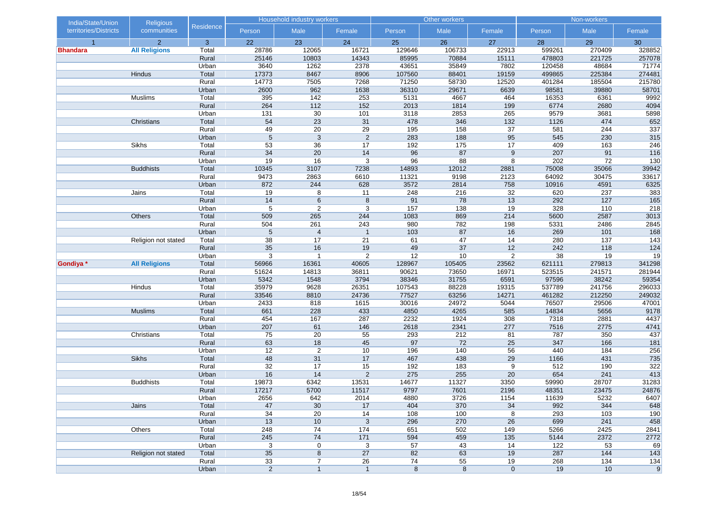| India/State/Union     | <b>Religious</b>     |                  |                 | <b>Household industry workers</b> |                      |            | Other workers    |                       |            | Non-workers |            |
|-----------------------|----------------------|------------------|-----------------|-----------------------------------|----------------------|------------|------------------|-----------------------|------------|-------------|------------|
| territories/Districts | communities          | <b>Residence</b> | Person          | Male                              | Female               | Person     | Male             | Female                | Person     | Male        | Female     |
| $\overline{1}$        | $\overline{2}$       | 3                | 22              | 23                                | 24                   | 25         | 26               | 27                    | 28         | 29          | 30         |
| <b>Bhandara</b>       | <b>All Religions</b> | Total            | 28786           | 12065                             | 16721                | 129646     | 106733           | 22913                 | 599261     | 270409      | 328852     |
|                       |                      | Rural            | 25146           | 10803                             | 14343                | 85995      | 70884            | 15111                 | 478803     | 221725      | 257078     |
|                       |                      | Urban            | 3640            | 1262                              | 2378                 | 43651      | 35849            | 7802                  | 120458     | 48684       | 71774      |
|                       | Hindus               | Total            | 17373           | 8467                              | 8906                 | 107560     | 88401            | 19159                 | 499865     | 225384      | 274481     |
|                       |                      | Rural            | 14773           | 7505                              | 7268                 | 71250      | 58730            | 12520                 | 401284     | 185504      | 215780     |
|                       |                      | Urban            | 2600            | 962                               | 1638                 | 36310      | 29671            | 6639                  | 98581      | 39880       | 58701      |
|                       | Muslims              | Total            | 395             | 142                               | 253                  | 5131       | 4667             | 464                   | 16353      | 6361        | 9992       |
|                       |                      | Rural            | 264             | $112$                             | 152                  | 2013       | 1814             | 199                   | 6774       | 2680        | 4094       |
|                       |                      | Urban            | 131             | 30                                | 101                  | 3118       | 2853             | 265                   | 9579       | 3681        | 5898       |
|                       | Christians           | Total            | 54              | 23                                | 31                   | 478        | 346              | 132                   | 1126       | 474         | 652        |
|                       |                      | Rural            | 49              | $\overline{20}$                   | $\overline{29}$      | 195<br>283 | 158<br>188       | $\overline{37}$<br>95 | 581        | 244         | 337        |
|                       | Sikhs                | Urban<br>Total   | $\overline{5}$  | $\overline{3}$<br>36              | $\overline{2}$<br>17 | 192        | 175              | 17                    | 545<br>409 | 230<br>163  | 315<br>246 |
|                       |                      | Rural            | 53<br>34        | 20                                | 14                   | 96         | 87               | $\boldsymbol{9}$      | 207        | 91          | 116        |
|                       |                      | Urban            | 19              | 16                                | 3                    | 96         | 88               | 8                     | 202        | 72          | 130        |
|                       | <b>Buddhists</b>     | Total            | 10345           | 3107                              | 7238                 | 14893      | 12012            | 2881                  | 75008      | 35066       | 39942      |
|                       |                      | Rural            | 9473            | 2863                              | 6610                 | 11321      | 9198             | 2123                  | 64092      | 30475       | 33617      |
|                       |                      | Urban            | 872             | 244                               | 628                  | 3572       | 2814             | 758                   | 10916      | 4591        | 6325       |
|                       | Jains                | Total            | 19              | 8                                 | 11                   | 248        | 216              | 32                    | 620        | 237         | 383        |
|                       |                      | Rural            | 14              | 6                                 | 8                    | 91         | 78               | 13                    | 292        | 127         | 165        |
|                       |                      | Urban            | 5               | 2                                 | 3                    | 157        | 138              | 19                    | 328        | 110         | 218        |
|                       | Others               | Total            | 509             | 265                               | 244                  | 1083       | 869              | 214                   | 5600       | 2587        | 3013       |
|                       |                      | Rural            | 504             | 261                               | 243                  | 980        | 782              | 198                   | 5331       | 2486        | 2845       |
|                       |                      | Urban            | $\sqrt{5}$      | $\overline{4}$                    | $\overline{1}$       | 103        | 87               | 16                    | 269        | 101         | 168        |
|                       | Religion not stated  | Total            | 38              | 17                                | 21                   | 61         | 47               | 14                    | 280        | 137         | 143        |
|                       |                      | Rural            | 35              | 16                                | 19                   | 49         | 37               | 12                    | 242        | 118         | 124        |
|                       |                      | Urban            | $\mathbf{3}$    | $\overline{1}$                    | 2                    | 12         | 10               | $\overline{2}$        | 38         | 19          | 19         |
| Gondiya *             | <b>All Religions</b> | Total            | 56966           | 16361                             | 40605                | 128967     | 105405           | 23562                 | 621111     | 279813      | 341298     |
|                       |                      | Rural            | 51624           | 14813                             | 36811                | 90621      | 73650            | 16971                 | 523515     | 241571      | 281944     |
|                       |                      | Urban            | 5342            | 1548                              | 3794                 | 38346      | 31755            | 6591                  | 97596      | 38242       | 59354      |
|                       | Hindus               | Total            | 35979           | 9628                              | 26351                | 107543     | 88228            | 19315                 | 537789     | 241756      | 296033     |
|                       |                      | Rural            | 33546           | 8810                              | 24736                | 77527      | 63256            | 14271                 | 461282     | 212250      | 249032     |
|                       |                      | Urban            | 2433            | 818                               | 1615                 | 30016      | 24972            | 5044                  | 76507      | 29506       | 47001      |
|                       | <b>Muslims</b>       | Total            | 661             | 228                               | 433                  | 4850       | 4265             | 585                   | 14834      | 5656        | 9178       |
|                       |                      | Rural            | 454             | 167                               | 287                  | 2232       | 1924             | 308                   | 7318       | 2881        | 4437       |
|                       |                      | Urban            | 207             | 61                                | 146                  | 2618       | 2341             | 277                   | 7516       | 2775        | 4741       |
|                       | Christians           | Total            | 75              | 20                                | 55                   | 293        | 212              | 81                    | 787        | 350         | 437        |
|                       |                      | Rural            | 63              | 18                                | 45                   | 97         | 72               | 25                    | 347        | 166         | 181        |
|                       |                      | Urban            | 12              | $\overline{c}$                    | $10$                 | 196        | 140              | 56                    | 440        | 184         | 256        |
|                       | <b>Sikhs</b>         | Total            | 48              | 31                                | 17                   | 467        | 438              | 29                    | 1166       | 431         | 735        |
|                       |                      | Rural            | $\overline{32}$ | 17                                | 15                   | 192        | 183              | 9                     | 512        | 190         | 322        |
|                       |                      | Urban            | 16              | 14                                | 2                    | 275        | 255              | 20                    | 654        | 241         | 413        |
|                       | <b>Buddhists</b>     | Total            | 19873           | 6342                              | 13531                | 14677      | 11327            | 3350                  | 59990      | 28707       | 31283      |
|                       |                      | Rural            | 17217           | 5700                              | 11517                | 9797       | 7601             | 2196                  | 48351      | 23475       | 24876      |
|                       |                      | Urban            | 2656            | 642                               | 2014                 | 4880       | 3726             | 1154                  | 11639      | 5232        | 6407       |
|                       | Jains                | Total            | 47              | 30                                | 17                   | 404        | 370              | 34                    | 992        | 344         | 648        |
|                       |                      | Rural            | 34              | 20                                | 14                   | 108        | 100              | 8                     | 293        | 103         | 190        |
|                       |                      | Urban            | 13              | 10                                | 3                    | 296        | 270              | 26                    | 699        | 241         | 458        |
|                       | Others               | Total            | 248             | 74                                | 174                  | 651        | 502              | 149                   | 5266       | 2425        | 2841       |
|                       |                      | Rural            | 245             | 74                                | $171$                | 594        | 459              | 135                   | 5144       | 2372        | 2772       |
|                       |                      | Urban            | 3               | $\mathbf 0$                       | 3                    | 57         | 43               | 14                    | $122$      | 53          | 69         |
|                       | Religion not stated  | Total            | 35              | $\bf 8$                           | 27                   | 82         | 63               | 19                    | 287        | 144         | 143        |
|                       |                      | Rural            | 33              | $\overline{7}$                    | 26                   | 74         | $55\overline{)}$ | 19                    | 268        | 134         | 134        |
|                       |                      | Urban            | $\overline{c}$  | $\mathbf{1}$                      | $\mathbf{1}$         | $\bf 8$    | $\bf 8$          | $\mathbf 0$           | 19         | 10          | 9          |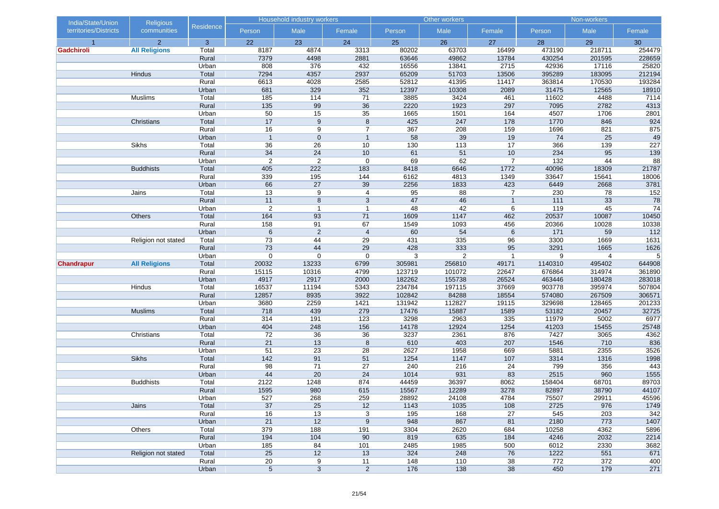| territories/Districts<br>communities<br>Male<br>Male<br>Male<br>Person<br>Female<br>Person<br>Female<br>Person<br>Female<br>23<br>$\overline{2}$<br>22<br>24<br>25<br>26<br>27<br>28<br>29<br>3<br>30<br>$\overline{1}$<br>80202<br>473190<br>218711<br>254479<br>Gadchiroli<br><b>All Religions</b><br>Total<br>8187<br>4874<br>3313<br>63703<br>16499<br>49862<br>430254<br>Rural<br>7379<br>4498<br>2881<br>63646<br>13784<br>201595<br>228659<br>808<br>376<br>432<br>13841<br>2715<br>42936<br>17116<br>25820<br>Urban<br>16556<br>7294<br>4357<br>2937<br>65209<br>51703<br>13506<br>395289<br>183095<br>212194<br>Hindus<br>Total<br>6613<br>4028<br>2585<br>52812<br>41395<br>11417<br>363814<br>170530<br>193284<br>Rural<br>329<br>352<br>12397<br>10308<br>31475<br>12565<br>18910<br>Urban<br>681<br>2089<br>114<br>3885<br>11602<br>4488<br>Total<br>185<br>71<br>3424<br>461<br>7114<br>Muslims<br>135<br>99<br>36<br>2220<br>1923<br>297<br>7095<br>2782<br>4313<br>Rural<br>50<br>15<br>35<br>4507<br>2801<br>Urban<br>1665<br>1501<br>164<br>1706<br>17<br>$9\,$<br>8<br>425<br>247<br>178<br>1770<br>846<br>924<br>Christians<br>Total<br>16<br>367<br>208<br>159<br>821<br>875<br>9<br>$\overline{7}$<br>1696<br>Rural<br>58<br>39<br>19<br>49<br>$\overline{1}$<br>$\mathbf 0$<br>74<br>25<br>$\mathbf{1}$<br>Urban<br>17<br>366<br>227<br>Sikhs<br>36<br>26<br>10<br>130<br>113<br>139<br>Total<br>34<br>24<br>61<br>51<br>10<br>234<br>95<br>139<br>Rural<br>10<br>$\sqrt{2}$<br>$\overline{2}$<br>$\boldsymbol{0}$<br>69<br>62<br>Urban<br>$\overline{7}$<br>132<br>44<br>88<br>Total<br>405<br>222<br>183<br>8418<br>6646<br>1772<br>40096<br>18309<br>21787<br><b>Buddhists</b><br>339<br>195<br>144<br>1349<br>33647<br>15641<br>18006<br>Rural<br>6162<br>4813<br>$\overline{27}$<br>3781<br>66<br>39<br>2256<br>423<br>6449<br>2668<br>Urban<br>1833<br>95<br>230<br>152<br>Total<br>13<br>9<br>4<br>88<br>78<br>Jains<br>7<br>78<br>11<br>8<br>$\mathbf{3}$<br>47<br>46<br>$111$<br>33<br>Rural<br>$\mathbf{1}$<br>$\overline{2}$<br>48<br>42<br>45<br>74<br>Urban<br>$\overline{1}$<br>$\overline{1}$<br>6<br>119<br>93<br>71<br>20537<br>Others<br>Total<br>164<br>1609<br>1147<br>462<br>10087<br>10450<br>91<br>158<br>67<br>1549<br>456<br>20366<br>10028<br>10338<br>Rural<br>1093<br>6<br>$\overline{2}$<br>60<br>112<br>Urban<br>$\overline{4}$<br>54<br>$\,6$<br>171<br>59<br>335<br>1669<br>1631<br>Total<br>73<br>44<br>29<br>431<br>96<br>3300<br>Religion not stated<br>Rural<br>73<br>44<br>29<br>333<br>3291<br>1626<br>428<br>95<br>1665<br>$\boldsymbol{0}$<br>$\mathbf 0$<br>3<br>$\overline{2}$<br>9<br>4<br>5<br>Urban<br>0<br>$\mathbf{1}$<br>20032<br>13233<br>6799<br>305981<br>256810<br>49171<br>1140310<br>495402<br>644908<br><b>Chandrapur</b><br><b>All Religions</b><br>Total<br>123719<br>15115<br>10316<br>4799<br>101072<br>22647<br>676864<br>314974<br>361890<br>Rural<br>4917<br>2917<br>182262<br>155738<br>463446<br>283018<br>Urban<br>2000<br>26524<br>180428<br>234784<br>197115<br>37669<br>395974<br>507804<br>Total<br>16537<br>11194<br>5343<br>903778<br>Hindus<br>12857<br>8935<br>3922<br>102842<br>84288<br>18554<br>574080<br>267509<br>306571<br>Rural<br>3680<br>112827<br>Urban<br>2259<br>1421<br>131942<br>19115<br>329698<br>128465<br>201233<br>439<br>279<br>17476<br>15887<br>53182<br>20457<br><b>Muslims</b><br>Total<br>718<br>1589<br>32725<br>3298<br>2963<br>5002<br>6977<br>314<br>191<br>123<br>335<br>11979<br>Rural<br>404<br>248<br>156<br>12924<br>41203<br>Urban<br>14178<br>1254<br>15455<br>25748<br>4362<br>36<br>36<br>3237<br>Total<br>72<br>2361<br>876<br>7427<br>3065<br>Christians<br>836<br>21<br>13<br>8<br>610<br>403<br>207<br>1546<br>710<br>Rural<br>51<br>23<br>2627<br>1958<br>2355<br>3526<br>Urban<br>28<br>669<br>5881<br>$142$<br>91<br>51<br>1254<br>1316<br><b>Sikhs</b><br>Total<br>1147<br>107<br>3314<br>1998<br>98<br>71<br>27<br>240<br>216<br>24<br>799<br>356<br>443<br>Rural<br>44<br>20<br>24<br>931<br>83<br>2515<br>960<br>1555<br>Urban<br>1014<br>1248<br>158404<br>89703<br><b>Buddhists</b><br>Total<br>2122<br>874<br>44459<br>36397<br>8062<br>68701<br>980<br>15567<br>12289<br>3278<br>82897<br>38790<br>44107<br>Rural<br>1595<br>615<br>527<br>268<br>259<br>28892<br>75507<br>29911<br>45596<br>Urban<br>24108<br>4784<br>37<br>25<br>12<br>2725<br>976<br>Jains<br>Total<br>1143<br>1035<br>108<br>16<br>13<br>195<br>168<br>27<br>545<br>203<br>Rural<br>3<br>21<br>12<br>9<br>948<br>867<br>81<br>2180<br>773<br>1407<br>Urban<br>Total<br>379<br>188<br>191<br>3304<br>2620<br>684<br>10258<br>4362<br>5896<br>Others<br>Rural<br>194<br>104<br>90<br>819<br>635<br>184<br>4246<br>2032<br>2214<br>185<br>84<br>101<br>2485<br>1985<br>500<br>6012<br>2330<br>3682<br>Urban<br>25<br>12<br>13<br>324<br>248<br>76<br>1222<br>551<br>Religion not stated<br>Total<br>671<br>148<br>Rural<br>$20\overline{)}$<br>9<br>11<br>110<br>38<br>772<br>372<br>$5\phantom{.0}$<br>$\mathbf{3}$<br>$\overline{2}$<br>Urban<br>176<br>138<br>38<br>450<br>179 | India/State/Union | <b>Religious</b> |           | Household industry workers |  | Other workers | Non-workers |  |     |
|---------------------------------------------------------------------------------------------------------------------------------------------------------------------------------------------------------------------------------------------------------------------------------------------------------------------------------------------------------------------------------------------------------------------------------------------------------------------------------------------------------------------------------------------------------------------------------------------------------------------------------------------------------------------------------------------------------------------------------------------------------------------------------------------------------------------------------------------------------------------------------------------------------------------------------------------------------------------------------------------------------------------------------------------------------------------------------------------------------------------------------------------------------------------------------------------------------------------------------------------------------------------------------------------------------------------------------------------------------------------------------------------------------------------------------------------------------------------------------------------------------------------------------------------------------------------------------------------------------------------------------------------------------------------------------------------------------------------------------------------------------------------------------------------------------------------------------------------------------------------------------------------------------------------------------------------------------------------------------------------------------------------------------------------------------------------------------------------------------------------------------------------------------------------------------------------------------------------------------------------------------------------------------------------------------------------------------------------------------------------------------------------------------------------------------------------------------------------------------------------------------------------------------------------------------------------------------------------------------------------------------------------------------------------------------------------------------------------------------------------------------------------------------------------------------------------------------------------------------------------------------------------------------------------------------------------------------------------------------------------------------------------------------------------------------------------------------------------------------------------------------------------------------------------------------------------------------------------------------------------------------------------------------------------------------------------------------------------------------------------------------------------------------------------------------------------------------------------------------------------------------------------------------------------------------------------------------------------------------------------------------------------------------------------------------------------------------------------------------------------------------------------------------------------------------------------------------------------------------------------------------------------------------------------------------------------------------------------------------------------------------------------------------------------------------------------------------------------------------------------------------------------------------------------------------------------------------------------------------------------------------------------------------------------------------------------------------------------------------------------------------------------------------------------------------------------------------------------------------------------------------------------------------------------------------------------------------------------------------------------------------------------------------------------------------------------------------------------------------------------------------------------------------------------------------------------------------------------------------------------------------------------------------------------------------------------------------------------------------------------------------------------------------------------------------------------------------------------------------|-------------------|------------------|-----------|----------------------------|--|---------------|-------------|--|-----|
| 1749<br>342<br>400                                                                                                                                                                                                                                                                                                                                                                                                                                                                                                                                                                                                                                                                                                                                                                                                                                                                                                                                                                                                                                                                                                                                                                                                                                                                                                                                                                                                                                                                                                                                                                                                                                                                                                                                                                                                                                                                                                                                                                                                                                                                                                                                                                                                                                                                                                                                                                                                                                                                                                                                                                                                                                                                                                                                                                                                                                                                                                                                                                                                                                                                                                                                                                                                                                                                                                                                                                                                                                                                                                                                                                                                                                                                                                                                                                                                                                                                                                                                                                                                                                                                                                                                                                                                                                                                                                                                                                                                                                                                                                                                                                                                                                                                                                                                                                                                                                                                                                                                                                                                                                                                                      |                   |                  | Residence |                            |  |               |             |  |     |
|                                                                                                                                                                                                                                                                                                                                                                                                                                                                                                                                                                                                                                                                                                                                                                                                                                                                                                                                                                                                                                                                                                                                                                                                                                                                                                                                                                                                                                                                                                                                                                                                                                                                                                                                                                                                                                                                                                                                                                                                                                                                                                                                                                                                                                                                                                                                                                                                                                                                                                                                                                                                                                                                                                                                                                                                                                                                                                                                                                                                                                                                                                                                                                                                                                                                                                                                                                                                                                                                                                                                                                                                                                                                                                                                                                                                                                                                                                                                                                                                                                                                                                                                                                                                                                                                                                                                                                                                                                                                                                                                                                                                                                                                                                                                                                                                                                                                                                                                                                                                                                                                                                         |                   |                  |           |                            |  |               |             |  |     |
|                                                                                                                                                                                                                                                                                                                                                                                                                                                                                                                                                                                                                                                                                                                                                                                                                                                                                                                                                                                                                                                                                                                                                                                                                                                                                                                                                                                                                                                                                                                                                                                                                                                                                                                                                                                                                                                                                                                                                                                                                                                                                                                                                                                                                                                                                                                                                                                                                                                                                                                                                                                                                                                                                                                                                                                                                                                                                                                                                                                                                                                                                                                                                                                                                                                                                                                                                                                                                                                                                                                                                                                                                                                                                                                                                                                                                                                                                                                                                                                                                                                                                                                                                                                                                                                                                                                                                                                                                                                                                                                                                                                                                                                                                                                                                                                                                                                                                                                                                                                                                                                                                                         |                   |                  |           |                            |  |               |             |  |     |
|                                                                                                                                                                                                                                                                                                                                                                                                                                                                                                                                                                                                                                                                                                                                                                                                                                                                                                                                                                                                                                                                                                                                                                                                                                                                                                                                                                                                                                                                                                                                                                                                                                                                                                                                                                                                                                                                                                                                                                                                                                                                                                                                                                                                                                                                                                                                                                                                                                                                                                                                                                                                                                                                                                                                                                                                                                                                                                                                                                                                                                                                                                                                                                                                                                                                                                                                                                                                                                                                                                                                                                                                                                                                                                                                                                                                                                                                                                                                                                                                                                                                                                                                                                                                                                                                                                                                                                                                                                                                                                                                                                                                                                                                                                                                                                                                                                                                                                                                                                                                                                                                                                         |                   |                  |           |                            |  |               |             |  |     |
|                                                                                                                                                                                                                                                                                                                                                                                                                                                                                                                                                                                                                                                                                                                                                                                                                                                                                                                                                                                                                                                                                                                                                                                                                                                                                                                                                                                                                                                                                                                                                                                                                                                                                                                                                                                                                                                                                                                                                                                                                                                                                                                                                                                                                                                                                                                                                                                                                                                                                                                                                                                                                                                                                                                                                                                                                                                                                                                                                                                                                                                                                                                                                                                                                                                                                                                                                                                                                                                                                                                                                                                                                                                                                                                                                                                                                                                                                                                                                                                                                                                                                                                                                                                                                                                                                                                                                                                                                                                                                                                                                                                                                                                                                                                                                                                                                                                                                                                                                                                                                                                                                                         |                   |                  |           |                            |  |               |             |  |     |
|                                                                                                                                                                                                                                                                                                                                                                                                                                                                                                                                                                                                                                                                                                                                                                                                                                                                                                                                                                                                                                                                                                                                                                                                                                                                                                                                                                                                                                                                                                                                                                                                                                                                                                                                                                                                                                                                                                                                                                                                                                                                                                                                                                                                                                                                                                                                                                                                                                                                                                                                                                                                                                                                                                                                                                                                                                                                                                                                                                                                                                                                                                                                                                                                                                                                                                                                                                                                                                                                                                                                                                                                                                                                                                                                                                                                                                                                                                                                                                                                                                                                                                                                                                                                                                                                                                                                                                                                                                                                                                                                                                                                                                                                                                                                                                                                                                                                                                                                                                                                                                                                                                         |                   |                  |           |                            |  |               |             |  |     |
|                                                                                                                                                                                                                                                                                                                                                                                                                                                                                                                                                                                                                                                                                                                                                                                                                                                                                                                                                                                                                                                                                                                                                                                                                                                                                                                                                                                                                                                                                                                                                                                                                                                                                                                                                                                                                                                                                                                                                                                                                                                                                                                                                                                                                                                                                                                                                                                                                                                                                                                                                                                                                                                                                                                                                                                                                                                                                                                                                                                                                                                                                                                                                                                                                                                                                                                                                                                                                                                                                                                                                                                                                                                                                                                                                                                                                                                                                                                                                                                                                                                                                                                                                                                                                                                                                                                                                                                                                                                                                                                                                                                                                                                                                                                                                                                                                                                                                                                                                                                                                                                                                                         |                   |                  |           |                            |  |               |             |  |     |
|                                                                                                                                                                                                                                                                                                                                                                                                                                                                                                                                                                                                                                                                                                                                                                                                                                                                                                                                                                                                                                                                                                                                                                                                                                                                                                                                                                                                                                                                                                                                                                                                                                                                                                                                                                                                                                                                                                                                                                                                                                                                                                                                                                                                                                                                                                                                                                                                                                                                                                                                                                                                                                                                                                                                                                                                                                                                                                                                                                                                                                                                                                                                                                                                                                                                                                                                                                                                                                                                                                                                                                                                                                                                                                                                                                                                                                                                                                                                                                                                                                                                                                                                                                                                                                                                                                                                                                                                                                                                                                                                                                                                                                                                                                                                                                                                                                                                                                                                                                                                                                                                                                         |                   |                  |           |                            |  |               |             |  |     |
|                                                                                                                                                                                                                                                                                                                                                                                                                                                                                                                                                                                                                                                                                                                                                                                                                                                                                                                                                                                                                                                                                                                                                                                                                                                                                                                                                                                                                                                                                                                                                                                                                                                                                                                                                                                                                                                                                                                                                                                                                                                                                                                                                                                                                                                                                                                                                                                                                                                                                                                                                                                                                                                                                                                                                                                                                                                                                                                                                                                                                                                                                                                                                                                                                                                                                                                                                                                                                                                                                                                                                                                                                                                                                                                                                                                                                                                                                                                                                                                                                                                                                                                                                                                                                                                                                                                                                                                                                                                                                                                                                                                                                                                                                                                                                                                                                                                                                                                                                                                                                                                                                                         |                   |                  |           |                            |  |               |             |  |     |
|                                                                                                                                                                                                                                                                                                                                                                                                                                                                                                                                                                                                                                                                                                                                                                                                                                                                                                                                                                                                                                                                                                                                                                                                                                                                                                                                                                                                                                                                                                                                                                                                                                                                                                                                                                                                                                                                                                                                                                                                                                                                                                                                                                                                                                                                                                                                                                                                                                                                                                                                                                                                                                                                                                                                                                                                                                                                                                                                                                                                                                                                                                                                                                                                                                                                                                                                                                                                                                                                                                                                                                                                                                                                                                                                                                                                                                                                                                                                                                                                                                                                                                                                                                                                                                                                                                                                                                                                                                                                                                                                                                                                                                                                                                                                                                                                                                                                                                                                                                                                                                                                                                         |                   |                  |           |                            |  |               |             |  |     |
|                                                                                                                                                                                                                                                                                                                                                                                                                                                                                                                                                                                                                                                                                                                                                                                                                                                                                                                                                                                                                                                                                                                                                                                                                                                                                                                                                                                                                                                                                                                                                                                                                                                                                                                                                                                                                                                                                                                                                                                                                                                                                                                                                                                                                                                                                                                                                                                                                                                                                                                                                                                                                                                                                                                                                                                                                                                                                                                                                                                                                                                                                                                                                                                                                                                                                                                                                                                                                                                                                                                                                                                                                                                                                                                                                                                                                                                                                                                                                                                                                                                                                                                                                                                                                                                                                                                                                                                                                                                                                                                                                                                                                                                                                                                                                                                                                                                                                                                                                                                                                                                                                                         |                   |                  |           |                            |  |               |             |  |     |
|                                                                                                                                                                                                                                                                                                                                                                                                                                                                                                                                                                                                                                                                                                                                                                                                                                                                                                                                                                                                                                                                                                                                                                                                                                                                                                                                                                                                                                                                                                                                                                                                                                                                                                                                                                                                                                                                                                                                                                                                                                                                                                                                                                                                                                                                                                                                                                                                                                                                                                                                                                                                                                                                                                                                                                                                                                                                                                                                                                                                                                                                                                                                                                                                                                                                                                                                                                                                                                                                                                                                                                                                                                                                                                                                                                                                                                                                                                                                                                                                                                                                                                                                                                                                                                                                                                                                                                                                                                                                                                                                                                                                                                                                                                                                                                                                                                                                                                                                                                                                                                                                                                         |                   |                  |           |                            |  |               |             |  |     |
|                                                                                                                                                                                                                                                                                                                                                                                                                                                                                                                                                                                                                                                                                                                                                                                                                                                                                                                                                                                                                                                                                                                                                                                                                                                                                                                                                                                                                                                                                                                                                                                                                                                                                                                                                                                                                                                                                                                                                                                                                                                                                                                                                                                                                                                                                                                                                                                                                                                                                                                                                                                                                                                                                                                                                                                                                                                                                                                                                                                                                                                                                                                                                                                                                                                                                                                                                                                                                                                                                                                                                                                                                                                                                                                                                                                                                                                                                                                                                                                                                                                                                                                                                                                                                                                                                                                                                                                                                                                                                                                                                                                                                                                                                                                                                                                                                                                                                                                                                                                                                                                                                                         |                   |                  |           |                            |  |               |             |  |     |
|                                                                                                                                                                                                                                                                                                                                                                                                                                                                                                                                                                                                                                                                                                                                                                                                                                                                                                                                                                                                                                                                                                                                                                                                                                                                                                                                                                                                                                                                                                                                                                                                                                                                                                                                                                                                                                                                                                                                                                                                                                                                                                                                                                                                                                                                                                                                                                                                                                                                                                                                                                                                                                                                                                                                                                                                                                                                                                                                                                                                                                                                                                                                                                                                                                                                                                                                                                                                                                                                                                                                                                                                                                                                                                                                                                                                                                                                                                                                                                                                                                                                                                                                                                                                                                                                                                                                                                                                                                                                                                                                                                                                                                                                                                                                                                                                                                                                                                                                                                                                                                                                                                         |                   |                  |           |                            |  |               |             |  |     |
|                                                                                                                                                                                                                                                                                                                                                                                                                                                                                                                                                                                                                                                                                                                                                                                                                                                                                                                                                                                                                                                                                                                                                                                                                                                                                                                                                                                                                                                                                                                                                                                                                                                                                                                                                                                                                                                                                                                                                                                                                                                                                                                                                                                                                                                                                                                                                                                                                                                                                                                                                                                                                                                                                                                                                                                                                                                                                                                                                                                                                                                                                                                                                                                                                                                                                                                                                                                                                                                                                                                                                                                                                                                                                                                                                                                                                                                                                                                                                                                                                                                                                                                                                                                                                                                                                                                                                                                                                                                                                                                                                                                                                                                                                                                                                                                                                                                                                                                                                                                                                                                                                                         |                   |                  |           |                            |  |               |             |  |     |
|                                                                                                                                                                                                                                                                                                                                                                                                                                                                                                                                                                                                                                                                                                                                                                                                                                                                                                                                                                                                                                                                                                                                                                                                                                                                                                                                                                                                                                                                                                                                                                                                                                                                                                                                                                                                                                                                                                                                                                                                                                                                                                                                                                                                                                                                                                                                                                                                                                                                                                                                                                                                                                                                                                                                                                                                                                                                                                                                                                                                                                                                                                                                                                                                                                                                                                                                                                                                                                                                                                                                                                                                                                                                                                                                                                                                                                                                                                                                                                                                                                                                                                                                                                                                                                                                                                                                                                                                                                                                                                                                                                                                                                                                                                                                                                                                                                                                                                                                                                                                                                                                                                         |                   |                  |           |                            |  |               |             |  |     |
|                                                                                                                                                                                                                                                                                                                                                                                                                                                                                                                                                                                                                                                                                                                                                                                                                                                                                                                                                                                                                                                                                                                                                                                                                                                                                                                                                                                                                                                                                                                                                                                                                                                                                                                                                                                                                                                                                                                                                                                                                                                                                                                                                                                                                                                                                                                                                                                                                                                                                                                                                                                                                                                                                                                                                                                                                                                                                                                                                                                                                                                                                                                                                                                                                                                                                                                                                                                                                                                                                                                                                                                                                                                                                                                                                                                                                                                                                                                                                                                                                                                                                                                                                                                                                                                                                                                                                                                                                                                                                                                                                                                                                                                                                                                                                                                                                                                                                                                                                                                                                                                                                                         |                   |                  |           |                            |  |               |             |  |     |
|                                                                                                                                                                                                                                                                                                                                                                                                                                                                                                                                                                                                                                                                                                                                                                                                                                                                                                                                                                                                                                                                                                                                                                                                                                                                                                                                                                                                                                                                                                                                                                                                                                                                                                                                                                                                                                                                                                                                                                                                                                                                                                                                                                                                                                                                                                                                                                                                                                                                                                                                                                                                                                                                                                                                                                                                                                                                                                                                                                                                                                                                                                                                                                                                                                                                                                                                                                                                                                                                                                                                                                                                                                                                                                                                                                                                                                                                                                                                                                                                                                                                                                                                                                                                                                                                                                                                                                                                                                                                                                                                                                                                                                                                                                                                                                                                                                                                                                                                                                                                                                                                                                         |                   |                  |           |                            |  |               |             |  |     |
|                                                                                                                                                                                                                                                                                                                                                                                                                                                                                                                                                                                                                                                                                                                                                                                                                                                                                                                                                                                                                                                                                                                                                                                                                                                                                                                                                                                                                                                                                                                                                                                                                                                                                                                                                                                                                                                                                                                                                                                                                                                                                                                                                                                                                                                                                                                                                                                                                                                                                                                                                                                                                                                                                                                                                                                                                                                                                                                                                                                                                                                                                                                                                                                                                                                                                                                                                                                                                                                                                                                                                                                                                                                                                                                                                                                                                                                                                                                                                                                                                                                                                                                                                                                                                                                                                                                                                                                                                                                                                                                                                                                                                                                                                                                                                                                                                                                                                                                                                                                                                                                                                                         |                   |                  |           |                            |  |               |             |  |     |
|                                                                                                                                                                                                                                                                                                                                                                                                                                                                                                                                                                                                                                                                                                                                                                                                                                                                                                                                                                                                                                                                                                                                                                                                                                                                                                                                                                                                                                                                                                                                                                                                                                                                                                                                                                                                                                                                                                                                                                                                                                                                                                                                                                                                                                                                                                                                                                                                                                                                                                                                                                                                                                                                                                                                                                                                                                                                                                                                                                                                                                                                                                                                                                                                                                                                                                                                                                                                                                                                                                                                                                                                                                                                                                                                                                                                                                                                                                                                                                                                                                                                                                                                                                                                                                                                                                                                                                                                                                                                                                                                                                                                                                                                                                                                                                                                                                                                                                                                                                                                                                                                                                         |                   |                  |           |                            |  |               |             |  |     |
|                                                                                                                                                                                                                                                                                                                                                                                                                                                                                                                                                                                                                                                                                                                                                                                                                                                                                                                                                                                                                                                                                                                                                                                                                                                                                                                                                                                                                                                                                                                                                                                                                                                                                                                                                                                                                                                                                                                                                                                                                                                                                                                                                                                                                                                                                                                                                                                                                                                                                                                                                                                                                                                                                                                                                                                                                                                                                                                                                                                                                                                                                                                                                                                                                                                                                                                                                                                                                                                                                                                                                                                                                                                                                                                                                                                                                                                                                                                                                                                                                                                                                                                                                                                                                                                                                                                                                                                                                                                                                                                                                                                                                                                                                                                                                                                                                                                                                                                                                                                                                                                                                                         |                   |                  |           |                            |  |               |             |  |     |
|                                                                                                                                                                                                                                                                                                                                                                                                                                                                                                                                                                                                                                                                                                                                                                                                                                                                                                                                                                                                                                                                                                                                                                                                                                                                                                                                                                                                                                                                                                                                                                                                                                                                                                                                                                                                                                                                                                                                                                                                                                                                                                                                                                                                                                                                                                                                                                                                                                                                                                                                                                                                                                                                                                                                                                                                                                                                                                                                                                                                                                                                                                                                                                                                                                                                                                                                                                                                                                                                                                                                                                                                                                                                                                                                                                                                                                                                                                                                                                                                                                                                                                                                                                                                                                                                                                                                                                                                                                                                                                                                                                                                                                                                                                                                                                                                                                                                                                                                                                                                                                                                                                         |                   |                  |           |                            |  |               |             |  |     |
|                                                                                                                                                                                                                                                                                                                                                                                                                                                                                                                                                                                                                                                                                                                                                                                                                                                                                                                                                                                                                                                                                                                                                                                                                                                                                                                                                                                                                                                                                                                                                                                                                                                                                                                                                                                                                                                                                                                                                                                                                                                                                                                                                                                                                                                                                                                                                                                                                                                                                                                                                                                                                                                                                                                                                                                                                                                                                                                                                                                                                                                                                                                                                                                                                                                                                                                                                                                                                                                                                                                                                                                                                                                                                                                                                                                                                                                                                                                                                                                                                                                                                                                                                                                                                                                                                                                                                                                                                                                                                                                                                                                                                                                                                                                                                                                                                                                                                                                                                                                                                                                                                                         |                   |                  |           |                            |  |               |             |  |     |
|                                                                                                                                                                                                                                                                                                                                                                                                                                                                                                                                                                                                                                                                                                                                                                                                                                                                                                                                                                                                                                                                                                                                                                                                                                                                                                                                                                                                                                                                                                                                                                                                                                                                                                                                                                                                                                                                                                                                                                                                                                                                                                                                                                                                                                                                                                                                                                                                                                                                                                                                                                                                                                                                                                                                                                                                                                                                                                                                                                                                                                                                                                                                                                                                                                                                                                                                                                                                                                                                                                                                                                                                                                                                                                                                                                                                                                                                                                                                                                                                                                                                                                                                                                                                                                                                                                                                                                                                                                                                                                                                                                                                                                                                                                                                                                                                                                                                                                                                                                                                                                                                                                         |                   |                  |           |                            |  |               |             |  |     |
|                                                                                                                                                                                                                                                                                                                                                                                                                                                                                                                                                                                                                                                                                                                                                                                                                                                                                                                                                                                                                                                                                                                                                                                                                                                                                                                                                                                                                                                                                                                                                                                                                                                                                                                                                                                                                                                                                                                                                                                                                                                                                                                                                                                                                                                                                                                                                                                                                                                                                                                                                                                                                                                                                                                                                                                                                                                                                                                                                                                                                                                                                                                                                                                                                                                                                                                                                                                                                                                                                                                                                                                                                                                                                                                                                                                                                                                                                                                                                                                                                                                                                                                                                                                                                                                                                                                                                                                                                                                                                                                                                                                                                                                                                                                                                                                                                                                                                                                                                                                                                                                                                                         |                   |                  |           |                            |  |               |             |  |     |
|                                                                                                                                                                                                                                                                                                                                                                                                                                                                                                                                                                                                                                                                                                                                                                                                                                                                                                                                                                                                                                                                                                                                                                                                                                                                                                                                                                                                                                                                                                                                                                                                                                                                                                                                                                                                                                                                                                                                                                                                                                                                                                                                                                                                                                                                                                                                                                                                                                                                                                                                                                                                                                                                                                                                                                                                                                                                                                                                                                                                                                                                                                                                                                                                                                                                                                                                                                                                                                                                                                                                                                                                                                                                                                                                                                                                                                                                                                                                                                                                                                                                                                                                                                                                                                                                                                                                                                                                                                                                                                                                                                                                                                                                                                                                                                                                                                                                                                                                                                                                                                                                                                         |                   |                  |           |                            |  |               |             |  |     |
|                                                                                                                                                                                                                                                                                                                                                                                                                                                                                                                                                                                                                                                                                                                                                                                                                                                                                                                                                                                                                                                                                                                                                                                                                                                                                                                                                                                                                                                                                                                                                                                                                                                                                                                                                                                                                                                                                                                                                                                                                                                                                                                                                                                                                                                                                                                                                                                                                                                                                                                                                                                                                                                                                                                                                                                                                                                                                                                                                                                                                                                                                                                                                                                                                                                                                                                                                                                                                                                                                                                                                                                                                                                                                                                                                                                                                                                                                                                                                                                                                                                                                                                                                                                                                                                                                                                                                                                                                                                                                                                                                                                                                                                                                                                                                                                                                                                                                                                                                                                                                                                                                                         |                   |                  |           |                            |  |               |             |  |     |
|                                                                                                                                                                                                                                                                                                                                                                                                                                                                                                                                                                                                                                                                                                                                                                                                                                                                                                                                                                                                                                                                                                                                                                                                                                                                                                                                                                                                                                                                                                                                                                                                                                                                                                                                                                                                                                                                                                                                                                                                                                                                                                                                                                                                                                                                                                                                                                                                                                                                                                                                                                                                                                                                                                                                                                                                                                                                                                                                                                                                                                                                                                                                                                                                                                                                                                                                                                                                                                                                                                                                                                                                                                                                                                                                                                                                                                                                                                                                                                                                                                                                                                                                                                                                                                                                                                                                                                                                                                                                                                                                                                                                                                                                                                                                                                                                                                                                                                                                                                                                                                                                                                         |                   |                  |           |                            |  |               |             |  |     |
|                                                                                                                                                                                                                                                                                                                                                                                                                                                                                                                                                                                                                                                                                                                                                                                                                                                                                                                                                                                                                                                                                                                                                                                                                                                                                                                                                                                                                                                                                                                                                                                                                                                                                                                                                                                                                                                                                                                                                                                                                                                                                                                                                                                                                                                                                                                                                                                                                                                                                                                                                                                                                                                                                                                                                                                                                                                                                                                                                                                                                                                                                                                                                                                                                                                                                                                                                                                                                                                                                                                                                                                                                                                                                                                                                                                                                                                                                                                                                                                                                                                                                                                                                                                                                                                                                                                                                                                                                                                                                                                                                                                                                                                                                                                                                                                                                                                                                                                                                                                                                                                                                                         |                   |                  |           |                            |  |               |             |  |     |
|                                                                                                                                                                                                                                                                                                                                                                                                                                                                                                                                                                                                                                                                                                                                                                                                                                                                                                                                                                                                                                                                                                                                                                                                                                                                                                                                                                                                                                                                                                                                                                                                                                                                                                                                                                                                                                                                                                                                                                                                                                                                                                                                                                                                                                                                                                                                                                                                                                                                                                                                                                                                                                                                                                                                                                                                                                                                                                                                                                                                                                                                                                                                                                                                                                                                                                                                                                                                                                                                                                                                                                                                                                                                                                                                                                                                                                                                                                                                                                                                                                                                                                                                                                                                                                                                                                                                                                                                                                                                                                                                                                                                                                                                                                                                                                                                                                                                                                                                                                                                                                                                                                         |                   |                  |           |                            |  |               |             |  |     |
|                                                                                                                                                                                                                                                                                                                                                                                                                                                                                                                                                                                                                                                                                                                                                                                                                                                                                                                                                                                                                                                                                                                                                                                                                                                                                                                                                                                                                                                                                                                                                                                                                                                                                                                                                                                                                                                                                                                                                                                                                                                                                                                                                                                                                                                                                                                                                                                                                                                                                                                                                                                                                                                                                                                                                                                                                                                                                                                                                                                                                                                                                                                                                                                                                                                                                                                                                                                                                                                                                                                                                                                                                                                                                                                                                                                                                                                                                                                                                                                                                                                                                                                                                                                                                                                                                                                                                                                                                                                                                                                                                                                                                                                                                                                                                                                                                                                                                                                                                                                                                                                                                                         |                   |                  |           |                            |  |               |             |  |     |
|                                                                                                                                                                                                                                                                                                                                                                                                                                                                                                                                                                                                                                                                                                                                                                                                                                                                                                                                                                                                                                                                                                                                                                                                                                                                                                                                                                                                                                                                                                                                                                                                                                                                                                                                                                                                                                                                                                                                                                                                                                                                                                                                                                                                                                                                                                                                                                                                                                                                                                                                                                                                                                                                                                                                                                                                                                                                                                                                                                                                                                                                                                                                                                                                                                                                                                                                                                                                                                                                                                                                                                                                                                                                                                                                                                                                                                                                                                                                                                                                                                                                                                                                                                                                                                                                                                                                                                                                                                                                                                                                                                                                                                                                                                                                                                                                                                                                                                                                                                                                                                                                                                         |                   |                  |           |                            |  |               |             |  |     |
|                                                                                                                                                                                                                                                                                                                                                                                                                                                                                                                                                                                                                                                                                                                                                                                                                                                                                                                                                                                                                                                                                                                                                                                                                                                                                                                                                                                                                                                                                                                                                                                                                                                                                                                                                                                                                                                                                                                                                                                                                                                                                                                                                                                                                                                                                                                                                                                                                                                                                                                                                                                                                                                                                                                                                                                                                                                                                                                                                                                                                                                                                                                                                                                                                                                                                                                                                                                                                                                                                                                                                                                                                                                                                                                                                                                                                                                                                                                                                                                                                                                                                                                                                                                                                                                                                                                                                                                                                                                                                                                                                                                                                                                                                                                                                                                                                                                                                                                                                                                                                                                                                                         |                   |                  |           |                            |  |               |             |  |     |
|                                                                                                                                                                                                                                                                                                                                                                                                                                                                                                                                                                                                                                                                                                                                                                                                                                                                                                                                                                                                                                                                                                                                                                                                                                                                                                                                                                                                                                                                                                                                                                                                                                                                                                                                                                                                                                                                                                                                                                                                                                                                                                                                                                                                                                                                                                                                                                                                                                                                                                                                                                                                                                                                                                                                                                                                                                                                                                                                                                                                                                                                                                                                                                                                                                                                                                                                                                                                                                                                                                                                                                                                                                                                                                                                                                                                                                                                                                                                                                                                                                                                                                                                                                                                                                                                                                                                                                                                                                                                                                                                                                                                                                                                                                                                                                                                                                                                                                                                                                                                                                                                                                         |                   |                  |           |                            |  |               |             |  |     |
|                                                                                                                                                                                                                                                                                                                                                                                                                                                                                                                                                                                                                                                                                                                                                                                                                                                                                                                                                                                                                                                                                                                                                                                                                                                                                                                                                                                                                                                                                                                                                                                                                                                                                                                                                                                                                                                                                                                                                                                                                                                                                                                                                                                                                                                                                                                                                                                                                                                                                                                                                                                                                                                                                                                                                                                                                                                                                                                                                                                                                                                                                                                                                                                                                                                                                                                                                                                                                                                                                                                                                                                                                                                                                                                                                                                                                                                                                                                                                                                                                                                                                                                                                                                                                                                                                                                                                                                                                                                                                                                                                                                                                                                                                                                                                                                                                                                                                                                                                                                                                                                                                                         |                   |                  |           |                            |  |               |             |  |     |
|                                                                                                                                                                                                                                                                                                                                                                                                                                                                                                                                                                                                                                                                                                                                                                                                                                                                                                                                                                                                                                                                                                                                                                                                                                                                                                                                                                                                                                                                                                                                                                                                                                                                                                                                                                                                                                                                                                                                                                                                                                                                                                                                                                                                                                                                                                                                                                                                                                                                                                                                                                                                                                                                                                                                                                                                                                                                                                                                                                                                                                                                                                                                                                                                                                                                                                                                                                                                                                                                                                                                                                                                                                                                                                                                                                                                                                                                                                                                                                                                                                                                                                                                                                                                                                                                                                                                                                                                                                                                                                                                                                                                                                                                                                                                                                                                                                                                                                                                                                                                                                                                                                         |                   |                  |           |                            |  |               |             |  |     |
|                                                                                                                                                                                                                                                                                                                                                                                                                                                                                                                                                                                                                                                                                                                                                                                                                                                                                                                                                                                                                                                                                                                                                                                                                                                                                                                                                                                                                                                                                                                                                                                                                                                                                                                                                                                                                                                                                                                                                                                                                                                                                                                                                                                                                                                                                                                                                                                                                                                                                                                                                                                                                                                                                                                                                                                                                                                                                                                                                                                                                                                                                                                                                                                                                                                                                                                                                                                                                                                                                                                                                                                                                                                                                                                                                                                                                                                                                                                                                                                                                                                                                                                                                                                                                                                                                                                                                                                                                                                                                                                                                                                                                                                                                                                                                                                                                                                                                                                                                                                                                                                                                                         |                   |                  |           |                            |  |               |             |  |     |
|                                                                                                                                                                                                                                                                                                                                                                                                                                                                                                                                                                                                                                                                                                                                                                                                                                                                                                                                                                                                                                                                                                                                                                                                                                                                                                                                                                                                                                                                                                                                                                                                                                                                                                                                                                                                                                                                                                                                                                                                                                                                                                                                                                                                                                                                                                                                                                                                                                                                                                                                                                                                                                                                                                                                                                                                                                                                                                                                                                                                                                                                                                                                                                                                                                                                                                                                                                                                                                                                                                                                                                                                                                                                                                                                                                                                                                                                                                                                                                                                                                                                                                                                                                                                                                                                                                                                                                                                                                                                                                                                                                                                                                                                                                                                                                                                                                                                                                                                                                                                                                                                                                         |                   |                  |           |                            |  |               |             |  |     |
|                                                                                                                                                                                                                                                                                                                                                                                                                                                                                                                                                                                                                                                                                                                                                                                                                                                                                                                                                                                                                                                                                                                                                                                                                                                                                                                                                                                                                                                                                                                                                                                                                                                                                                                                                                                                                                                                                                                                                                                                                                                                                                                                                                                                                                                                                                                                                                                                                                                                                                                                                                                                                                                                                                                                                                                                                                                                                                                                                                                                                                                                                                                                                                                                                                                                                                                                                                                                                                                                                                                                                                                                                                                                                                                                                                                                                                                                                                                                                                                                                                                                                                                                                                                                                                                                                                                                                                                                                                                                                                                                                                                                                                                                                                                                                                                                                                                                                                                                                                                                                                                                                                         |                   |                  |           |                            |  |               |             |  |     |
|                                                                                                                                                                                                                                                                                                                                                                                                                                                                                                                                                                                                                                                                                                                                                                                                                                                                                                                                                                                                                                                                                                                                                                                                                                                                                                                                                                                                                                                                                                                                                                                                                                                                                                                                                                                                                                                                                                                                                                                                                                                                                                                                                                                                                                                                                                                                                                                                                                                                                                                                                                                                                                                                                                                                                                                                                                                                                                                                                                                                                                                                                                                                                                                                                                                                                                                                                                                                                                                                                                                                                                                                                                                                                                                                                                                                                                                                                                                                                                                                                                                                                                                                                                                                                                                                                                                                                                                                                                                                                                                                                                                                                                                                                                                                                                                                                                                                                                                                                                                                                                                                                                         |                   |                  |           |                            |  |               |             |  |     |
|                                                                                                                                                                                                                                                                                                                                                                                                                                                                                                                                                                                                                                                                                                                                                                                                                                                                                                                                                                                                                                                                                                                                                                                                                                                                                                                                                                                                                                                                                                                                                                                                                                                                                                                                                                                                                                                                                                                                                                                                                                                                                                                                                                                                                                                                                                                                                                                                                                                                                                                                                                                                                                                                                                                                                                                                                                                                                                                                                                                                                                                                                                                                                                                                                                                                                                                                                                                                                                                                                                                                                                                                                                                                                                                                                                                                                                                                                                                                                                                                                                                                                                                                                                                                                                                                                                                                                                                                                                                                                                                                                                                                                                                                                                                                                                                                                                                                                                                                                                                                                                                                                                         |                   |                  |           |                            |  |               |             |  |     |
|                                                                                                                                                                                                                                                                                                                                                                                                                                                                                                                                                                                                                                                                                                                                                                                                                                                                                                                                                                                                                                                                                                                                                                                                                                                                                                                                                                                                                                                                                                                                                                                                                                                                                                                                                                                                                                                                                                                                                                                                                                                                                                                                                                                                                                                                                                                                                                                                                                                                                                                                                                                                                                                                                                                                                                                                                                                                                                                                                                                                                                                                                                                                                                                                                                                                                                                                                                                                                                                                                                                                                                                                                                                                                                                                                                                                                                                                                                                                                                                                                                                                                                                                                                                                                                                                                                                                                                                                                                                                                                                                                                                                                                                                                                                                                                                                                                                                                                                                                                                                                                                                                                         |                   |                  |           |                            |  |               |             |  |     |
|                                                                                                                                                                                                                                                                                                                                                                                                                                                                                                                                                                                                                                                                                                                                                                                                                                                                                                                                                                                                                                                                                                                                                                                                                                                                                                                                                                                                                                                                                                                                                                                                                                                                                                                                                                                                                                                                                                                                                                                                                                                                                                                                                                                                                                                                                                                                                                                                                                                                                                                                                                                                                                                                                                                                                                                                                                                                                                                                                                                                                                                                                                                                                                                                                                                                                                                                                                                                                                                                                                                                                                                                                                                                                                                                                                                                                                                                                                                                                                                                                                                                                                                                                                                                                                                                                                                                                                                                                                                                                                                                                                                                                                                                                                                                                                                                                                                                                                                                                                                                                                                                                                         |                   |                  |           |                            |  |               |             |  |     |
|                                                                                                                                                                                                                                                                                                                                                                                                                                                                                                                                                                                                                                                                                                                                                                                                                                                                                                                                                                                                                                                                                                                                                                                                                                                                                                                                                                                                                                                                                                                                                                                                                                                                                                                                                                                                                                                                                                                                                                                                                                                                                                                                                                                                                                                                                                                                                                                                                                                                                                                                                                                                                                                                                                                                                                                                                                                                                                                                                                                                                                                                                                                                                                                                                                                                                                                                                                                                                                                                                                                                                                                                                                                                                                                                                                                                                                                                                                                                                                                                                                                                                                                                                                                                                                                                                                                                                                                                                                                                                                                                                                                                                                                                                                                                                                                                                                                                                                                                                                                                                                                                                                         |                   |                  |           |                            |  |               |             |  |     |
|                                                                                                                                                                                                                                                                                                                                                                                                                                                                                                                                                                                                                                                                                                                                                                                                                                                                                                                                                                                                                                                                                                                                                                                                                                                                                                                                                                                                                                                                                                                                                                                                                                                                                                                                                                                                                                                                                                                                                                                                                                                                                                                                                                                                                                                                                                                                                                                                                                                                                                                                                                                                                                                                                                                                                                                                                                                                                                                                                                                                                                                                                                                                                                                                                                                                                                                                                                                                                                                                                                                                                                                                                                                                                                                                                                                                                                                                                                                                                                                                                                                                                                                                                                                                                                                                                                                                                                                                                                                                                                                                                                                                                                                                                                                                                                                                                                                                                                                                                                                                                                                                                                         |                   |                  |           |                            |  |               |             |  |     |
|                                                                                                                                                                                                                                                                                                                                                                                                                                                                                                                                                                                                                                                                                                                                                                                                                                                                                                                                                                                                                                                                                                                                                                                                                                                                                                                                                                                                                                                                                                                                                                                                                                                                                                                                                                                                                                                                                                                                                                                                                                                                                                                                                                                                                                                                                                                                                                                                                                                                                                                                                                                                                                                                                                                                                                                                                                                                                                                                                                                                                                                                                                                                                                                                                                                                                                                                                                                                                                                                                                                                                                                                                                                                                                                                                                                                                                                                                                                                                                                                                                                                                                                                                                                                                                                                                                                                                                                                                                                                                                                                                                                                                                                                                                                                                                                                                                                                                                                                                                                                                                                                                                         |                   |                  |           |                            |  |               |             |  |     |
|                                                                                                                                                                                                                                                                                                                                                                                                                                                                                                                                                                                                                                                                                                                                                                                                                                                                                                                                                                                                                                                                                                                                                                                                                                                                                                                                                                                                                                                                                                                                                                                                                                                                                                                                                                                                                                                                                                                                                                                                                                                                                                                                                                                                                                                                                                                                                                                                                                                                                                                                                                                                                                                                                                                                                                                                                                                                                                                                                                                                                                                                                                                                                                                                                                                                                                                                                                                                                                                                                                                                                                                                                                                                                                                                                                                                                                                                                                                                                                                                                                                                                                                                                                                                                                                                                                                                                                                                                                                                                                                                                                                                                                                                                                                                                                                                                                                                                                                                                                                                                                                                                                         |                   |                  |           |                            |  |               |             |  |     |
|                                                                                                                                                                                                                                                                                                                                                                                                                                                                                                                                                                                                                                                                                                                                                                                                                                                                                                                                                                                                                                                                                                                                                                                                                                                                                                                                                                                                                                                                                                                                                                                                                                                                                                                                                                                                                                                                                                                                                                                                                                                                                                                                                                                                                                                                                                                                                                                                                                                                                                                                                                                                                                                                                                                                                                                                                                                                                                                                                                                                                                                                                                                                                                                                                                                                                                                                                                                                                                                                                                                                                                                                                                                                                                                                                                                                                                                                                                                                                                                                                                                                                                                                                                                                                                                                                                                                                                                                                                                                                                                                                                                                                                                                                                                                                                                                                                                                                                                                                                                                                                                                                                         |                   |                  |           |                            |  |               |             |  |     |
|                                                                                                                                                                                                                                                                                                                                                                                                                                                                                                                                                                                                                                                                                                                                                                                                                                                                                                                                                                                                                                                                                                                                                                                                                                                                                                                                                                                                                                                                                                                                                                                                                                                                                                                                                                                                                                                                                                                                                                                                                                                                                                                                                                                                                                                                                                                                                                                                                                                                                                                                                                                                                                                                                                                                                                                                                                                                                                                                                                                                                                                                                                                                                                                                                                                                                                                                                                                                                                                                                                                                                                                                                                                                                                                                                                                                                                                                                                                                                                                                                                                                                                                                                                                                                                                                                                                                                                                                                                                                                                                                                                                                                                                                                                                                                                                                                                                                                                                                                                                                                                                                                                         |                   |                  |           |                            |  |               |             |  |     |
|                                                                                                                                                                                                                                                                                                                                                                                                                                                                                                                                                                                                                                                                                                                                                                                                                                                                                                                                                                                                                                                                                                                                                                                                                                                                                                                                                                                                                                                                                                                                                                                                                                                                                                                                                                                                                                                                                                                                                                                                                                                                                                                                                                                                                                                                                                                                                                                                                                                                                                                                                                                                                                                                                                                                                                                                                                                                                                                                                                                                                                                                                                                                                                                                                                                                                                                                                                                                                                                                                                                                                                                                                                                                                                                                                                                                                                                                                                                                                                                                                                                                                                                                                                                                                                                                                                                                                                                                                                                                                                                                                                                                                                                                                                                                                                                                                                                                                                                                                                                                                                                                                                         |                   |                  |           |                            |  |               |             |  |     |
|                                                                                                                                                                                                                                                                                                                                                                                                                                                                                                                                                                                                                                                                                                                                                                                                                                                                                                                                                                                                                                                                                                                                                                                                                                                                                                                                                                                                                                                                                                                                                                                                                                                                                                                                                                                                                                                                                                                                                                                                                                                                                                                                                                                                                                                                                                                                                                                                                                                                                                                                                                                                                                                                                                                                                                                                                                                                                                                                                                                                                                                                                                                                                                                                                                                                                                                                                                                                                                                                                                                                                                                                                                                                                                                                                                                                                                                                                                                                                                                                                                                                                                                                                                                                                                                                                                                                                                                                                                                                                                                                                                                                                                                                                                                                                                                                                                                                                                                                                                                                                                                                                                         |                   |                  |           |                            |  |               |             |  |     |
|                                                                                                                                                                                                                                                                                                                                                                                                                                                                                                                                                                                                                                                                                                                                                                                                                                                                                                                                                                                                                                                                                                                                                                                                                                                                                                                                                                                                                                                                                                                                                                                                                                                                                                                                                                                                                                                                                                                                                                                                                                                                                                                                                                                                                                                                                                                                                                                                                                                                                                                                                                                                                                                                                                                                                                                                                                                                                                                                                                                                                                                                                                                                                                                                                                                                                                                                                                                                                                                                                                                                                                                                                                                                                                                                                                                                                                                                                                                                                                                                                                                                                                                                                                                                                                                                                                                                                                                                                                                                                                                                                                                                                                                                                                                                                                                                                                                                                                                                                                                                                                                                                                         |                   |                  |           |                            |  |               |             |  |     |
|                                                                                                                                                                                                                                                                                                                                                                                                                                                                                                                                                                                                                                                                                                                                                                                                                                                                                                                                                                                                                                                                                                                                                                                                                                                                                                                                                                                                                                                                                                                                                                                                                                                                                                                                                                                                                                                                                                                                                                                                                                                                                                                                                                                                                                                                                                                                                                                                                                                                                                                                                                                                                                                                                                                                                                                                                                                                                                                                                                                                                                                                                                                                                                                                                                                                                                                                                                                                                                                                                                                                                                                                                                                                                                                                                                                                                                                                                                                                                                                                                                                                                                                                                                                                                                                                                                                                                                                                                                                                                                                                                                                                                                                                                                                                                                                                                                                                                                                                                                                                                                                                                                         |                   |                  |           |                            |  |               |             |  |     |
|                                                                                                                                                                                                                                                                                                                                                                                                                                                                                                                                                                                                                                                                                                                                                                                                                                                                                                                                                                                                                                                                                                                                                                                                                                                                                                                                                                                                                                                                                                                                                                                                                                                                                                                                                                                                                                                                                                                                                                                                                                                                                                                                                                                                                                                                                                                                                                                                                                                                                                                                                                                                                                                                                                                                                                                                                                                                                                                                                                                                                                                                                                                                                                                                                                                                                                                                                                                                                                                                                                                                                                                                                                                                                                                                                                                                                                                                                                                                                                                                                                                                                                                                                                                                                                                                                                                                                                                                                                                                                                                                                                                                                                                                                                                                                                                                                                                                                                                                                                                                                                                                                                         |                   |                  |           |                            |  |               |             |  | 271 |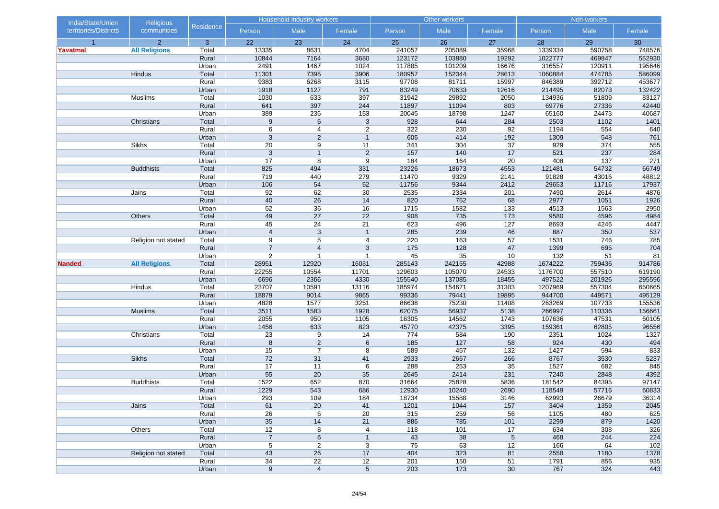| India/State/Union     | <b>Religious</b>     |                  |                | <b>Household industry workers</b> |                                  |            | Other workers |          |             | Non-workers |            |
|-----------------------|----------------------|------------------|----------------|-----------------------------------|----------------------------------|------------|---------------|----------|-------------|-------------|------------|
| territories/Districts | communities          | <b>Residence</b> | Person         | Male                              | Female                           | Person     | Male          | Female   | Person      | Male        | Female     |
| $\overline{1}$        | $\overline{2}$       | 3                | 22             | 23                                | 24                               | 25         | 26            | 27       | 28          | 29          | 30         |
| Yavatmal              | <b>All Religions</b> | Total            | 13335          | 8631                              | 4704                             | 241057     | 205089        | 35968    | 1339334     | 590758      | 748576     |
|                       |                      | Rural            | 10844          | 7164                              | 3680                             | 123172     | 103880        | 19292    | 1022777     | 469847      | 552930     |
|                       |                      | Urban            | 2491           | 1467                              | 1024                             | 117885     | 101209        | 16676    | 316557      | 120911      | 195646     |
|                       | Hindus               | Total            | 11301          | 7395                              | 3906                             | 180957     | 152344        | 28613    | 1060884     | 474785      | 586099     |
|                       |                      | Rural            | 9383           | 6268                              | 3115                             | 97708      | 81711         | 15997    | 846389      | 392712      | 453677     |
|                       |                      | Urban            | 1918           | 1127                              | 791                              | 83249      | 70633         | 12616    | 214495      | 82073       | 132422     |
|                       | Muslims              | Total            | 1030           | 633                               | 397                              | 31942      | 29892         | 2050     | 134936      | 51809       | 83127      |
|                       |                      | Rural            | 641            | 397                               | 244                              | 11897      | 11094         | 803      | 69776       | 27336       | 42440      |
|                       |                      | Urban            | 389            | 236                               | 153                              | 20045      | 18798         | 1247     | 65160       | 24473       | 40687      |
|                       | Christians           | Total            | 9              | 6                                 | $\mathbf{3}$                     | 928        | 644           | 284      | 2503        | 1102        | 1401       |
|                       |                      | Rural            | 6              | 4                                 | $\overline{2}$<br>$\overline{1}$ | 322        | 230<br>414    | 92       | 1194        | 554<br>548  | 640        |
|                       | Sikhs                | Urban<br>Total   | 3<br>20        | $\overline{c}$<br>9               |                                  | 606<br>341 | 304           | 192      | 1309<br>929 | 374         | 761<br>555 |
|                       |                      | Rural            | 3              | $\mathbf{1}$                      | 11<br>$\overline{2}$             | 157        | 140           | 37<br>17 | 521         | 237         | 284        |
|                       |                      | Urban            | 17             | 8                                 | 9                                | 184        | 164           | 20       | 408         | 137         | 271        |
|                       | <b>Buddhists</b>     | Total            | 825            | 494                               | 331                              | 23226      | 18673         | 4553     | 121481      | 54732       | 66749      |
|                       |                      | Rural            | 719            | 440                               | 279                              | 11470      | 9329          | 2141     | 91828       | 43016       | 48812      |
|                       |                      | Urban            | 106            | 54                                | 52                               | 11756      | 9344          | 2412     | 29653       | 11716       | 17937      |
|                       | Jains                | Total            | 92             | 62                                | 30                               | 2535       | 2334          | 201      | 7490        | 2614        | 4876       |
|                       |                      | Rural            | 40             | 26                                | 14                               | 820        | 752           | 68       | 2977        | 1051        | 1926       |
|                       |                      | Urban            | 52             | $\overline{36}$                   | 16                               | 1715       | 1582          | 133      | 4513        | 1563        | 2950       |
|                       | Others               | Total            | 49             | 27                                | 22                               | 908        | 735           | 173      | 9580        | 4596        | 4984       |
|                       |                      | Rural            | 45             | 24                                | 21                               | 623        | 496           | 127      | 8693        | 4246        | 4447       |
|                       |                      | Urban            | $\overline{4}$ | $\mathsf 3$                       | $\overline{1}$                   | 285        | 239           | 46       | 887         | 350         | 537        |
|                       | Religion not stated  | Total            | 9              | 5                                 | 4                                | 220        | 163           | 57       | 1531        | 746         | 785        |
|                       |                      | Rural            | $\overline{7}$ | $\overline{4}$                    | 3                                | 175        | 128           | 47       | 1399        | 695         | 704        |
|                       |                      | Urban            | $\overline{2}$ | $\overline{1}$                    | $\overline{1}$                   | 45         | 35            | 10       | 132         | 51          | 81         |
| <b>Nanded</b>         | <b>All Religions</b> | Total            | 28951          | 12920                             | 16031                            | 285143     | 242155        | 42988    | 1674222     | 759436      | 914786     |
|                       |                      | Rural            | 22255          | 10554                             | 11701                            | 129603     | 105070        | 24533    | 1176700     | 557510      | 619190     |
|                       |                      | Urban            | 6696           | 2366                              | 4330                             | 155540     | 137085        | 18455    | 497522      | 201926      | 295596     |
|                       | Hindus               | Total            | 23707          | 10591                             | 13116                            | 185974     | 154671        | 31303    | 1207969     | 557304      | 650665     |
|                       |                      | Rural            | 18879          | 9014                              | 9865                             | 99336      | 79441         | 19895    | 944700      | 449571      | 495129     |
|                       |                      | Urban            | 4828           | 1577                              | 3251                             | 86638      | 75230         | 11408    | 263269      | 107733      | 155536     |
|                       | <b>Muslims</b>       | Total            | 3511           | 1583                              | 1928                             | 62075      | 56937         | 5138     | 266997      | 110336      | 156661     |
|                       |                      | Rural            | 2055           | 950                               | 1105                             | 16305      | 14562         | 1743     | 107636      | 47531       | 60105      |
|                       |                      | Urban            | 1456           | 633                               | 823                              | 45770      | 42375         | 3395     | 159361      | 62805       | 96556      |
|                       | Christians           | Total            | 23             | 9                                 | 14                               | 774        | 584           | 190      | 2351        | 1024        | 1327       |
|                       |                      | Rural            | 8              | $\overline{c}$                    | 6                                | 185        | 127           | 58       | 924         | 430         | 494        |
|                       |                      | Urban            | 15             | $\overline{7}$                    | 8                                | 589        | 457           | 132      | 1427        | 594         | 833        |
|                       | <b>Sikhs</b>         | Total            | 72             | 31                                | 41                               | 2933       | 2667          | 266      | 8767        | 3530        | 5237       |
|                       |                      | Rural            | 17             | 11                                | 6                                | 288        | 253           | 35       | 1527        | 682         | 845        |
|                       |                      | Urban            | 55             | 20                                | 35                               | 2645       | 2414          | 231      | 7240        | 2848        | 4392       |
|                       | <b>Buddhists</b>     | Total            | 1522           | 652                               | 870                              | 31664      | 25828         | 5836     | 181542      | 84395       | 97147      |
|                       |                      | Rural            | 1229           | 543                               | 686                              | 12930      | 10240         | 2690     | 118549      | 57716       | 60833      |
|                       |                      | Urban            | 293            | 109                               | 184                              | 18734      | 15588         | 3146     | 62993       | 26679       | 36314      |
|                       | Jains                | Total            | 61             | 20                                | 41                               | 1201       | 1044          | 157      | 3404        | 1359        | 2045       |
|                       |                      | Rural            | 26             | 6                                 | 20                               | 315        | 259           | 56       | 1105        | 480         | 625        |
|                       |                      | Urban            | 35             | 14                                | 21                               | 886        | 785           | 101      | 2299        | 879         | 1420       |
|                       | Others               | Total            | 12             | 8                                 | 4                                | 118        | 101           | 17       | 634         | 308         | 326        |
|                       |                      | Rural            | $\overline{7}$ | 6                                 | $\mathbf{1}$                     | 43         | 38            | 5        | 468         | 244         | 224        |
|                       |                      | Urban            | 5              | $\overline{c}$                    | 3                                | 75         | 63            | 12       | 166         | 64          | 102        |
|                       | Religion not stated  | Total            | 43             | 26                                | 17                               | 404        | 323           | 81       | 2558        | 1180        | 1378       |
|                       |                      | Rural            | 34             | $\overline{22}$                   | 12                               | 201        | 150           | 51       | 1791        | 856         | 935        |
|                       |                      | Urban            | 9              | $\overline{4}$                    | $5\phantom{.0}$                  | 203        | $173$         | 30       | 767         | 324         | 443        |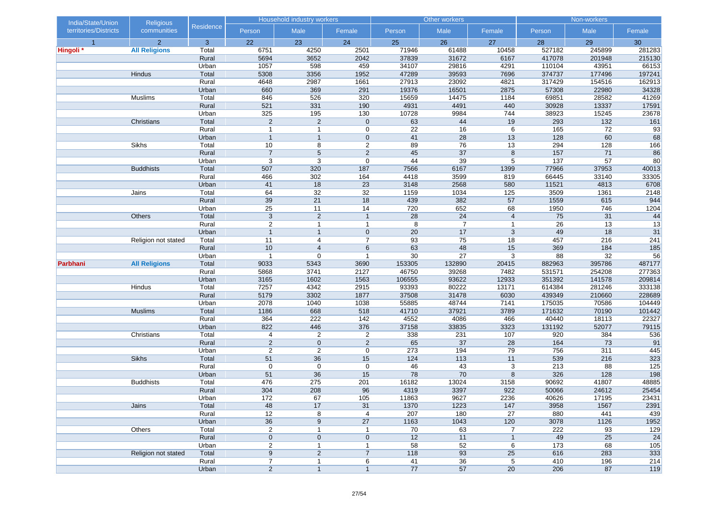| India/State/Union     | <b>Religious</b>     |                |                                  | Household industry workers       |                                |                 | Other workers  |                 |                 | Non-workers    |                 |
|-----------------------|----------------------|----------------|----------------------------------|----------------------------------|--------------------------------|-----------------|----------------|-----------------|-----------------|----------------|-----------------|
| territories/Districts | communities          | Residence      | Person                           | Male                             | Female                         | Person          | Male           | Female          | Person          | Male           | Female          |
| $\overline{1}$        | $\overline{2}$       | $\mathbf{3}$   | 22                               | 23                               | 24                             | 25              | 26             | 27              | 28              | 29             | 30              |
| Hingoli <sup>*</sup>  | <b>All Religions</b> | Total          | 6751                             | 4250                             | 2501                           | 71946           | 61488          | 10458           | 527182          | 245899         | 281283          |
|                       |                      | Rural          | 5694                             | 3652                             | 2042                           | 37839           | 31672          | 6167            | 417078          | 201948         | 215130          |
|                       |                      | Urban          | 1057                             | 598                              | 459                            | 34107           | 29816          | 4291            | 110104          | 43951          | 66153           |
|                       | Hindus               | Total          | 5308                             | 3356                             | 1952                           | 47289           | 39593          | 7696            | 374737          | 177496         | 197241          |
|                       |                      | Rural          | 4648                             | 2987                             | 1661                           | 27913           | 23092          | 4821            | 317429          | 154516         | 162913          |
|                       |                      | Urban          | 660                              | 369                              | 291                            | 19376           | 16501          | 2875            | 57308           | 22980          | 34328           |
|                       | Muslims              | Total          | 846                              | 526                              | 320                            | 15659           | 14475          | 1184            | 69851           | 28582          | 41269           |
|                       |                      | Rural          | 521                              | 331                              | 190                            | 4931            | 4491           | 440             | 30928           | 13337          | 17591           |
|                       | Christians           | Urban<br>Total | 325<br>$\overline{2}$            | 195<br>$\overline{2}$            | 130<br>$\mathbf 0$             | 10728<br>63     | 9984<br>44     | 744<br>19       | 38923<br>293    | 15245<br>$132$ | 23678<br>161    |
|                       |                      | Rural          | $\overline{1}$                   |                                  |                                | $\overline{22}$ | 16             | $\,6\,$         | 165             | 72             | 93              |
|                       |                      |                | $\mathbf{1}$                     | $\overline{1}$<br>$\overline{1}$ | $\mathbf 0$<br>$\mathbf 0$     | 41              | 28             | 13              | 128             | 60             | 68              |
|                       | Sikhs                | Urban<br>Total | 10                               | 8                                | $\overline{2}$                 | 89              | 76             | 13              | 294             | 128            | 166             |
|                       |                      | Rural          | $\overline{7}$                   | $5\phantom{.0}$                  | $\overline{2}$                 | 45              | 37             | $\bf 8$         | 157             | 71             | 86              |
|                       |                      | Urban          | 3                                | 3                                | $\mathbf 0$                    | 44              | 39             | 5               | 137             | 57             | 80              |
|                       | <b>Buddhists</b>     | Total          | 507                              | 320                              | 187                            | 7566            | 6167           | 1399            | 77966           | 37953          | 40013           |
|                       |                      | Rural          | 466                              | 302                              | 164                            | 4418            | 3599           | 819             | 66445           | 33140          | 33305           |
|                       |                      | Urban          | 41                               | 18                               | 23                             | 3148            | 2568           | 580             | 11521           | 4813           | 6708            |
|                       | Jains                | Total          | 64                               | 32                               | 32                             | 1159            | 1034           | 125             | 3509            | 1361           | 2148            |
|                       |                      | Rural          | 39                               | 21                               | 18                             | 439             | 382            | 57              | 1559            | 615            | 944             |
|                       |                      | Urban          | 25                               | 11                               | 14                             | 720             | 652            | 68              | 1950            | 746            | 1204            |
|                       | Others               | Total          | $\overline{3}$                   | $\overline{2}$                   | $\overline{1}$                 | 28              | 24             | $\overline{4}$  | 75              | 31             | 44              |
|                       |                      | Rural          | $\overline{c}$                   | $\mathbf{1}$                     | $\mathbf{1}$                   | 8               | $\overline{7}$ | $\mathbf{1}$    | $\overline{26}$ | 13             | $\overline{13}$ |
|                       |                      | Urban          | $\overline{1}$                   | $\mathbf{1}$                     | $\mathbf 0$                    | 20              | 17             | 3               | 49              | 18             | 31              |
|                       | Religion not stated  | Total          | 11                               | 4                                | $\overline{7}$                 | 93              | 75             | 18              | 457             | 216            | 241             |
|                       |                      | Rural          | 10                               | $\overline{4}$                   | 6                              | 63              | 48             | 15              | 369             | 184            | 185             |
|                       |                      | Urban          | $\overline{1}$                   | $\mathbf 0$                      |                                | $30\,$          | 27             | 3               | 88              | 32             | 56              |
| Parbhani              | <b>All Religions</b> | Total          | 9033                             | 5343                             | 3690                           | 153305          | 132890         | 20415           | 882963          | 395786         | 487177          |
|                       |                      | Rural          | 5868                             | 3741                             | 2127                           | 46750           | 39268          | 7482            | 531571          | 254208         | 277363          |
|                       |                      | Urban          | 3165                             | 1602                             | 1563                           | 106555          | 93622          | 12933           | 351392          | 141578         | 209814          |
|                       | Hindus               | Total          | 7257                             | 4342                             | 2915                           | 93393           | 80222          | 13171           | 614384          | 281246         | 333138          |
|                       |                      | Rural          | 5179                             | 3302                             | 1877                           | 37508           | 31478          | 6030            | 439349          | 210660         | 228689          |
|                       |                      | Urban          | 2078                             | 1040                             | 1038                           | 55885           | 48744          | 7141            | 175035          | 70586          | 104449          |
|                       | <b>Muslims</b>       | Total          | 1186                             | 668                              | 518                            | 41710           | 37921          | 3789            | 171632          | 70190          | 101442          |
|                       |                      | Rural          | 364                              | 222                              | 142                            | 4552            | 4086           | 466             | 40440           | 18113          | 22327           |
|                       |                      | Urban          | 822                              | 446                              | 376                            | 37158           | 33835          | 3323            | 131192          | 52077          | 79115           |
|                       | Christians           | Total          | 4                                | $\overline{2}$                   | 2                              | 338             | 231            | 107             | 920             | 384            | 536             |
|                       |                      | Rural          | $\overline{2}$                   | $\mathbf 0$                      | $\overline{2}$                 | 65              | 37             | 28              | 164             | 73             | 91              |
|                       |                      | Urban          | $\overline{2}$                   | $\overline{2}$                   | $\mathbf 0$                    | 273             | 194            | 79              | 756             | 311            | 445             |
|                       | <b>Sikhs</b>         | Total          | 51                               | 36                               | 15                             | 124             | 113            | 11              | 539             | 216            | 323             |
|                       |                      | Rural          | 0                                | $\mathbf 0$                      | 0                              | 46              | 43             | 3               | 213             | 88             | 125             |
|                       |                      | Urban          | 51                               | 36                               | 15                             | 78              | 70             | 8               | 326             | 128            | 198             |
|                       | <b>Buddhists</b>     | Total          | 476                              | 275                              | 201                            | 16182           | 13024          | 3158            | 90692           | 41807          | 48885           |
|                       |                      | Rural          | 304                              | 208                              | 96                             | 4319            | 3397           | 922             | 50066           | 24612          | 25454           |
|                       |                      | Urban          | $172$                            | 67                               | 105                            | 11863           | 9627           | 2236            | 40626           | 17195          | 23431           |
|                       | Jains                | Total          | 48                               | 17                               | 31                             | 1370            | 1223           | 147             | 3958            | 1567           | 2391            |
|                       |                      | Rural          | 12                               | 8                                | $\overline{4}$                 | 207             | 180            | $\overline{27}$ | 880             | 441            | 439             |
|                       |                      | Urban          | 36                               | 9                                | 27                             | 1163            | 1043           | 120             | 3078            | 1126           | 1952            |
|                       | Others               | Total          | $\overline{\mathbf{c}}$          | $\mathbf{1}$                     | $\mathbf{1}$                   | 70              | 63             | 7               | 222             | 93             | 129             |
|                       |                      | Rural          | $\pmb{0}$                        | $\mathbf 0$                      | $\mathbf 0$                    | 12<br>58        | 11<br>52       | $\mathbf{1}$    | 49<br>173       | 25<br>68       | 24              |
|                       |                      | Urban          | 2<br>9                           | $\mathbf{1}$<br>$\overline{2}$   | $\mathbf{1}$<br>$\overline{7}$ | 118             | 93             | 6<br>25         | 616             | 283            | 105<br>333      |
|                       | Religion not stated  | Total<br>Rural |                                  |                                  |                                | 41              | 36             |                 | 410             | 196            | 214             |
|                       |                      | Urban          | $\overline{7}$<br>$\overline{2}$ | $\mathbf 1$<br>$\mathbf{1}$      | 6<br>$\mathbf{1}$              | 77              |                | 5<br>20         | 206             | 87             | 119             |
|                       |                      |                |                                  |                                  |                                |                 | 57             |                 |                 |                |                 |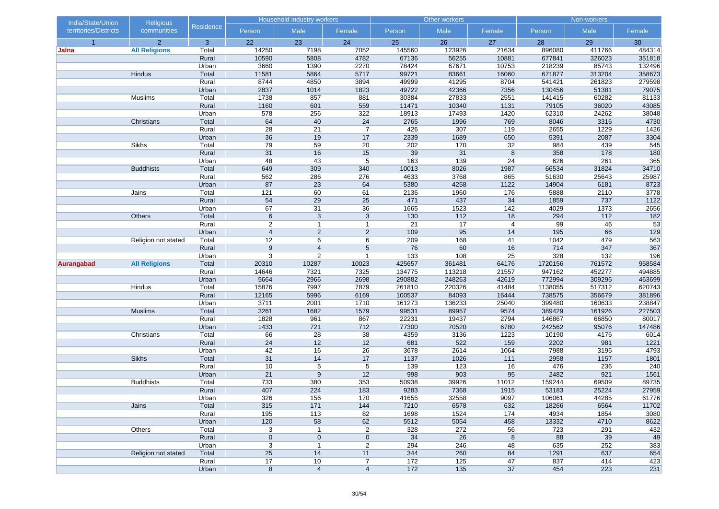| India/State/Union     | <b>Religious</b>     |                |                 | Household industry workers |                |                | Other workers  |                |                 | Non-workers    |                 |
|-----------------------|----------------------|----------------|-----------------|----------------------------|----------------|----------------|----------------|----------------|-----------------|----------------|-----------------|
| territories/Districts | communities          | Residence      | Person          | Male                       | Female         | Person         | Male           | Female         | Person          | Male           | Female          |
| $\overline{1}$        | $\overline{2}$       | $\mathbf{3}$   | 22              | 23                         | 24             | 25             | 26             | 27             | 28              | 29             | 30              |
| Jalna                 | <b>All Religions</b> | Total          | 14250           | 7198                       | 7052           | 145560         | 123926         | 21634          | 896080          | 411766         | 484314          |
|                       |                      | Rural          | 10590           | 5808                       | 4782           | 67136          | 56255          | 10881          | 677841          | 326023         | 351818          |
|                       |                      | Urban          | 3660            | 1390                       | 2270           | 78424          | 67671          | 10753          | 218239          | 85743          | 132496          |
|                       | Hindus               | Total          | 11581           | 5864                       | 5717           | 99721          | 83661          | 16060          | 671877          | 313204         | 358673          |
|                       |                      | Rural          | 8744            | 4850                       | 3894           | 49999          | 41295          | 8704           | 541421          | 261823         | 279598          |
|                       |                      | Urban          | 2837            | 1014                       | 1823           | 49722          | 42366          | 7356           | 130456          | 51381          | 79075           |
|                       | Muslims              | Total<br>Rural | 1738<br>1160    | 857<br>601                 | 881<br>559     | 30384<br>11471 | 27833<br>10340 | 2551<br>1131   | 141415<br>79105 | 60282<br>36020 | 81133<br>43085  |
|                       |                      | Urban          | 578             |                            | 322            | 18913          | 17493          | 1420           | 62310           | 24262          | 38048           |
|                       | Christians           | Total          | 64              | 256<br>40                  | 24             | 2765           | 1996           | 769            | 8046            | 3316           | 4730            |
|                       |                      | Rural          | $\overline{28}$ | 21                         | $\overline{7}$ | 426            | 307            | 119            | 2655            | 1229           | 1426            |
|                       |                      | Urban          | $\overline{36}$ | 19                         | 17             | 2339           | 1689           | 650            | 5391            | 2087           | 3304            |
|                       | Sikhs                | Total          | 79              | 59                         | 20             | 202            | 170            | 32             | 984             | 439            | 545             |
|                       |                      | Rural          | 31              | 16                         | 15             | 39             | 31             | $\bf 8$        | 358             | 178            | 180             |
|                       |                      | Urban          | 48              | 43                         | 5              | 163            | 139            | 24             | 626             | 261            | 365             |
|                       | <b>Buddhists</b>     | Total          | 649             | 309                        | 340            | 10013          | 8026           | 1987           | 66534           | 31824          | 34710           |
|                       |                      | Rural          | 562             | 286                        | 276            | 4633           | 3768           | 865            | 51630           | 25643          | 25987           |
|                       |                      | Urban          | 87              | 23                         | 64             | 5380           | 4258           | 1122           | 14904           | 6181           | 8723            |
|                       | Jains                | Total          | 121             | 60                         | 61             | 2136           | 1960           | 176            | 5888            | 2110           | 3778            |
|                       |                      | Rural          | 54              | 29                         | 25             | 471            | 437            | 34             | 1859            | 737            | 1122            |
|                       |                      | Urban          | 67              | 31                         | 36             | 1665           | 1523           | 142            | 4029            | 1373           | 2656            |
|                       | Others               | Total          | 6               | 3                          | $\mathbf{3}$   | 130            | 112            | 18             | 294             | $112$          | $182$           |
|                       |                      | Rural          | $\sqrt{2}$      | $\mathbf{1}$               | $\mathbf{1}$   | 21             | 17             | $\overline{4}$ | 99              | 46             | $\overline{53}$ |
|                       |                      | Urban          | $\overline{4}$  | $\overline{2}$             | $\overline{2}$ | 109            | 95             | 14             | 195             | 66             | 129             |
|                       | Religion not stated  | Total          | 12              | 6                          | 6              | 209            | 168            | 41             | 1042            | 479            | 563             |
|                       |                      | Rural          | 9               | $\overline{4}$             | 5              | 76             | 60             | 16             | 714             | 347            | 367             |
|                       |                      | Urban          | 3               | $\overline{2}$             | $\overline{1}$ | 133            | 108            | 25             | 328             | 132            | 196             |
| Aurangabad            | <b>All Religions</b> | Total          | 20310           | 10287                      | 10023          | 425657         | 361481         | 64176          | 1720156         | 761572         | 958584          |
|                       |                      | Rural          | 14646           | 7321                       | 7325           | 134775         | 113218         | 21557          | 947162          | 452277         | 494885          |
|                       |                      | Urban          | 5664            | 2966                       | 2698           | 290882         | 248263         | 42619          | 772994          | 309295         | 463699          |
|                       | Hindus               | Total          | 15876           | 7997                       | 7879           | 261810         | 220326         | 41484          | 1138055         | 517312         | 620743          |
|                       |                      | Rural          | 12165           | 5996                       | 6169           | 100537         | 84093          | 16444          | 738575          | 356679         | 381896          |
|                       |                      | Urban          | 3711            | 2001                       | 1710           | 161273         | 136233         | 25040          | 399480          | 160633         | 238847          |
|                       | <b>Muslims</b>       | Total          | 3261            | 1682                       | 1579           | 99531          | 89957          | 9574           | 389429          | 161926         | 227503          |
|                       |                      | Rural          | 1828            | 961                        | 867            | 22231          | 19437          | 2794           | 146867          | 66850          | 80017           |
|                       |                      | Urban          | 1433            | 721                        | 712            | 77300          | 70520          | 6780           | 242562          | 95076          | 147486          |
|                       | Christians           | Total          | 66              | 28                         | 38             | 4359           | 3136           | 1223           | 10190           | 4176           | 6014            |
|                       |                      | Rural<br>Urban | 24<br>42        | 12<br>16                   | 12<br>26       | 681<br>3678    | 522<br>2614    | 159<br>1064    | 2202<br>7988    | 981<br>3195    | 1221<br>4793    |
|                       | <b>Sikhs</b>         | Total          | 31              | 14                         | 17             | 1137           | 1026           | 111            | 2958            | 1157           | 1801            |
|                       |                      | Rural          | 10              | 5                          | 5              | 139            | 123            | 16             | 476             | 236            | 240             |
|                       |                      | Urban          | 21              | 9                          | 12             | 998            | 903            | 95             | 2482            | 921            | 1561            |
|                       | <b>Buddhists</b>     | Total          | 733             | 380                        | 353            | 50938          | 39926          | 11012          | 159244          | 69509          | 89735           |
|                       |                      | Rural          | 407             | 224                        | 183            | 9283           | 7368           | 1915           | 53183           | 25224          | 27959           |
|                       |                      | Urban          | 326             | 156                        | 170            | 41655          | 32558          | 9097           | 106061          | 44285          | 61776           |
|                       | Jains                | Total          | 315             | 171                        | 144            | 7210           | 6578           | 632            | 18266           | 6564           | 11702           |
|                       |                      | Rural          | 195             | 113                        | 82             | 1698           | 1524           | 174            | 4934            | 1854           | 3080            |
|                       |                      | Urban          | 120             | 58                         | 62             | 5512           | 5054           | 458            | 13332           | 4710           | 8622            |
|                       | Others               | Total          | 3               | $\mathbf{1}$               | $\overline{2}$ | 328            | 272            | 56             | 723             | 291            | 432             |
|                       |                      | Rural          | $\mathbf 0$     | $\mathbf 0$                | $\mathbf 0$    | 34             | 26             | 8              | 88              | 39             | 49              |
|                       |                      | Urban          | 3               | $\mathbf{1}$               | $\overline{2}$ | 294            | 246            | 48             | 635             | 252            | 383             |
|                       | Religion not stated  | Total          | 25              | 14                         | 11             | 344            | 260            | 84             | 1291            | 637            | 654             |
|                       |                      | Rural          | 17              | 10                         | 7              | 172            | 125            | 47             | 837             | 414            | 423             |
|                       |                      | Urban          | $\bf 8$         | $\overline{4}$             | $\overline{4}$ | $172$          | 135            | 37             | 454             | 223            | 231             |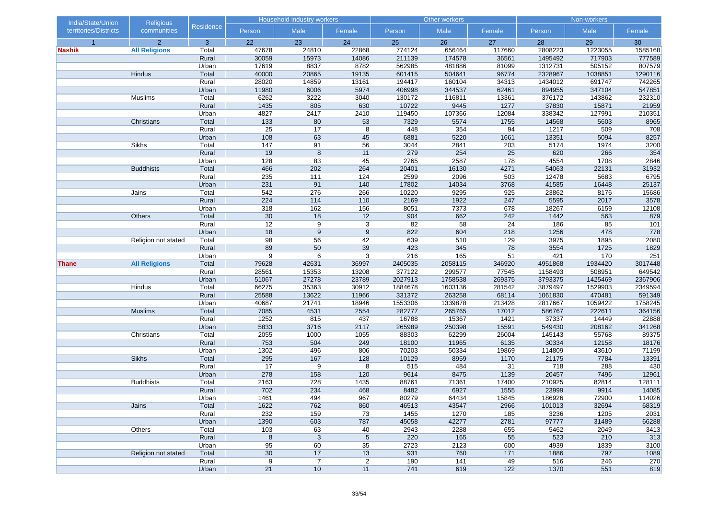| India/State/Union     | <b>Religious</b>     |                |                        | <b>Household industry workers</b> |                      |              | Other workers   |                 |                   | Non-workers  |             |
|-----------------------|----------------------|----------------|------------------------|-----------------------------------|----------------------|--------------|-----------------|-----------------|-------------------|--------------|-------------|
| territories/Districts | communities          | Residence      | Person                 | Male                              | Female               | Person       | Male            | Female          | Person            | Male         | Female      |
| $\overline{1}$        | $\overline{2}$       | 3              | 22                     | 23                                | 24                   | 25           | 26              | 27              | 28                | 29           | 30          |
| <b>Nashik</b>         | <b>All Religions</b> | Total          | 47678                  | 24810                             | 22868                | 774124       | 656464          | 117660          | 2808223           | 1223055      | 1585168     |
|                       |                      | Rural          | 30059                  | 15973                             | 14086                | 211139       | 174578          | 36561           | 1495492           | 717903       | 777589      |
|                       |                      | Urban          | 17619                  | 8837                              | 8782                 | 562985       | 481886          | 81099           | 1312731           | 505152       | 807579      |
|                       | Hindus               | Total          | 40000                  | 20865                             | 19135                | 601415       | 504641          | 96774           | 2328967           | 1038851      | 1290116     |
|                       |                      | Rural          | 28020                  | 14859                             | 13161                | 194417       | 160104          | 34313           | 1434012           | 691747       | 742265      |
|                       |                      | Urban          | 11980                  | 6006                              | 5974                 | 406998       | 344537          | 62461           | 894955            | 347104       | 547851      |
|                       | Muslims              | Total          | 6262                   | 3222                              | 3040                 | 130172       | 116811          | 13361           | 376172            | 143862       | 232310      |
|                       |                      | Rural          | 1435                   | 805                               | 630                  | 10722        | 9445            | 1277            | 37830             | 15871        | 21959       |
|                       |                      | Urban          | 4827                   | 2417                              | 2410                 | 119450       | 107366          | 12084           | 338342            | 127991       | 210351      |
|                       | Christians           | Total          | 133                    | 80                                | 53                   | 7329         | 5574            | 1755            | 14568             | 5603         | 8965        |
|                       |                      | Rural          | $\overline{25}$<br>108 | 17                                | 8                    | 448          | 354             | 94              | $\overline{1217}$ | 509          | 708         |
|                       | Sikhs                | Urban<br>Total | 147                    | 63<br>91                          | 45                   | 6881<br>3044 | 5220<br>2841    | 1661            | 13351<br>5174     | 5094<br>1974 | 8257        |
|                       |                      | Rural          | 19                     | 8                                 | 56<br>11             | 279          | 254             | 203<br>25       | 620               | 266          | 3200<br>354 |
|                       |                      | Urban          | 128                    | 83                                | 45                   | 2765         | 2587            | 178             | 4554              | 1708         | 2846        |
|                       | <b>Buddhists</b>     | Total          | 466                    | 202                               | 264                  | 20401        | 16130           | 4271            | 54063             | 22131        | 31932       |
|                       |                      | Rural          | 235                    | 111                               | 124                  | 2599         | 2096            | 503             | 12478             | 5683         | 6795        |
|                       |                      | Urban          | 231                    | 91                                | 140                  | 17802        | 14034           | 3768            | 41585             | 16448        | 25137       |
|                       | Jains                | Total          | 542                    | 276                               | 266                  | 10220        | 9295            | 925             | 23862             | 8176         | 15686       |
|                       |                      | Rural          | 224                    | $114$                             | $110$                | 2169         | 1922            | 247             | 5595              | 2017         | 3578        |
|                       |                      | Urban          | 318                    | 162                               | 156                  | 8051         | 7373            | 678             | 18267             | 6159         | 12108       |
|                       | Others               | Total          | 30                     | 18                                | 12                   | 904          | 662             | 242             | 1442              | 563          | 879         |
|                       |                      | Rural          | $\overline{12}$        | 9                                 | 3                    | 82           | $\overline{58}$ | $\overline{24}$ | 186               | 85           | 101         |
|                       |                      | Urban          | 18                     | 9                                 | 9                    | 822          | 604             | 218             | 1256              | 478          | 778         |
|                       | Religion not stated  | Total          | 98                     | 56                                | 42                   | 639          | 510             | 129             | 3975              | 1895         | 2080        |
|                       |                      | Rural          | 89                     | 50                                | 39                   | 423          | 345             | 78              | 3554              | 1725         | 1829        |
|                       |                      | Urban          | $\boldsymbol{9}$       | 6                                 | 3                    | 216          | 165             | 51              | 421               | 170          | 251         |
| Thane                 | <b>All Religions</b> | Total          | 79628                  | 42631                             | 36997                | 2405035      | 2058115         | 346920          | 4951868           | 1934420      | 3017448     |
|                       |                      | Rural          | 28561                  | 15353                             | 13208                | 377122       | 299577          | 77545           | 1158493           | 508951       | 649542      |
|                       |                      | Urban          | 51067                  | 27278                             | 23789                | 2027913      | 1758538         | 269375          | 3793375           | 1425469      | 2367906     |
|                       | Hindus               | Total          | 66275                  | 35363                             | 30912                | 1884678      | 1603136         | 281542          | 3879497           | 1529903      | 2349594     |
|                       |                      | Rural          | 25588                  | 13622                             | 11966                | 331372       | 263258          | 68114           | 1061830           | 470481       | 591349      |
|                       |                      | Urban          | 40687                  | 21741                             | 18946                | 1553306      | 1339878         | 213428          | 2817667           | 1059422      | 1758245     |
|                       | <b>Muslims</b>       | Total          | 7085                   | 4531                              | 2554                 | 282777       | 265765          | 17012           | 586767            | 222611       | 364156      |
|                       |                      | Rural          | 1252                   | 815                               | 437                  | 16788        | 15367           | 1421            | 37337             | 14449        | 22888       |
|                       |                      | Urban          | 5833                   | 3716                              | 2117                 | 265989       | 250398          | 15591           | 549430            | 208162       | 341268      |
|                       | Christians           | Total          | 2055                   | 1000                              | 1055                 | 88303        | 62299           | 26004           | 145143            | 55768        | 89375       |
|                       |                      | Rural          | 753                    | 504                               | 249                  | 18100        | 11965           | 6135            | 30334             | 12158        | 18176       |
|                       |                      | Urban          | 1302                   | 496                               | 806                  | 70203        | 50334           | 19869           | 114809            | 43610        | 71199       |
|                       | <b>Sikhs</b>         | Total          | 295                    | 167                               | 128                  | 10129        | 8959            | 1170            | 21175             | 7784         | 13391       |
|                       |                      | Rural          | 17                     | 9                                 | 8                    | 515          | 484             | 31              | 718               | 288          | 430         |
|                       |                      | Urban          | 278                    | 158                               | 120                  | 9614         | 8475            | 1139            | 20457             | 7496         | 12961       |
|                       | <b>Buddhists</b>     | Total          | 2163                   | 728                               | 1435                 | 88761        | 71361           | 17400           | 210925            | 82814        | 128111      |
|                       |                      | Rural          | 702                    | 234                               | 468                  | 8482         | 6927            | 1555            | 23999             | 9914         | 14085       |
|                       |                      | Urban          | 1461                   | 494                               | 967                  | 80279        | 64434           | 15845           | 186926            | 72900        | 114026      |
|                       | Jains                | Total          | 1622                   | 762                               | 860                  | 46513        | 43547           | 2966            | 101013            | 32694        | 68319       |
|                       |                      | Rural          | 232                    | 159                               | 73                   | 1455         | 1270            | 185             | 3236              | 1205         | 2031        |
|                       |                      | Urban          | 1390                   | 603                               | 787                  | 45058        | 42277           | 2781            | 97777             | 31489        | 66288       |
|                       | Others               | Total          | 103                    | 63                                | 40                   | 2943         | 2288            | 655             | 5462              | 2049         | 3413        |
|                       |                      | Rural          | 8                      | 3                                 | $5\phantom{.0}$      | 220          | 165             | 55              | 523<br>4939       | 210          | 313         |
|                       | Religion not stated  | Urban          | 95<br>30               | 60                                | 35                   | 2723<br>931  | 2123<br>760     | 600<br>171      |                   | 1839         | 3100        |
|                       |                      | Total<br>Rural |                        | 17<br>$\overline{7}$              | 13                   | 190          |                 |                 | 1886<br>516       | 797<br>246   | 1089<br>270 |
|                       |                      |                | 9<br>21                | 10                                | $\overline{2}$<br>11 | 741          | 141<br>619      | 49<br>122       | 1370              | 551          |             |
|                       |                      | Urban          |                        |                                   |                      |              |                 |                 |                   |              | 819         |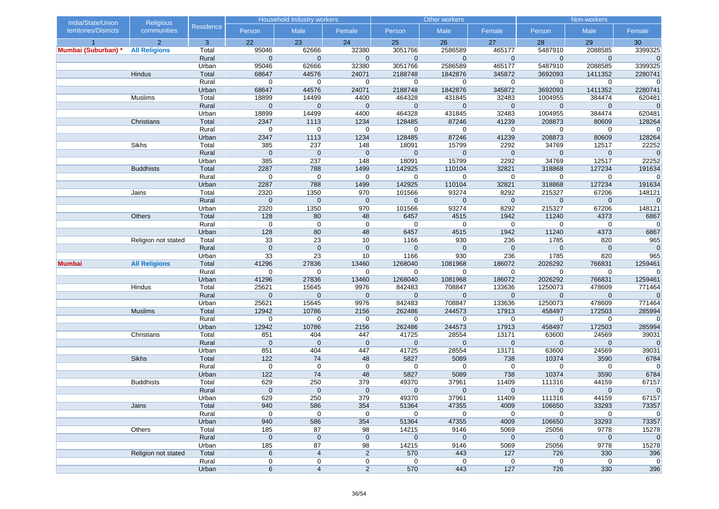| India/State/Union     | <b>Religious</b>     |                | Household industry workers |                     | Other workers         |                       |                       | Non-workers           |                        |                       |                         |
|-----------------------|----------------------|----------------|----------------------------|---------------------|-----------------------|-----------------------|-----------------------|-----------------------|------------------------|-----------------------|-------------------------|
| territories/Districts | communities          | Residence      | Person                     | Male                | Female                | Person                | Male                  | Female                | Person                 | Male                  | Female                  |
|                       | $\overline{2}$       | 3              | 22                         | 23                  | 24                    | 25                    | 26                    | 27                    | 28                     | 29                    | 30                      |
| Mumbai (Suburban)     | <b>All Religions</b> | Total          | 95046                      | 62666               | 32380                 | 3051766               | 2586589               | 465177                | 5487910                | 2088585               | 3399325                 |
|                       |                      | Rural          | 0                          | $\mathbf{0}$        | $\overline{0}$        | $\mathbf 0$           | $\mathbf 0$           | $\mathbf 0$           | $\mathbf 0$            | $\mathbf 0$           | $\mathbf{0}$            |
|                       |                      | Urban          | 95046                      | 62666               | 32380                 | 3051766               | 2586589               | 465177                | 5487910                | 2088585               | 3399325                 |
|                       | <b>Hindus</b>        | Total          | 68647                      | 44576               | 24071                 | 2188748               | 1842876               | 345872                | 3692093                | 1411352               | 2280741                 |
|                       |                      | Rural          | $\mathbf 0$                | $\mathbf 0$         | $\mathbf 0$           | $\mathbf 0$           | $\mathbf 0$           | $\mathbf 0$           | $\mathbf 0$            | $\mathbf 0$           | $\overline{0}$          |
|                       |                      | Urban          | 68647                      | 44576               | 24071                 | 2188748               | 1842876               | 345872                | 3692093                | 1411352               | 2280741                 |
|                       | Muslims              | Total          | 18899                      | 14499               | 4400                  | 464328                | 431845                | 32483                 | 1004955                | 384474                | 620481                  |
|                       |                      | Rural          | $\mathbf 0$                | $\mathbf 0$         | $\mathbf 0$           | $\mathbf 0$           | $\mathbf 0$           | $\mathbf 0$           | $\pmb{0}$              | $\mathbf 0$           | $\overline{0}$          |
|                       |                      | Urban          | 18899                      | 14499               | 4400                  | 464328                | 431845                | 32483                 | 1004955                | 384474                | 620481                  |
|                       | Christians           | Total          | 2347                       | 1113                | 1234                  | 128485                | 87246                 | 41239                 | 208873                 | 80609                 | 128264                  |
|                       |                      | Rural          | $\mathbf 0$                | 0                   | $\mathbf 0$           | 0                     | $\mathbf 0$           | $\mathbf 0$           | $\mathbf 0$            | $\mathbf 0$           | $\overline{0}$          |
|                       | Sikhs                | Urban          | 2347<br>385                | 1113<br>237         | 1234                  | 128485<br>18091       | 87246<br>15799        | 41239<br>2292         | 208873<br>34769        | 80609<br>12517        | 128264                  |
|                       |                      | Total<br>Rural | $\mathbf 0$                | $\mathbf 0$         | 148<br>$\mathbf 0$    | $\mathbf 0$           | $\mathbf 0$           | $\mathbf 0$           | $\mathbf 0$            | $\mathbf 0$           | 22252<br>$\mathbf{0}$   |
|                       |                      | Urban          | 385                        | 237                 | 148                   | 18091                 | 15799                 | 2292                  | 34769                  | 12517                 | 22252                   |
|                       | <b>Buddhists</b>     | Total          | 2287                       | 788                 | 1499                  | 142925                | 110104                | 32821                 | 318868                 | 127234                | 191634                  |
|                       |                      | Rural          | $\mathbf 0$                | $\mathbf 0$         | $\mathbf 0$           | $\mathbf 0$           | $\mathbf 0$           | $\mathbf 0$           | 0                      | $\mathbf 0$           | $\mathbf 0$             |
|                       |                      | Urban          | 2287                       | 788                 | 1499                  | 142925                | 110104                | 32821                 | 318868                 | 127234                | 191634                  |
|                       | Jains                | Total          | 2320                       | 1350                | 970                   | 101566                | 93274                 | 8292                  | 215327                 | 67206                 | 148121                  |
|                       |                      | Rural          | $\mathbf 0$                | $\mathbf 0$         | $\mathbf 0$           | $\mathbf 0$           | $\mathbf 0$           | $\boldsymbol{0}$      | $\pmb{0}$              | $\mathbf 0$           | $\overline{0}$          |
|                       |                      | Urban          | 2320                       | 1350                | 970                   | 101566                | 93274                 | 8292                  | 215327                 | 67206                 | 148121                  |
|                       | Others               | Total          | 128                        | 80                  | 48                    | 6457                  | 4515                  | 1942                  | 11240                  | 4373                  | 6867                    |
|                       |                      | Rural          | $\mathbf 0$                | $\mathbf 0$         | $\mathbf 0$           | $\mathbf 0$           | $\mathbf 0$           | $\mathbf 0$           | 0                      | 0                     | $\overline{0}$          |
|                       |                      | Urban          | 128                        | 80                  | 48                    | 6457                  | 4515                  | 1942                  | 11240                  | 4373                  | 6867                    |
|                       | Religion not stated  | Total          | 33                         | 23                  | 10                    | 1166                  | 930                   | 236                   | 1785                   | 820                   | 965                     |
|                       |                      | Rural          | $\mathbf{0}$               | $\mathbf{0}$        | $\mathbf{0}$          | $\Omega$              | $\Omega$              | $\mathbf{0}$          | $\overline{0}$         | $\mathbf 0$           | $\overline{0}$          |
|                       |                      | Urban          | 33                         | 23                  | 10                    | 1166                  | 930                   | 236                   | 1785                   | 820                   | 965                     |
| <b>Mumbai</b>         | <b>All Religions</b> | Total          | 41296                      | 27836               | 13460                 | 1268040               | 1081968               | 186072                | 2026292                | 766831                | 1259461                 |
|                       |                      | Rural          | $\mathbf 0$                | $\mathbf 0$         | $\mathbf 0$           | $\mathbf 0$           | $\mathbf 0$           | $\mathbf 0$           | $\mathbf 0$            | $\mathbf 0$           | $\overline{0}$          |
|                       |                      | Urban          | 41296                      | 27836               | 13460                 | 1268040               | 1081968               | 186072                | 2026292                | 766831                | 1259461                 |
|                       | Hindus               | Total          | 25621                      | 15645               | 9976                  | 842483                | 708847                | 133636                | 1250073                | 478609                | 771464                  |
|                       |                      | Rural          | $\mathbf 0$                | $\mathbf 0$         | $\mathbf{0}$          | $\mathbf 0$           | $\mathbf{0}$          | $\mathbf 0$           | $\mathbf 0$            | $\mathbf 0$           | $\mathbf 0$             |
|                       |                      | Urban          | 25621                      | 15645               | 9976                  | 842483                | 708847                | 133636                | 1250073                | 478609                | 771464                  |
|                       | <b>Muslims</b>       | Total          | 12942                      | 10786               | 2156                  | 262486                | 244573                | 17913                 | 458497                 | 172503                | 285994                  |
|                       |                      | Rural          | 0                          | 0                   | $\mathbf 0$           | 0                     | $\mathbf 0$           | 0                     | 0                      | $\mathbf 0$           | $\mathbf 0$             |
|                       |                      | Urban          | 12942                      | 10786               | 2156                  | 262486                | 244573                | 17913                 | 458497                 | 172503                | 285994                  |
|                       | Christians           | Total          | 851                        | 404                 | 447                   | 41725                 | 28554                 | 13171                 | 63600                  | 24569                 | 39031                   |
|                       |                      | Rural          | $\mathbf{0}$               | $\mathbf{0}$        | $\mathbf{0}$          | $\mathbf 0$           | $\mathbf{0}$          | $\mathbf 0$           | $\mathbf 0$            | $\mathbf 0$           | $\overline{0}$          |
|                       |                      | Urban          | 851                        | 404                 | 447                   | 41725                 | 28554                 | 13171                 | 63600                  | 24569                 | 39031                   |
|                       | <b>Sikhs</b>         | Total          | 122                        | 74                  | 48                    | 5827                  | 5089                  | 738                   | 10374                  | 3590                  | 6784                    |
|                       |                      | Rural          | $\mathbf 0$                | $\mathbf 0$         | $\mathbf 0$           | $\mathbf 0$           | $\mathbf 0$           | $\mathbf 0$           | $\mathbf 0$            | $\mathbf 0$           | $\overline{0}$          |
|                       |                      | Urban          | 122                        | 74                  | 48                    | 5827                  | 5089                  | 738                   | 10374                  | 3590                  | 6784                    |
|                       | <b>Buddhists</b>     | Total          | 629<br>$\mathbf{0}$        | 250<br>$\mathbf{0}$ | 379<br>$\overline{0}$ | 49370<br>$\mathbf{0}$ | 37961                 | 11409<br>$\mathbf{0}$ | 111316<br>$\mathbf{0}$ | 44159<br>$\mathbf{0}$ | 67157<br>$\overline{0}$ |
|                       |                      | Rural<br>Urban | 629                        |                     |                       | 49370                 | $\mathbf{0}$<br>37961 |                       |                        |                       | 67157                   |
|                       | Jains                |                | 940                        | 250                 | 379                   |                       |                       | 11409                 | 111316                 | 44159                 |                         |
|                       |                      | Total<br>Rural | $\mathbf 0$                | 586<br>$\mathbf 0$  | 354<br>$\mathbf 0$    | 51364<br>$\mathbf 0$  | 47355<br>$\mathbf 0$  | 4009<br>$\mathbf 0$   | 106650<br>0            | 33293<br>$\mathbf 0$  | 73357<br> 0             |
|                       |                      | Urban          | 940                        | 586                 | 354                   | 51364                 | 47355                 | 4009                  | 106650                 | 33293                 | 73357                   |
|                       | Others               | Total          | 185                        | 87                  | 98                    | 14215                 | 9146                  | 5069                  | 25056                  | 9778                  | 15278                   |
|                       |                      | Rural          | $\mathbf 0$                | $\mathbf 0$         | $\mathbf 0$           | $\mathbf 0$           | $\mathbf 0$           | $\mathbf 0$           | $\mathbf 0$            | $\mathbf 0$           | 0                       |
|                       |                      | Urban          | 185                        | 87                  | 98                    | 14215                 | 9146                  | 5069                  | 25056                  | 9778                  | 15278                   |
|                       | Religion not stated  | Total          | 6                          | $\overline{4}$      | 2                     | 570                   | 443                   | 127                   | 726                    | 330                   | 396                     |
|                       |                      | Rural          | 0                          | 0                   | 0                     | $\mathbf 0$           | $\mathbf 0$           | $\mathbf 0$           | $\mathbf 0$            | $\mathbf 0$           | 0                       |
|                       |                      | Urban          | 6                          | $\overline{4}$      | $\overline{2}$        | 570                   | 443                   | 127                   | 726                    | 330                   | 396                     |
|                       |                      |                |                            |                     |                       |                       |                       |                       |                        |                       |                         |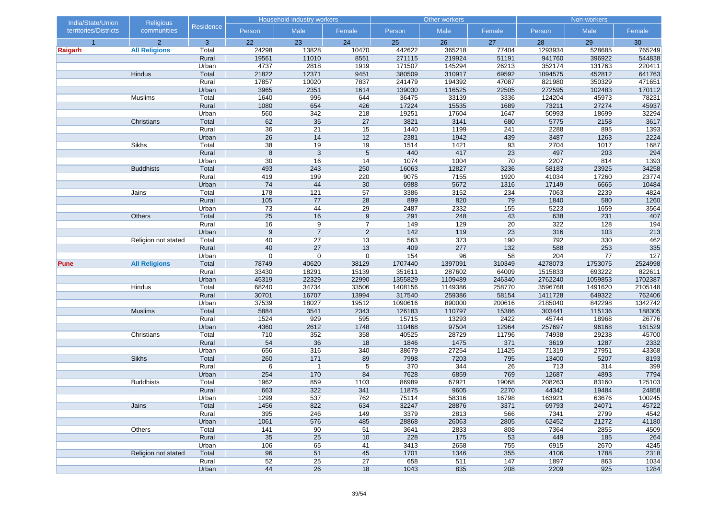| India/State/Union<br><b>Religious</b> |                      |                  | <b>Household industry workers</b>  |                |                       |              | Other workers |          | Non-workers  |              |             |  |
|---------------------------------------|----------------------|------------------|------------------------------------|----------------|-----------------------|--------------|---------------|----------|--------------|--------------|-------------|--|
| territories/Districts                 | communities          | <b>Residence</b> | Person                             | Male           | Female                | Person       | Male          | Female   | Person       | Male         | Female      |  |
| $\overline{1}$                        | $\overline{2}$       | 3                | 22                                 | 23             | 24                    | 25           | 26            | 27       | 28           | 29           | 30          |  |
| Raigarh                               | <b>All Religions</b> | Total            | 24298                              | 13828          | 10470                 | 442622       | 365218        | 77404    | 1293934      | 528685       | 765249      |  |
|                                       |                      | Rural            | 19561                              | 11010          | 8551                  | 271115       | 219924        | 51191    | 941760       | 396922       | 544838      |  |
|                                       |                      | Urban            | 4737                               | 2818           | 1919                  | 171507       | 145294        | 26213    | 352174       | 131763       | 220411      |  |
|                                       | Hindus               | Total            | 21822                              | 12371          | 9451                  | 380509       | 310917        | 69592    | 1094575      | 452812       | 641763      |  |
|                                       |                      | Rural            | 17857                              | 10020          | 7837                  | 241479       | 194392        | 47087    | 821980       | 350329       | 471651      |  |
|                                       |                      | Urban            | 3965                               | 2351           | 1614                  | 139030       | 116525        | 22505    | 272595       | 102483       | 170112      |  |
|                                       | Muslims              | Total            | 1640                               | 996            | 644                   | 36475        | 33139         | 3336     | 124204       | 45973        | 78231       |  |
|                                       |                      | Rural            | 1080                               | 654            | 426                   | 17224        | 15535         | 1689     | 73211        | 27274        | 45937       |  |
|                                       |                      | Urban            | 560                                | 342            | 218                   | 19251        | 17604         | 1647     | 50993        | 18699        | 32294       |  |
|                                       | Christians           | Total            | 62                                 | 35             | 27                    | 3821         | 3141          | 680      | 5775         | 2158         | 3617        |  |
|                                       |                      | Rural            | $\overline{36}$<br>$\overline{26}$ | 21<br>14       | $\overline{15}$       | 1440         | 1199<br>1942  | 241      | 2288         | 895          | 1393        |  |
|                                       | Sikhs                | Urban<br>Total   | 38                                 | 19             | 12                    | 2381<br>1514 |               | 439      | 3487<br>2704 | 1263<br>1017 | 2224        |  |
|                                       |                      | Rural            | $\bf 8$                            | $\mathsf 3$    | 19<br>$5\phantom{.0}$ | 440          | 1421<br>417   | 93<br>23 | 497          | 203          | 1687<br>294 |  |
|                                       |                      | Urban            | 30                                 | 16             | 14                    | 1074         | 1004          | 70       | 2207         | 814          | 1393        |  |
|                                       | <b>Buddhists</b>     | Total            | 493                                | 243            | 250                   | 16063        | 12827         | 3236     | 58183        | 23925        | 34258       |  |
|                                       |                      | Rural            | 419                                | 199            | 220                   | 9075         | 7155          | 1920     | 41034        | 17260        | 23774       |  |
|                                       |                      | Urban            | 74                                 | 44             | 30                    | 6988         | 5672          | 1316     | 17149        | 6665         | 10484       |  |
|                                       | Jains                | Total            | 178                                | 121            | 57                    | 3386         | 3152          | 234      | 7063         | 2239         | 4824        |  |
|                                       |                      | Rural            | 105                                | 77             | 28                    | 899          | 820           | 79       | 1840         | 580          | 1260        |  |
|                                       |                      | Urban            | 73                                 | 44             | 29                    | 2487         | 2332          | 155      | 5223         | 1659         | 3564        |  |
|                                       | Others               | Total            | 25                                 | 16             | 9                     | 291          | 248           | 43       | 638          | 231          | 407         |  |
|                                       |                      | Rural            | 16                                 | 9              | $\overline{7}$        | 149          | 129           | 20       | 322          | 128          | 194         |  |
|                                       |                      | Urban            | 9                                  | $\overline{7}$ | $\overline{2}$        | 142          | 119           | 23       | 316          | 103          | 213         |  |
|                                       | Religion not stated  | Total            | 40                                 | 27             | 13                    | 563          | 373           | 190      | 792          | 330          | 462         |  |
|                                       |                      | Rural            | 40                                 | 27             | 13                    | 409          | 277           | 132      | 588          | 253          | 335         |  |
|                                       |                      | Urban            | $\mathbf 0$                        | $\mathbf 0$    | 0                     | 154          | 96            | 58       | 204          | 77           | 127         |  |
| <b>Pune</b>                           | <b>All Religions</b> | Total            | 78749                              | 40620          | 38129                 | 1707440      | 1397091       | 310349   | 4278073      | 1753075      | 2524998     |  |
|                                       |                      | Rural            | 33430                              | 18291          | 15139                 | 351611       | 287602        | 64009    | 1515833      | 693222       | 822611      |  |
|                                       |                      | Urban            | 45319                              | 22329          | 22990                 | 1355829      | 1109489       | 246340   | 2762240      | 1059853      | 1702387     |  |
|                                       | Hindus               | Total            | 68240                              | 34734          | 33506                 | 1408156      | 1149386       | 258770   | 3596768      | 1491620      | 2105148     |  |
|                                       |                      | Rural            | 30701                              | 16707          | 13994                 | 317540       | 259386        | 58154    | 1411728      | 649322       | 762406      |  |
|                                       |                      | Urban            | 37539                              | 18027          | 19512                 | 1090616      | 890000        | 200616   | 2185040      | 842298       | 1342742     |  |
|                                       | <b>Muslims</b>       | Total            | 5884                               | 3541           | 2343                  | 126183       | 110797        | 15386    | 303441       | 115136       | 188305      |  |
|                                       |                      | Rural            | 1524                               | 929            | 595                   | 15715        | 13293         | 2422     | 45744        | 18968        | 26776       |  |
|                                       |                      | Urban            | 4360                               | 2612           | 1748                  | 110468       | 97504         | 12964    | 257697       | 96168        | 161529      |  |
|                                       | Christians           | Total            | 710                                | 352            | 358                   | 40525        | 28729         | 11796    | 74938        | 29238        | 45700       |  |
|                                       |                      | Rural            | 54                                 | 36             | 18                    | 1846         | 1475          | 371      | 3619         | 1287         | 2332        |  |
|                                       |                      | Urban            | 656                                | 316            | 340                   | 38679        | 27254         | 11425    | 71319        | 27951        | 43368       |  |
|                                       | <b>Sikhs</b>         | Total            | 260                                | 171            | 89                    | 7998         | 7203          | 795      | 13400        | 5207         | 8193        |  |
|                                       |                      | Rural            | 6                                  | $\overline{1}$ | 5                     | 370          | 344           | 26       | 713          | 314          | 399         |  |
|                                       |                      | Urban            | 254                                | 170            | 84                    | 7628         | 6859          | 769      | 12687        | 4893         | 7794        |  |
|                                       | <b>Buddhists</b>     | Total            | 1962                               | 859            | 1103                  | 86989        | 67921         | 19068    | 208263       | 83160        | 125103      |  |
|                                       |                      | Rural            | 663                                | 322            | 341                   | 11875        | 9605          | 2270     | 44342        | 19484        | 24858       |  |
|                                       |                      | Urban            | 1299                               | 537            | 762                   | 75114        | 58316         | 16798    | 163921       | 63676        | 100245      |  |
|                                       | Jains                | Total            | 1456                               | 822            | 634                   | 32247        | 28876         | 3371     | 69793        | 24071        | 45722       |  |
|                                       |                      | Rural            | 395                                | 246            | 149                   | 3379         | 2813          | 566      | 7341         | 2799         | 4542        |  |
|                                       |                      | Urban            | 1061                               | 576            | 485                   | 28868        | 26063         | 2805     | 62452        | 21272        | 41180       |  |
|                                       | Others               | Total            | 141                                | 90             | 51                    | 3641         | 2833          | 808      | 7364         | 2855         | 4509        |  |
|                                       |                      | Rural            | 35                                 | 25             | 10                    | 228          | 175           | 53       | 449          | 185          | 264         |  |
|                                       |                      | Urban            | 106                                | 65             | 41                    | 3413         | 2658          | 755      | 6915         | 2670         | 4245        |  |
|                                       | Religion not stated  | Total            | 96                                 | 51             | 45                    | 1701         | 1346          | 355      | 4106         | 1788         | 2318        |  |
|                                       |                      | Rural            | 52                                 | 25             | 27                    | 658          | 511           | 147      | 1897         | 863          | 1034        |  |
|                                       |                      | Urban            | 44                                 | 26             | 18                    | 1043         | 835           | 208      | 2209         | 925          | 1284        |  |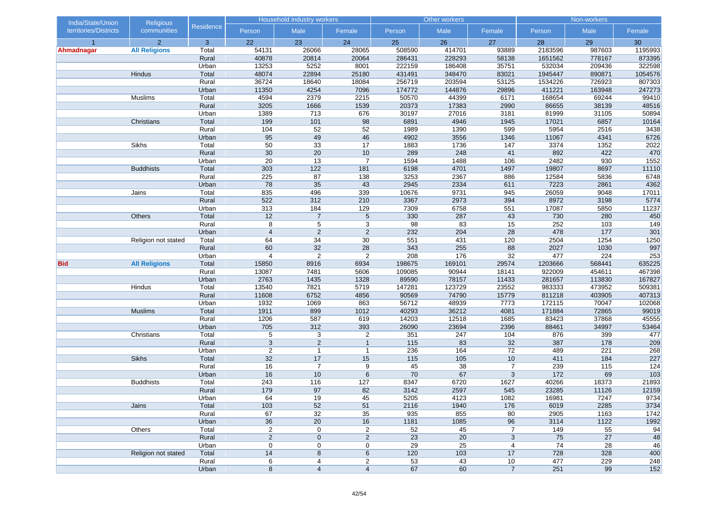| India/State/Union<br><b>Religious</b> |                      |           | Household industry workers |                 |                         |        | Other workers |                | Non-workers |        |         |
|---------------------------------------|----------------------|-----------|----------------------------|-----------------|-------------------------|--------|---------------|----------------|-------------|--------|---------|
| territories/Districts                 | communities          | Residence | Person                     | Male            | Female                  | Person | Male          | Female         | Person      | Male   | Female  |
| $\overline{1}$                        | 2 <sup>1</sup>       | 3         | 22                         | 23              | 24                      | 25     | 26            | 27             | 28          | 29     | 30      |
| Ahmadnagar                            | <b>All Religions</b> | Total     | 54131                      | 26066           | 28065                   | 508590 | 414701        | 93889          | 2183596     | 987603 | 1195993 |
|                                       |                      | Rural     | 40878                      | 20814           | 20064                   | 286431 | 228293        | 58138          | 1651562     | 778167 | 873395  |
|                                       |                      | Urban     | 13253                      | 5252            | 8001                    | 222159 | 186408        | 35751          | 532034      | 209436 | 322598  |
|                                       | Hindus               | Total     | 48074                      | 22894           | 25180                   | 431491 | 348470        | 83021          | 1945447     | 890871 | 1054576 |
|                                       |                      | Rural     | 36724                      | 18640           | 18084                   | 256719 | 203594        | 53125          | 1534226     | 726923 | 807303  |
|                                       |                      | Urban     | 11350                      | 4254            | 7096                    | 174772 | 144876        | 29896          | 411221      | 163948 | 247273  |
|                                       | Muslims              | Total     | 4594                       | 2379            | 2215                    | 50570  | 44399         | 6171           | 168654      | 69244  | 99410   |
|                                       |                      | Rural     | 3205                       | 1666            | 1539                    | 20373  | 17383         | 2990           | 86655       | 38139  | 48516   |
|                                       |                      | Urban     | 1389                       | 713             | 676                     | 30197  | 27016         | 3181           | 81999       | 31105  | 50894   |
|                                       | Christians           | Total     | 199                        | 101             | 98                      | 6891   | 4946          | 1945           | 17021       | 6857   | 10164   |
|                                       |                      | Rural     | 104                        | $\overline{52}$ | 52                      | 1989   | 1390          | 599            | 5954        | 2516   | 3438    |
|                                       |                      | Urban     | 95                         | 49              | 46                      | 4902   | 3556          | 1346           | 11067       | 4341   | 6726    |
|                                       | Sikhs                | Total     | 50                         | 33              | 17                      | 1883   | 1736          | 147            | 3374        | 1352   | 2022    |
|                                       |                      | Rural     | 30                         | 20              | 10                      | 289    | 248           | 41             | 892         | 422    | 470     |
|                                       |                      | Urban     | 20                         | 13              | $\overline{7}$          | 1594   | 1488          | 106            | 2482        | 930    | 1552    |
|                                       | <b>Buddhists</b>     | Total     | 303                        | $122$           | 181                     | 6198   | 4701          | 1497           | 19807       | 8697   | 11110   |
|                                       |                      | Rural     | 225                        | 87              | 138                     | 3253   | 2367          | 886            | 12584       | 5836   | 6748    |
|                                       |                      | Urban     | 78                         | 35              | 43                      | 2945   | 2334          | 611            | 7223        | 2861   | 4362    |
|                                       | Jains                | Total     | 835                        | 496             | 339                     | 10676  | 9731          | 945            | 26059       | 9048   | 17011   |
|                                       |                      | Rural     | 522                        | 312             | 210                     | 3367   | 2973          | 394            | 8972        | 3198   | 5774    |
|                                       |                      | Urban     | 313                        | 184             | 129                     | 7309   | 6758          | 551            | 17087       | 5850   | 11237   |
|                                       | Others               | Total     | 12                         | $\overline{7}$  | $5\phantom{.0}$         | 330    | 287           | 43             | 730         | 280    | 450     |
|                                       |                      | Rural     | 8                          | 5               | 3                       | 98     | 83            | 15             | 252         | 103    | 149     |
|                                       |                      | Urban     | $\overline{4}$             | $\sqrt{2}$      | $\sqrt{2}$              | 232    | 204           | 28             | 478         | 177    | 301     |
|                                       | Religion not stated  | Total     | 64                         | 34              | 30                      | 551    | 431           | 120            | 2504        | 1254   | 1250    |
|                                       |                      | Rural     | 60                         | 32              | 28                      | 343    | 255           | 88             | 2027        | 1030   | 997     |
|                                       |                      | Urban     | $\overline{\mathbf{4}}$    | 2               | $\overline{2}$          | 208    | 176           | 32             | 477         | 224    | 253     |
| <b>Bid</b>                            | <b>All Religions</b> | Total     | 15850                      | 8916            | 6934                    | 198675 | 169101        | 29574          | 1203666     | 568441 | 635225  |
|                                       |                      | Rural     | 13087                      | 7481            | 5606                    | 109085 | 90944         | 18141          | 922009      | 454611 | 467398  |
|                                       |                      | Urban     | 2763                       | 1435            | 1328                    | 89590  | 78157         | 11433          | 281657      | 113830 | 167827  |
|                                       | Hindus               | Total     | 13540                      | 7821            | 5719                    | 147281 | 123729        | 23552          | 983333      | 473952 | 509381  |
|                                       |                      | Rural     | 11608                      | 6752            | 4856                    | 90569  | 74790         | 15779          | 811218      | 403905 | 407313  |
|                                       |                      | Urban     | 1932                       | 1069            | 863                     | 56712  | 48939         | 7773           | 172115      | 70047  | 102068  |
|                                       | <b>Muslims</b>       | Total     | 1911                       | 899             | 1012                    | 40293  | 36212         | 4081           | 171884      | 72865  | 99019   |
|                                       |                      | Rural     | 1206                       | 587             | 619                     | 14203  | 12518         | 1685           | 83423       | 37868  | 45555   |
|                                       |                      | Urban     | 705                        | 312             | 393                     | 26090  | 23694         | 2396           | 88461       | 34997  | 53464   |
|                                       | Christians           | Total     | 5                          | 3               | $\overline{\mathbf{c}}$ | 351    | 247           | 104            | 876         | 399    | 477     |
|                                       |                      | Rural     | $\sqrt{3}$                 | $\overline{2}$  | $\overline{1}$          | $115$  | 83            | 32             | 387         | 178    | 209     |
|                                       |                      | Urban     | $\overline{2}$             | $\mathbf{1}$    | $\overline{1}$          | 236    | 164           | 72             | 489         | 221    | 268     |
|                                       | <b>Sikhs</b>         | Total     | 32                         | 17              | 15                      | 115    | 105           | 10             | 411         | 184    | 227     |
|                                       |                      | Rural     | 16                         | $\overline{7}$  | 9                       | 45     | 38            | $\overline{7}$ | 239         | 115    | 124     |
|                                       |                      | Urban     | 16                         | 10              | 6                       | 70     | 67            | 3              | 172         | 69     | $103$   |
|                                       | <b>Buddhists</b>     | Total     | 243                        | 116             | 127                     | 8347   | 6720          | 1627           | 40266       | 18373  | 21893   |
|                                       |                      | Rural     | 179                        | 97              | 82                      | 3142   | 2597          | 545            | 23285       | 11126  | 12159   |
|                                       |                      | Urban     | 64                         | 19              | 45                      | 5205   | 4123          | 1082           | 16981       | 7247   | 9734    |
|                                       | Jains                | Total     | 103                        | 52              | 51                      | 2116   | 1940          | 176            | 6019        | 2285   | 3734    |
|                                       |                      | Rural     | 67                         | 32              | 35                      | 935    | 855           | 80             | 2905        | 1163   | 1742    |
|                                       |                      | Urban     | 36                         | 20              | 16                      | 1181   | 1085          | 96             | 3114        | 1122   | 1992    |
|                                       | Others               | Total     | $\boldsymbol{2}$           | 0               | $\overline{\mathbf{c}}$ | 52     | 45            | $\overline{7}$ | 149         | 55     | 94      |
|                                       |                      | Rural     | $\overline{2}$             | $\pmb{0}$       | $\sqrt{2}$              | 23     | 20            | 3              | 75          | 27     | 48      |
|                                       |                      | Urban     | 0                          | 0               | 0                       | 29     | 25            | $\overline{4}$ | 74          | 28     | 46      |
|                                       | Religion not stated  | Total     | 14                         | 8               | 6                       | 120    | 103           | 17             | 728         | 328    | 400     |
|                                       |                      | Rural     | 6                          | 4               | 2                       | 53     | 43            | 10             | 477         | 229    | 248     |
|                                       |                      | Urban     | 8                          | 4               | $\overline{4}$          | 67     | 60            | $\overline{7}$ | 251         | 99     | 152     |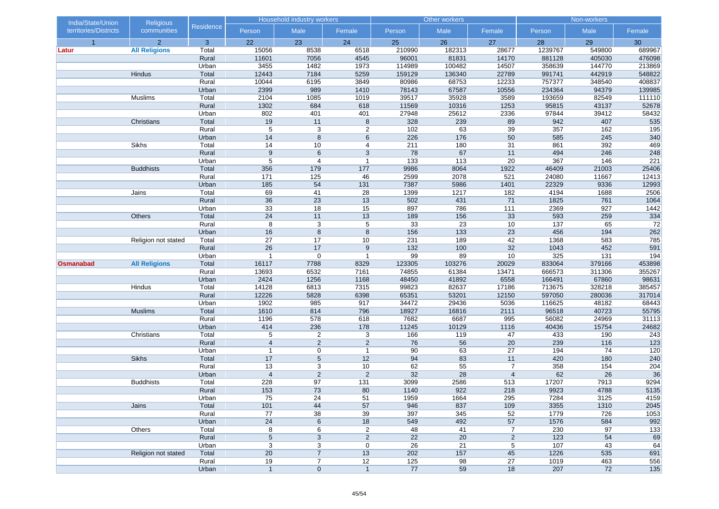|                  | <b>Religious</b><br>India/State/Union<br>territories/Districts<br>communities |                | Household industry workers |                         |                                  |              | Other workers   |                     | Non-workers  |                        |                 |
|------------------|-------------------------------------------------------------------------------|----------------|----------------------------|-------------------------|----------------------------------|--------------|-----------------|---------------------|--------------|------------------------|-----------------|
|                  |                                                                               | Residence      | Person                     | Male                    | Female                           | Person       | Male            | Female              | Person       | Male                   | Female          |
| $\overline{1}$   | 2 <sup>1</sup>                                                                | 3              | 22                         | 23                      | 24                               | 25           | 26              | 27                  | 28           | 29                     | 30              |
| Latur            | <b>All Religions</b>                                                          | Total          | 15056                      | 8538                    | 6518                             | 210990       | 182313          | 28677               | 1239767      | 549800                 | 689967          |
|                  |                                                                               | Rural          | 11601                      | 7056                    | 4545                             | 96001        | 81831           | 14170               | 881128       | 405030                 | 476098          |
|                  |                                                                               | Urban          | 3455                       | 1482                    | 1973                             | 114989       | 100482          | 14507               | 358639       | 144770                 | 213869          |
|                  | Hindus                                                                        | Total          | 12443                      | 7184                    | 5259                             | 159129       | 136340          | 22789               | 991741       | 442919                 | 548822          |
|                  |                                                                               | Rural          | 10044                      | 6195                    | 3849                             | 80986        | 68753           | 12233               | 757377       | 348540                 | 408837          |
|                  |                                                                               | Urban          | 2399                       | 989                     | 1410                             | 78143        | 67587           | 10556               | 234364       | 94379                  | 139985          |
|                  | Muslims                                                                       | Total          | 2104                       | 1085                    | 1019                             | 39517        | 35928           | 3589                | 193659       | 82549                  | 111110          |
|                  |                                                                               | Rural          | 1302                       | 684                     | 618                              | 11569        | 10316           | 1253                | 95815        | 43137                  | 52678           |
|                  | Christians                                                                    | Urban<br>Total | 802<br>19                  | 401<br>11               | 401                              | 27948<br>328 | 25612<br>239    | 2336<br>89          | 97844<br>942 | 39412<br>407           | 58432<br>535    |
|                  |                                                                               | Rural          | $\,$ 5 $\,$                | 3                       | 8<br>$\overline{c}$              | 102          | 63              | 39                  | 357          | 162                    | 195             |
|                  |                                                                               | Urban          | 14                         | 8                       | 6                                | 226          | 176             | 50                  | 585          | 245                    | 340             |
|                  | Sikhs                                                                         | Total          | 14                         | 10                      | 4                                | 211          | 180             | 31                  | 861          | 392                    | 469             |
|                  |                                                                               | Rural          | $\boldsymbol{9}$           | $6\phantom{1}$          | 3                                | 78           | 67              | 11                  | 494          | 246                    | 248             |
|                  |                                                                               | Urban          | 5                          | $\overline{\mathbf{4}}$ | $\overline{1}$                   | 133          | 113             | 20                  | 367          | 146                    | 221             |
|                  | <b>Buddhists</b>                                                              | Total          | 356                        | 179                     | 177                              | 9986         | 8064            | 1922                | 46409        | 21003                  | 25406           |
|                  |                                                                               | Rural          | 171                        | 125                     | 46                               | 2599         | 2078            | 521                 | 24080        | 11667                  | 12413           |
|                  |                                                                               | Urban          | 185                        | 54                      | 131                              | 7387         | 5986            | 1401                | 22329        | 9336                   | 12993           |
|                  | Jains                                                                         | Total          | 69                         | 41                      | 28                               | 1399         | 1217            | 182                 | 4194         | 1688                   | 2506            |
|                  |                                                                               | Rural          | 36                         | 23                      | 13                               | 502          | 431             | 71                  | 1825         | 761                    | 1064            |
|                  |                                                                               | Urban          | 33                         | 18                      | 15                               | 897          | 786             | 111                 | 2369         | 927                    | 1442            |
|                  | Others                                                                        | Total          | 24                         | 11                      | 13                               | 189          | 156             | 33                  | 593          | 259                    | 334             |
|                  |                                                                               | Rural          | 8                          | 3                       | 5                                | 33           | $\overline{23}$ | 10                  | 137          | 65                     | $\overline{72}$ |
|                  |                                                                               | Urban          | 16                         | 8                       | 8                                | 156          | 133             | 23                  | 456          | 194                    | 262             |
|                  | Religion not stated                                                           | Total          | 27                         | 17                      | 10                               | 231          | 189             | 42                  | 1368         | 583                    | 785             |
|                  |                                                                               | Rural          | 26                         | 17                      | 9                                | $132$        | 100             | 32                  | 1043         | 452                    | 591             |
|                  |                                                                               | Urban          | $\overline{1}$             | 0                       | $\overline{1}$                   | 99           | 89              | 10                  | 325          | 131                    | 194             |
| <b>Osmanabad</b> | <b>All Religions</b>                                                          | Total          | 16117                      | 7788                    | 8329                             | 123305       | 103276          | 20029               | 833064       | 379166                 | 453898          |
|                  |                                                                               | Rural          | 13693                      | 6532                    | 7161                             | 74855        | 61384           | 13471               | 666573       | 311306                 | 355267          |
|                  |                                                                               | Urban          | 2424                       | 1256                    | 1168                             | 48450        | 41892           | 6558                | 166491       | 67860                  | 98631           |
|                  | Hindus                                                                        | Total          | 14128                      | 6813                    | 7315                             | 99823        | 82637           | 17186               | 713675       | 328218                 | 385457          |
|                  |                                                                               | Rural          | 12226                      | 5828                    | 6398                             | 65351        | 53201           | 12150               | 597050       | 280036                 | 317014          |
|                  |                                                                               | Urban          | 1902                       | 985                     | 917                              | 34472        | 29436           | 5036                | 116625       | 48182                  | 68443           |
|                  | <b>Muslims</b>                                                                | Total          | 1610                       | 814                     | 796                              | 18927        | 16816           | 2111                | 96518        | 40723                  | 55795           |
|                  |                                                                               | Rural          | 1196                       | 578                     | 618                              | 7682         | 6687            | 995                 | 56082        | 24969                  | 31113           |
|                  |                                                                               | Urban          | 414                        | 236                     | 178                              | 11245        | 10129           | 1116                | 40436        | 15754                  | 24682           |
|                  | Christians                                                                    | Total          | 5                          | $\overline{\mathbf{c}}$ | 3                                | 166          | 119             | 47                  | 433          | 190                    | 243             |
|                  |                                                                               | Rural          | $\overline{4}$             | $\overline{2}$          | $\overline{2}$                   | 76           | 56              | 20                  | 239          | 116                    | 123             |
|                  |                                                                               | Urban          | $\mathbf{1}$               | $\pmb{0}$               | $\overline{1}$                   | 90           | 63              | 27                  | 194          | 74                     | 120             |
|                  | <b>Sikhs</b>                                                                  | Total          | 17                         | $5\,$                   | 12                               | 94           | 83              | 11                  | 420          | 180                    | 240             |
|                  |                                                                               | Rural          | 13                         | 3                       | 10                               | 62           | 55              | $\overline{7}$      | 358          | 154                    | 204             |
|                  |                                                                               | Urban          | $\overline{4}$             | $\overline{2}$          | 2                                | 32           | 28              | $\overline{4}$      | 62           | 26                     | 36              |
|                  | <b>Buddhists</b>                                                              | Total          | 228                        | 97                      | 131                              | 3099         | 2586            | 513                 | 17207        | 7913                   | 9294            |
|                  |                                                                               | Rural          | 153                        | 73                      | 80                               | 1140         | 922             | 218                 | 9923         | 4788                   | 5135            |
|                  |                                                                               | Urban          | 75                         | 24                      | 51                               | 1959         | 1664            | 295                 | 7284         | 3125                   | 4159            |
|                  | Jains                                                                         | Total          | 101                        | 44                      | 57                               | 946<br>397   | 837             | 109                 | 3355         | 1310                   | 2045            |
|                  |                                                                               | Rural          | 77                         | 38                      | 39                               |              | 345             | 52                  | 1779         | 726                    | 1053<br>992     |
|                  |                                                                               | Urban          | 24                         | 6                       | 18                               | 549          | 492             | 57                  | 1576         | 584<br>$\overline{97}$ |                 |
|                  | Others                                                                        | Total<br>Rural | 8<br>$\sqrt{5}$            | 6                       | $\overline{2}$<br>$\overline{2}$ | 48<br>22     | 41              | $\overline{7}$      | 230<br>123   |                        | 133<br>69       |
|                  |                                                                               | Urban          | 3                          | $\sqrt{3}$<br>3         | 0                                | 26           | 20<br>21        | $\overline{2}$<br>5 | 107          | 54<br>43               | 64              |
|                  | Religion not stated                                                           | Total          | 20                         | $\overline{7}$          | 13                               | 202          | 157             | 45                  | 1226         | 535                    | 691             |
|                  |                                                                               | Rural          | 19                         | 7                       | 12                               | 125          | 98              | 27                  | 1019         | 463                    | 556             |
|                  |                                                                               | Urban          | $\mathbf{1}$               | $\pmb{0}$               | $\mathbf{1}$                     | 77           | 59              | 18                  | 207          | 72                     | 135             |
|                  |                                                                               |                |                            |                         |                                  |              |                 |                     |              |                        |                 |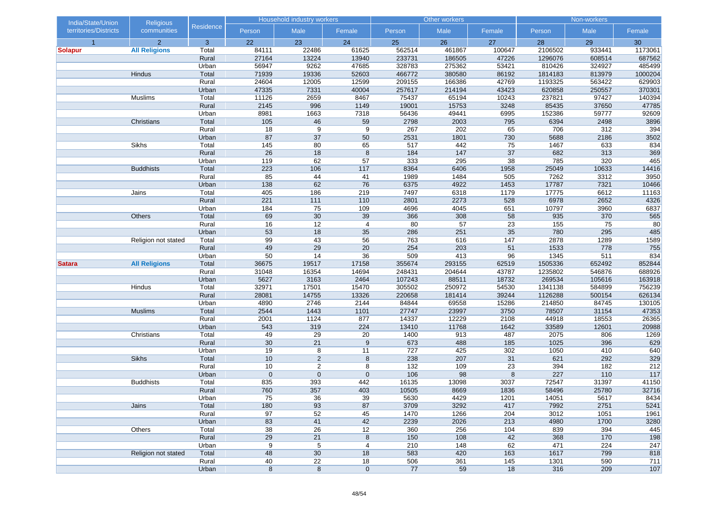| India/State/Union     | <b>Religious</b>     |                | Household industry workers |                 |                |             | Other workers |             | Non-workers  |              |              |  |
|-----------------------|----------------------|----------------|----------------------------|-----------------|----------------|-------------|---------------|-------------|--------------|--------------|--------------|--|
| territories/Districts | communities          | Residence      | Person                     | Male            | Female         | Person      | Male          | Female      | Person       | Male         | Female       |  |
| $\overline{1}$        | $\overline{2}$       | $\mathbf{3}$   | 22                         | 23              | 24             | 25          | 26            | 27          | 28           | 29           | 30           |  |
| <b>Solapur</b>        | <b>All Religions</b> | Total          | 84111                      | 22486           | 61625          | 562514      | 461867        | 100647      | 2106502      | 933441       | 1173061      |  |
|                       |                      | Rural          | 27164                      | 13224           | 13940          | 233731      | 186505        | 47226       | 1296076      | 608514       | 687562       |  |
|                       |                      | Urban          | 56947                      | 9262            | 47685          | 328783      | 275362        | 53421       | 810426       | 324927       | 485499       |  |
|                       | Hindus               | Total          | 71939                      | 19336           | 52603          | 466772      | 380580        | 86192       | 1814183      | 813979       | 1000204      |  |
|                       |                      | Rural          | 24604                      | 12005           | 12599          | 209155      | 166386        | 42769       | 1193325      | 563422       | 629903       |  |
|                       |                      | Urban          | 47335                      | 7331            | 40004          | 257617      | 214194        | 43423       | 620858       | 250557       | 370301       |  |
|                       | Muslims              | Total          | 11126                      | 2659            | 8467           | 75437       | 65194         | 10243       | 237821       | 97427        | 140394       |  |
|                       |                      | Rural          | 2145                       | 996             | 1149           | 19001       | 15753         | 3248        | 85435        | 37650        | 47785        |  |
|                       |                      | Urban          | 8981                       | 1663            | 7318           | 56436       | 49441         | 6995        | 152386       | 59777        | 92609        |  |
|                       | Christians           | Total          | 105                        | 46              | 59             | 2798        | 2003          | 795         | 6394         | 2498         | 3896         |  |
|                       |                      | Rural          | 18                         | 9               | 9              | 267         | 202           | 65          | 706          | 312          | 394          |  |
|                       |                      | Urban          | 87                         | 37              | 50             | 2531        | 1801          | 730         | 5688         | 2186         | 3502         |  |
|                       | Sikhs                | Total          | 145                        | 80              | 65             | 517         | 442           | 75          | 1467         | 633          | 834          |  |
|                       |                      | Rural          | 26                         | 18              | 8              | 184         | 147           | 37          | 682          | 313          | 369          |  |
|                       | <b>Buddhists</b>     | Urban<br>Total | 119<br>223                 | 62<br>106       | 57<br>117      | 333<br>8364 | 295<br>6406   | 38          | 785<br>25049 | 320<br>10633 | 465<br>14416 |  |
|                       |                      | Rural          | 85                         | 44              |                | 1989        | 1484          | 1958<br>505 | 7262         | 3312         | 3950         |  |
|                       |                      | Urban          | 138                        | 62              | 41<br>76       | 6375        | 4922          | 1453        | 17787        | 7321         | 10466        |  |
|                       | Jains                | Total          | 405                        | 186             | 219            | 7497        | 6318          | 1179        | 17775        | 6612         | 11163        |  |
|                       |                      | Rural          | 221                        | $111$           | $110$          | 2801        | 2273          | 528         | 6978         | 2652         | 4326         |  |
|                       |                      | Urban          | 184                        | 75              | 109            | 4696        | 4045          | 651         | 10797        | 3960         | 6837         |  |
|                       | Others               | Total          | 69                         | 30              | 39             | 366         | 308           | 58          | 935          | 370          | 565          |  |
|                       |                      | Rural          | 16                         | 12              | $\overline{4}$ | 80          | 57            | 23          | 155          | 75           | 80           |  |
|                       |                      | Urban          | 53                         | 18              | 35             | 286         | 251           | 35          | 780          | 295          | 485          |  |
|                       | Religion not stated  | Total          | 99                         | 43              | 56             | 763         | 616           | 147         | 2878         | 1289         | 1589         |  |
|                       |                      | Rural          | 49                         | 29              | 20             | 254         | 203           | 51          | 1533         | 778          | 755          |  |
|                       |                      | Urban          | 50                         | 14              | 36             | 509         | 413           | 96          | 1345         | 511          | 834          |  |
| <b>Satara</b>         | <b>All Religions</b> | Total          | 36675                      | 19517           | 17158          | 355674      | 293155        | 62519       | 1505336      | 652492       | 852844       |  |
|                       |                      | Rural          | 31048                      | 16354           | 14694          | 248431      | 204644        | 43787       | 1235802      | 546876       | 688926       |  |
|                       |                      | Urban          | 5627                       | 3163            | 2464           | 107243      | 88511         | 18732       | 269534       | 105616       | 163918       |  |
|                       | Hindus               | Total          | 32971                      | 17501           | 15470          | 305502      | 250972        | 54530       | 1341138      | 584899       | 756239       |  |
|                       |                      | Rural          | 28081                      | 14755           | 13326          | 220658      | 181414        | 39244       | 1126288      | 500154       | 626134       |  |
|                       |                      | Urban          | 4890                       | 2746            | 2144           | 84844       | 69558         | 15286       | 214850       | 84745        | 130105       |  |
|                       | <b>Muslims</b>       | Total          | 2544                       | 1443            | 1101           | 27747       | 23997         | 3750        | 78507        | 31154        | 47353        |  |
|                       |                      | Rural          | 2001                       | 1124            | 877            | 14337       | 12229         | 2108        | 44918        | 18553        | 26365        |  |
|                       |                      | Urban          | 543                        | 319             | 224            | 13410       | 11768         | 1642        | 33589        | 12601        | 20988        |  |
|                       | Christians           | Total          | 49                         | 29              | 20             | 1400        | 913           | 487         | 2075         | 806          | 1269         |  |
|                       |                      | Rural          | 30                         | 21              | $9\,$          | 673         | 488           | 185         | 1025         | 396          | 629          |  |
|                       |                      | Urban          | 19                         | 8               | 11             | 727         | 425           | 302         | 1050         | 410          | 640          |  |
|                       | <b>Sikhs</b>         | Total          | 10                         | $\overline{2}$  | 8              | 238         | 207           | 31          | 621          | 292          | 329          |  |
|                       |                      | Rural          | 10                         | $\overline{c}$  | 8              | $132$       | 109           | 23          | 394          | 182          | 212          |  |
|                       |                      | Urban          | $\mathbf 0$                | $\mathbf 0$     | $\mathbf{0}$   | 106         | 98            | 8           | 227          | 110          | $117$        |  |
|                       | <b>Buddhists</b>     | Total          | 835                        | 393             | 442            | 16135       | 13098         | 3037        | 72547        | 31397        | 41150        |  |
|                       |                      | Rural          | 760                        | 357             | 403            | 10505       | 8669          | 1836        | 58496        | 25780        | 32716        |  |
|                       |                      | Urban          | 75                         | 36              | 39             | 5630        | 4429          | 1201        | 14051        | 5617         | 8434         |  |
|                       | Jains                | Total          | 180                        | 93              | 87             | 3709        | 3292          | 417         | 7992         | 2751         | 5241         |  |
|                       |                      | Rural          | 97                         | 52              | 45             | 1470        | 1266          | 204         | 3012         | 1051         | 1961         |  |
|                       |                      | Urban          | 83                         | 41              | 42             | 2239        | 2026          | 213         | 4980         | 1700         | 3280         |  |
|                       | Others               | Total          | 38                         | 26              | 12             | 360         | 256           | 104         | 839          | 394          | 445          |  |
|                       |                      | Rural          | 29                         | 21              | 8              | 150         | 108           | 42          | 368          | 170          | 198          |  |
|                       |                      | Urban          | 9                          | 5               | $\overline{4}$ | 210         | 148           | 62          | 471          | 224          | 247          |  |
|                       | Religion not stated  | Total          | 48                         | 30              | 18             | 583         | 420           | 163         | 1617         | 799          | 818          |  |
|                       |                      | Rural          | 40                         | $\overline{22}$ | 18             | 506         | 361           | $145$       | 1301         | 590          | 711          |  |
|                       |                      | Urban          | 8                          | $\bf 8$         | $\mathbf 0$    | 77          | 59            | 18          | 316          | 209          | 107          |  |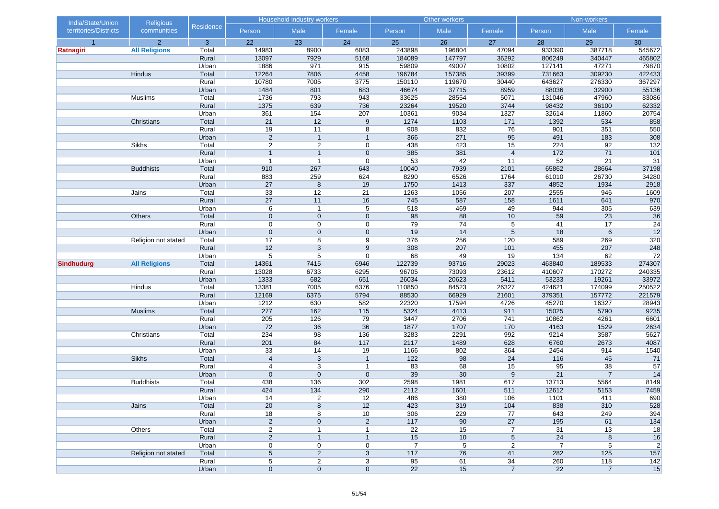| India/State/Union<br><b>Religious</b> |                      |                  | <b>Household industry workers</b> |                |                     |                  | Other workers   |                 | Non-workers     |                |                 |  |
|---------------------------------------|----------------------|------------------|-----------------------------------|----------------|---------------------|------------------|-----------------|-----------------|-----------------|----------------|-----------------|--|
| territories/Districts                 | communities          | <b>Residence</b> | Person                            | Male           | Female              | Person           | Male            | Female          | Person          | Male           | Female          |  |
| $\overline{1}$                        | $\overline{2}$       | 3                | 22                                | 23             | 24                  | 25               | 26              | 27              | 28              | 29             | 30              |  |
| Ratnagiri                             | <b>All Religions</b> | Total            | 14983                             | 8900           | 6083                | 243898           | 196804          | 47094           | 933390          | 387718         | 545672          |  |
|                                       |                      | Rural            | 13097                             | 7929           | 5168                | 184089           | 147797          | 36292           | 806249          | 340447         | 465802          |  |
|                                       |                      | Urban            | 1886                              | 971            | 915                 | 59809            | 49007           | 10802           | 127141          | 47271          | 79870           |  |
|                                       | Hindus               | Total            | 12264                             | 7806           | 4458                | 196784           | 157385          | 39399           | 731663          | 309230         | 422433          |  |
|                                       |                      | Rural            | 10780                             | 7005           | 3775                | 150110           | 119670          | 30440           | 643627          | 276330         | 367297          |  |
|                                       |                      | Urban            | 1484                              | 801            | 683                 | 46674            | 37715           | 8959            | 88036           | 32900          | 55136           |  |
|                                       | Muslims              | Total            | 1736                              | 793            | 943                 | 33625            | 28554           | 5071            | 131046          | 47960          | 83086           |  |
|                                       |                      | Rural<br>Urban   | 1375<br>361                       | 639<br>154     | 736<br>207          | 23264<br>10361   | 19520<br>9034   | 3744            | 98432<br>32614  | 36100<br>11860 | 62332<br>20754  |  |
|                                       | Christians           | Total            | 21                                | 12             | 9                   | 1274             | 1103            | 1327<br>171     | 1392            | 534            | 858             |  |
|                                       |                      | Rural            | 19                                | 11             | 8                   | 908              | 832             | 76              | 901             | 351            | 550             |  |
|                                       |                      | Urban            | $\sqrt{2}$                        | $\mathbf{1}$   | $\mathbf{1}$        | 366              | 271             | 95              | 491             | 183            | 308             |  |
|                                       | Sikhs                | Total            | $\overline{c}$                    | $\overline{2}$ | $\mathbf 0$         | 438              | 423             | 15              | 224             | 92             | $132$           |  |
|                                       |                      | Rural            | $\overline{1}$                    | $\overline{1}$ | $\mathbf 0$         | 385              | 381             | $\overline{4}$  | 172             | 71             | 101             |  |
|                                       |                      | Urban            | $\overline{1}$                    | $\overline{1}$ | $\boldsymbol{0}$    | 53               | 42              | 11              | 52              | 21             | 31              |  |
|                                       | <b>Buddhists</b>     | Total            | 910                               | 267            | 643                 | 10040            | 7939            | 2101            | 65862           | 28664          | 37198           |  |
|                                       |                      | Rural            | 883                               | 259            | 624                 | 8290             | 6526            | 1764            | 61010           | 26730          | 34280           |  |
|                                       |                      | Urban            | 27                                | 8              | 19                  | 1750             | 1413            | 337             | 4852            | 1934           | 2918            |  |
|                                       | Jains                | Total            | 33                                | 12             | 21                  | 1263             | 1056            | 207             | 2555            | 946            | 1609            |  |
|                                       |                      | Rural            | 27                                | 11             | 16                  | 745              | 587             | 158             | 1611            | 641            | 970             |  |
|                                       |                      | Urban            | 6                                 | $\overline{1}$ | 5                   | 518              | 469             | 49              | 944             | 305            | 639             |  |
|                                       | Others               | Total            | $\mathbf 0$                       | $\mathbf 0$    | $\mathbf 0$         | 98               | 88              | 10              | 59              | 23             | 36              |  |
|                                       |                      | Rural            | 0                                 | $\mathbf 0$    | 0                   | $\overline{79}$  | 74              | 5               | 41              | 17             | $\overline{24}$ |  |
|                                       |                      | Urban            | $\mathbf 0$                       | $\mathbf 0$    | $\mathbf 0$         | 19               | 14              | 5               | 18              | 6              | 12              |  |
|                                       | Religion not stated  | Total            | 17                                | 8              | 9                   | 376              | 256             | 120             | 589             | 269            | 320             |  |
|                                       |                      | Rural            | 12                                | $\sqrt{3}$     | 9                   | 308              | 207             | 101             | 455             | 207            | 248             |  |
|                                       |                      | Urban            | $\,$ 5 $\,$                       | 5              | $\mathbf 0$         | 68               | 49              | 19              | 134             | 62             | 72              |  |
| <b>Sindhudurg</b>                     | <b>All Religions</b> | Total            | 14361                             | 7415           | 6946                | 122739           | 93716           | 29023           | 463840          | 189533         | 274307          |  |
|                                       |                      | Rural            | 13028                             | 6733           | 6295                | 96705            | 73093           | 23612           | 410607          | 170272         | 240335          |  |
|                                       |                      | Urban            | 1333                              | 682            | 651                 | 26034            | 20623           | 5411            | 53233           | 19261          | 33972           |  |
|                                       | Hindus               | Total            | 13381                             | 7005           | 6376                | 110850           | 84523           | 26327           | 424621          | 174099         | 250522          |  |
|                                       |                      | Rural            | 12169                             | 6375           | 5794                | 88530            | 66929           | 21601           | 379351          | 157772         | 221579          |  |
|                                       |                      | Urban            | 1212                              | 630            | 582                 | 22320            | 17594           | 4726            | 45270           | 16327          | 28943           |  |
|                                       | <b>Muslims</b>       | Total            | 277                               | 162            | 115                 | 5324             | 4413            | 911             | 15025           | 5790           | 9235            |  |
|                                       |                      | Rural            | 205                               | 126            | 79                  | 3447             | 2706            | 741             | 10862           | 4261           | 6601            |  |
|                                       |                      | Urban<br>Total   | 72<br>234                         | 36<br>98       | 36                  | 1877<br>3283     | 1707<br>2291    | 170<br>992      | 4163<br>9214    | 1529<br>3587   | 2634<br>5627    |  |
|                                       | Christians           | Rural            | 201                               | 84             | 136<br>117          | 2117             | 1489            | 628             | 6760            | 2673           | 4087            |  |
|                                       |                      | Urban            | 33                                | 14             | 19                  | 1166             | 802             | 364             | 2454            | 914            | 1540            |  |
|                                       | <b>Sikhs</b>         | Total            | $\overline{4}$                    | 3              | $\mathbf{1}$        | 122              | 98              | 24              | 116             | 45             | 71              |  |
|                                       |                      | Rural            | $\overline{4}$                    | 3              | $\mathbf{1}$        | 83               | 68              | 15              | 95              | 38             | 57              |  |
|                                       |                      | Urban            | $\mathbf{0}$                      | $\mathbf{0}$   | $\mathbf{0}$        | 39               | 30              | 9               | 21              | $\overline{7}$ | 14              |  |
|                                       | <b>Buddhists</b>     | Total            | 438                               | 136            | 302                 | 2598             | 1981            | 617             | 13713           | 5564           | 8149            |  |
|                                       |                      | Rural            | 424                               | 134            | 290                 | 2112             | 1601            | 511             | 12612           | 5153           | 7459            |  |
|                                       |                      | Urban            | 14                                | 2              | 12                  | 486              | 380             | 106             | 1101            | 411            | 690             |  |
|                                       | Jains                | Total            | 20                                | $\bf 8$        | 12                  | 423              | 319             | 104             | 838             | 310            | 528             |  |
|                                       |                      | Rural            | 18                                | 8              | 10                  | 306              | 229             | 77              | 643             | 249            | 394             |  |
|                                       |                      | Urban            | $\sqrt{2}$                        | $\pmb{0}$      | $\overline{c}$      | 117              | 90              | 27              | 195             | 61             | 134             |  |
|                                       | Others               | Total            | $\overline{\mathbf{c}}$           | $\mathbf{1}$   | $\mathbf{1}$        | 22               | $\overline{15}$ | 7               | 31              | 13             | 18              |  |
|                                       |                      | Rural            | $\overline{2}$                    | $\mathbf{1}$   | $\mathbf{1}$        | 15               | 10              | $5\phantom{.0}$ | 24              | 8              | 16              |  |
|                                       |                      | Urban            | 0                                 | 0              | 0                   | $\overline{7}$   | 5               | $\overline{2}$  | $\overline{7}$  | 5              | $\sqrt{2}$      |  |
|                                       | Religion not stated  | Total            | $\sqrt{5}$                        | $\overline{c}$ | $\mathbf{3}$        | 117              | 76              | 41              | 282             | 125            | 157             |  |
|                                       |                      | Rural            | 5                                 | $\overline{a}$ | $\overline{3}$      | $95\phantom{.0}$ | 61              | 34              | 260             | 118            | 142             |  |
|                                       |                      | Urban            | $\boldsymbol{0}$                  | $\mathbf 0$    | $\mathsf{O}\xspace$ | 22               | 15              | $\overline{7}$  | $\overline{22}$ | $\overline{7}$ | 15              |  |